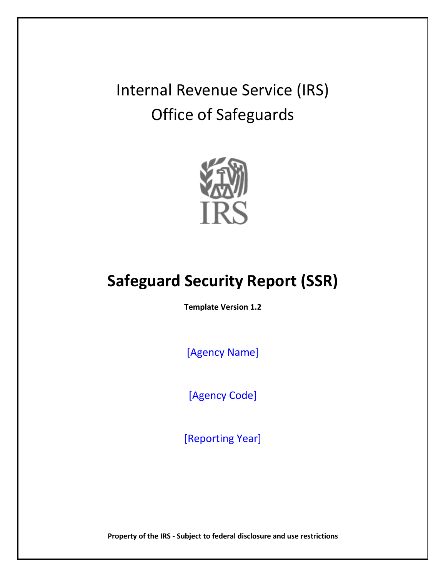Internal Revenue Service (IRS) Office of Safeguards



# **Safeguard Security Report (SSR)**

**Template Version 1.2**

[Agency Name]

[Agency Code]

[Reporting Year]

**Property of the IRS - Subject to federal disclosure and use restrictions**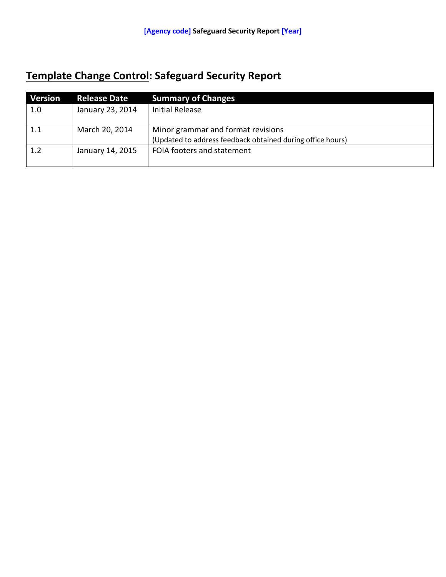## **Template Change Control: Safeguard Security Report**

| <b>Version</b> | <b>Release Date</b> | <b>Summary of Changes</b>                                                                        |
|----------------|---------------------|--------------------------------------------------------------------------------------------------|
| 1.0            | January 23, 2014    | <b>Initial Release</b>                                                                           |
| 1.1            | March 20, 2014      | Minor grammar and format revisions<br>(Updated to address feedback obtained during office hours) |
| 1.2            | January 14, 2015    | FOIA footers and statement                                                                       |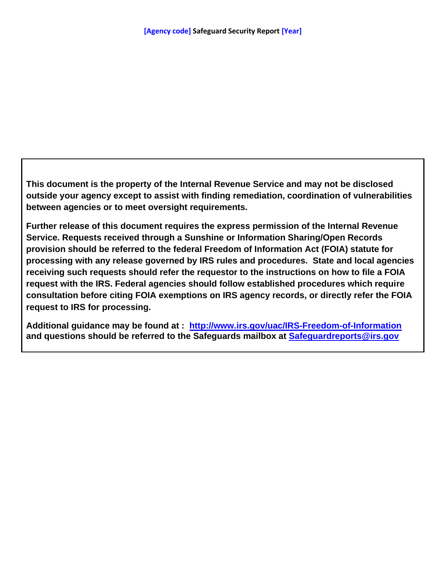**This document is the property of the Internal Revenue Service and may not be disclosed outside your agency except to assist with finding remediation, coordination of vulnerabilities between agencies or to meet oversight requirements.** 

**Further release of this document requires the express permission of the Internal Revenue Service. Requests received through a Sunshine or Information Sharing/Open Records provision should be referred to the federal Freedom of Information Act (FOIA) statute for processing with any release governed by IRS rules and procedures. State and local agencies receiving such requests should refer the requestor to the instructions on how to file a FOIA request with the IRS. Federal agencies should follow established procedures which require consultation before citing FOIA exemptions on IRS agency records, or directly refer the FOIA request to IRS for processing.** 

**Additional guidance may be found at : <http://www.irs.gov/uac/IRS-Freedom-of-Information> and questions should be referred to the Safeguards mailbox at [Safeguardreports@irs.gov](mailto:Safeguardreports@irs.gov)**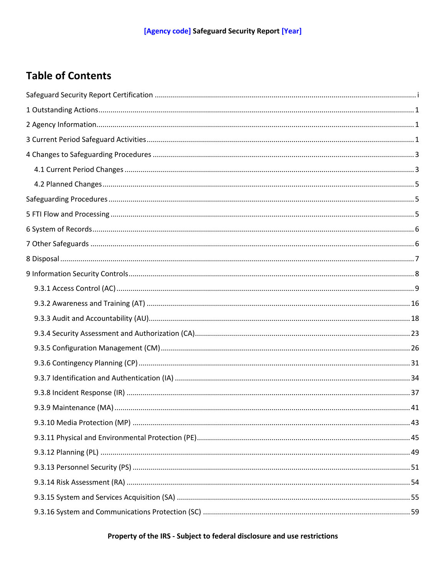## **Table of Contents**

## Property of the IRS - Subject to federal disclosure and use restrictions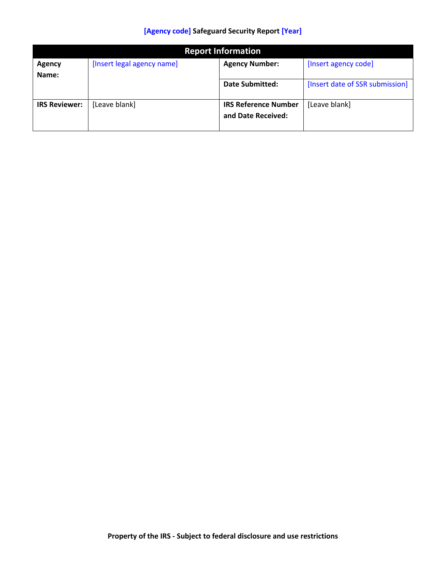| <b>Report Information</b> |                            |                                                   |                                 |
|---------------------------|----------------------------|---------------------------------------------------|---------------------------------|
| <b>Agency</b>             | [Insert legal agency name] | <b>Agency Number:</b>                             | [Insert agency code]            |
| Name:                     |                            |                                                   |                                 |
|                           |                            | <b>Date Submitted:</b>                            | [Insert date of SSR submission] |
| <b>IRS Reviewer:</b>      | [Leave blank]              | <b>IRS Reference Number</b><br>and Date Received: | [Leave blank]                   |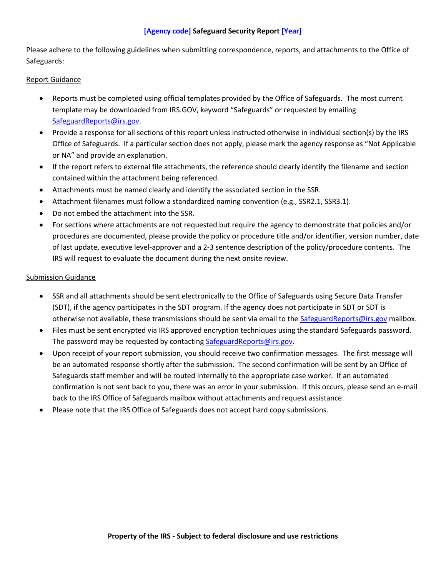Please adhere to the following guidelines when submitting correspondence, reports, and attachments to the Office of Safeguards:

#### Report Guidance

- Reports must be completed using official templates provided by the Office of Safeguards. The most current template may be downloaded from IRS.GOV, keyword "Safeguards" or requested by emailing [SafeguardReports@irs.gov.](mailto:SafeguardReports@irs.gov)
- Provide a response for all sections of this report unless instructed otherwise in individual section(s) by the IRS Office of Safeguards. If a particular section does not apply, please mark the agency response as "Not Applicable or NA" and provide an explanation.
- If the report refers to external file attachments, the reference should clearly identify the filename and section contained within the attachment being referenced.
- Attachments must be named clearly and identify the associated section in the SSR.
- Attachment filenames must follow a standardized naming convention (e.g., SSR2.1, SSR3.1).
- Do not embed the attachment into the SSR.
- For sections where attachments are not requested but require the agency to demonstrate that policies and/or procedures are documented, please provide the policy or procedure title and/or identifier, version number, date of last update, executive level-approver and a 2-3 sentence description of the policy/procedure contents. The IRS will request to evaluate the document during the next onsite review.

### Submission Guidance

- SSR and all attachments should be sent electronically to the Office of Safeguards using Secure Data Transfer (SDT), if the agency participates in the SDT program. If the agency does not participate in SDT or SDT is otherwise not available, these transmissions should be sent via email to the [SafeguardReports@irs.gov](mailto:SafeguardReports@irs.gov) mailbox.
- Files must be sent encrypted via IRS approved encryption techniques using the standard Safeguards password. The password may be requested by contactin[g SafeguardReports@irs.gov.](mailto:SafeguardReports@irs.gov)
- Upon receipt of your report submission, you should receive two confirmation messages. The first message will be an automated response shortly after the submission. The second confirmation will be sent by an Office of Safeguards staff member and will be routed internally to the appropriate case worker. If an automated confirmation is not sent back to you, there was an error in your submission. If this occurs, please send an e-mail back to the IRS Office of Safeguards mailbox without attachments and request assistance.
- Please note that the IRS Office of Safeguards does not accept hard copy submissions.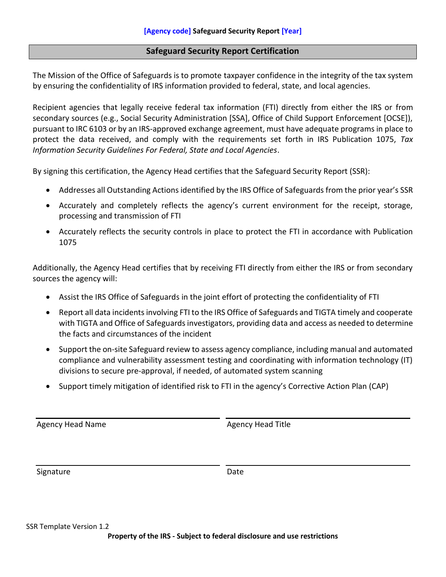## <span id="page-7-0"></span>**Safeguard Security Report Certification**

The Mission of the Office of Safeguards is to promote taxpayer confidence in the integrity of the tax system by ensuring the confidentiality of IRS information provided to federal, state, and local agencies.

Recipient agencies that legally receive federal tax information (FTI) directly from either the IRS or from secondary sources (e.g., Social Security Administration [SSA], Office of Child Support Enforcement [OCSE]), pursuant to IRC 6103 or by an IRS-approved exchange agreement, must have adequate programs in place to protect the data received, and comply with the requirements set forth in IRS Publication 1075, *Tax Information Security Guidelines For Federal, State and Local Agencies*.

By signing this certification, the Agency Head certifies that the Safeguard Security Report (SSR):

- Addresses all Outstanding Actions identified by the IRS Office of Safeguards from the prior year's SSR
- Accurately and completely reflects the agency's current environment for the receipt, storage, processing and transmission of FTI
- Accurately reflects the security controls in place to protect the FTI in accordance with Publication 1075

Additionally, the Agency Head certifies that by receiving FTI directly from either the IRS or from secondary sources the agency will:

- Assist the IRS Office of Safeguards in the joint effort of protecting the confidentiality of FTI
- Report all data incidents involving FTI to the IRS Office of Safeguards and TIGTA timely and cooperate with TIGTA and Office of Safeguards investigators, providing data and access as needed to determine the facts and circumstances of the incident
- Support the on-site Safeguard review to assess agency compliance, including manual and automated compliance and vulnerability assessment testing and coordinating with information technology (IT) divisions to secure pre-approval, if needed, of automated system scanning
- Support timely mitigation of identified risk to FTI in the agency's Corrective Action Plan (CAP)

Agency Head Name Agency Head Title

Signature Date Date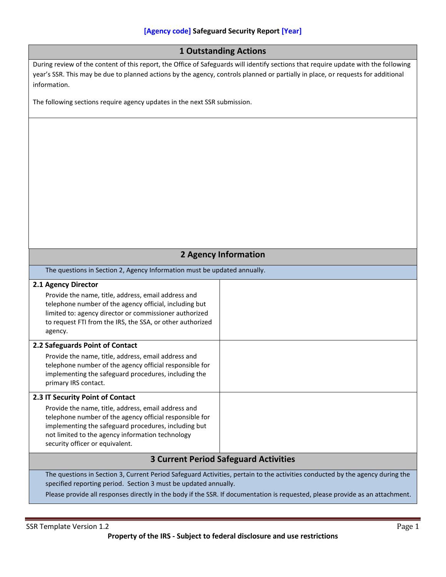<span id="page-8-2"></span><span id="page-8-1"></span><span id="page-8-0"></span>

| <b>1 Outstanding Actions</b>                                                                                                                                                                                                                                                                                                      |  |  |
|-----------------------------------------------------------------------------------------------------------------------------------------------------------------------------------------------------------------------------------------------------------------------------------------------------------------------------------|--|--|
| During review of the content of this report, the Office of Safeguards will identify sections that require update with the following<br>year's SSR. This may be due to planned actions by the agency, controls planned or partially in place, or requests for additional<br>information.                                           |  |  |
| The following sections require agency updates in the next SSR submission.                                                                                                                                                                                                                                                         |  |  |
|                                                                                                                                                                                                                                                                                                                                   |  |  |
| <b>2 Agency Information</b>                                                                                                                                                                                                                                                                                                       |  |  |
| The questions in Section 2, Agency Information must be updated annually.                                                                                                                                                                                                                                                          |  |  |
| 2.1 Agency Director<br>Provide the name, title, address, email address and<br>telephone number of the agency official, including but<br>limited to: agency director or commissioner authorized<br>to request FTI from the IRS, the SSA, or other authorized<br>agency.                                                            |  |  |
| 2.2 Safeguards Point of Contact<br>Provide the name, title, address, email address and<br>telephone number of the agency official responsible for<br>implementing the safeguard procedures, including the<br>primary IRS contact.                                                                                                 |  |  |
| 2.3 IT Security Point of Contact                                                                                                                                                                                                                                                                                                  |  |  |
| Provide the name, title, address, email address and<br>telephone number of the agency official responsible for<br>implementing the safeguard procedures, including but<br>not limited to the agency information technology<br>security officer or equivalent.                                                                     |  |  |
| <b>3 Current Period Safeguard Activities</b>                                                                                                                                                                                                                                                                                      |  |  |
| The questions in Section 3, Current Period Safeguard Activities, pertain to the activities conducted by the agency during the<br>specified reporting period. Section 3 must be updated annually.<br>Please provide all responses directly in the body if the SSR. If documentation is requested, please provide as an attachment. |  |  |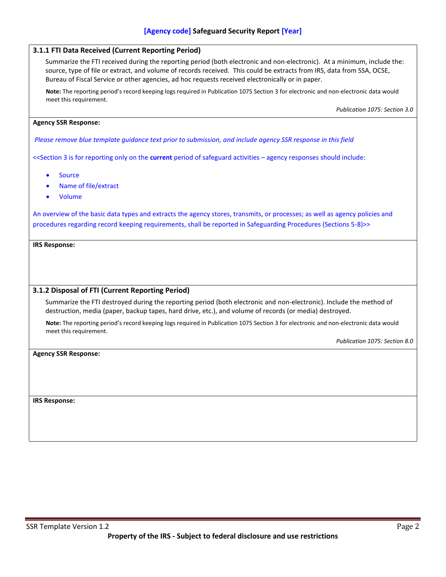| 3.1.1 FTI Data Received (Current Reporting Period)                                                                                                                                                                                                                                                                                                    |
|-------------------------------------------------------------------------------------------------------------------------------------------------------------------------------------------------------------------------------------------------------------------------------------------------------------------------------------------------------|
| Summarize the FTI received during the reporting period (both electronic and non-electronic). At a minimum, include the:<br>source, type of file or extract, and volume of records received. This could be extracts from IRS, data from SSA, OCSE,<br>Bureau of Fiscal Service or other agencies, ad hoc requests received electronically or in paper. |
| Note: The reporting period's record keeping logs required in Publication 1075 Section 3 for electronic and non-electronic data would<br>meet this requirement.                                                                                                                                                                                        |
| Publication 1075: Section 3.0                                                                                                                                                                                                                                                                                                                         |
| <b>Agency SSR Response:</b>                                                                                                                                                                                                                                                                                                                           |
| Please remove blue template guidance text prior to submission, and include agency SSR response in this field                                                                                                                                                                                                                                          |
| < <section -="" 3="" activities="" agency="" current="" for="" include:<="" is="" of="" on="" only="" period="" reporting="" responses="" safeguard="" should="" td="" the=""></section>                                                                                                                                                              |
| <b>Source</b>                                                                                                                                                                                                                                                                                                                                         |
| Name of file/extract                                                                                                                                                                                                                                                                                                                                  |
| Volume                                                                                                                                                                                                                                                                                                                                                |
| An overview of the basic data types and extracts the agency stores, transmits, or processes; as well as agency policies and<br>procedures regarding record keeping requirements, shall be reported in Safeguarding Procedures (Sections 5-8)>>                                                                                                        |
| <b>IRS Response:</b>                                                                                                                                                                                                                                                                                                                                  |
|                                                                                                                                                                                                                                                                                                                                                       |
|                                                                                                                                                                                                                                                                                                                                                       |
| 3.1.2 Disposal of FTI (Current Reporting Period)                                                                                                                                                                                                                                                                                                      |
| Summarize the FTI destroyed during the reporting period (both electronic and non-electronic). Include the method of<br>destruction, media (paper, backup tapes, hard drive, etc.), and volume of records (or media) destroyed.                                                                                                                        |
| Note: The reporting period's record keeping logs required in Publication 1075 Section 3 for electronic and non-electronic data would<br>meet this requirement.                                                                                                                                                                                        |
| Publication 1075: Section 8.0                                                                                                                                                                                                                                                                                                                         |
| <b>Agency SSR Response:</b>                                                                                                                                                                                                                                                                                                                           |
|                                                                                                                                                                                                                                                                                                                                                       |
|                                                                                                                                                                                                                                                                                                                                                       |
|                                                                                                                                                                                                                                                                                                                                                       |
| <b>IRS Response:</b>                                                                                                                                                                                                                                                                                                                                  |
|                                                                                                                                                                                                                                                                                                                                                       |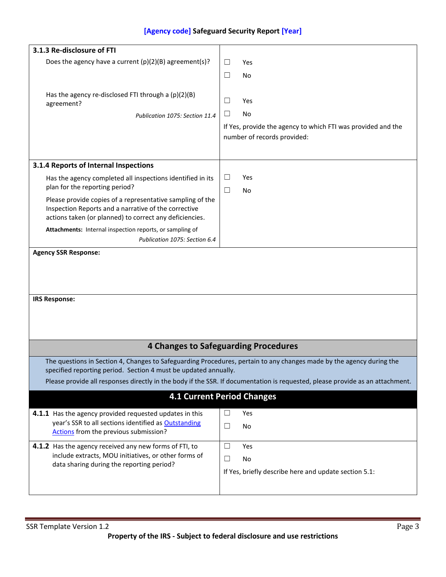<span id="page-10-1"></span><span id="page-10-0"></span>

| 3.1.3 Re-disclosure of FTI                                                                                      |                                                                                                                               |
|-----------------------------------------------------------------------------------------------------------------|-------------------------------------------------------------------------------------------------------------------------------|
| Does the agency have a current $(p)(2)(B)$ agreement(s)?                                                        | $\Box$<br>Yes                                                                                                                 |
|                                                                                                                 | $\Box$<br>No                                                                                                                  |
|                                                                                                                 |                                                                                                                               |
| Has the agency re-disclosed FTI through a (p)(2)(B)                                                             |                                                                                                                               |
| agreement?                                                                                                      | $\Box$<br>Yes                                                                                                                 |
| Publication 1075: Section 11.4                                                                                  | $\Box$<br>No                                                                                                                  |
|                                                                                                                 | If Yes, provide the agency to which FTI was provided and the                                                                  |
|                                                                                                                 | number of records provided:                                                                                                   |
|                                                                                                                 |                                                                                                                               |
| 3.1.4 Reports of Internal Inspections                                                                           |                                                                                                                               |
| Has the agency completed all inspections identified in its                                                      | $\Box$<br>Yes                                                                                                                 |
| plan for the reporting period?                                                                                  | $\Box$<br>No                                                                                                                  |
| Please provide copies of a representative sampling of the                                                       |                                                                                                                               |
| Inspection Reports and a narrative of the corrective<br>actions taken (or planned) to correct any deficiencies. |                                                                                                                               |
| Attachments: Internal inspection reports, or sampling of                                                        |                                                                                                                               |
| Publication 1075: Section 6.4                                                                                   |                                                                                                                               |
| <b>Agency SSR Response:</b>                                                                                     |                                                                                                                               |
|                                                                                                                 |                                                                                                                               |
|                                                                                                                 |                                                                                                                               |
|                                                                                                                 |                                                                                                                               |
| <b>IRS Response:</b>                                                                                            |                                                                                                                               |
|                                                                                                                 |                                                                                                                               |
|                                                                                                                 |                                                                                                                               |
|                                                                                                                 |                                                                                                                               |
|                                                                                                                 | <b>4 Changes to Safeguarding Procedures</b>                                                                                   |
|                                                                                                                 | The questions in Section 4, Changes to Safeguarding Procedures, pertain to any changes made by the agency during the          |
| specified reporting period. Section 4 must be updated annually.                                                 |                                                                                                                               |
|                                                                                                                 | Please provide all responses directly in the body if the SSR. If documentation is requested, please provide as an attachment. |
|                                                                                                                 | <b>4.1 Current Period Changes</b>                                                                                             |
|                                                                                                                 |                                                                                                                               |
| 4.1.1 Has the agency provided requested updates in this                                                         | $\Box$<br>Yes                                                                                                                 |
| year's SSR to all sections identified as Outstanding<br>Actions from the previous submission?                   | $\Box$<br>No                                                                                                                  |
|                                                                                                                 |                                                                                                                               |
| 4.1.2 Has the agency received any new forms of FTI, to                                                          | $\Box$<br>Yes                                                                                                                 |
| include extracts, MOU initiatives, or other forms of<br>data sharing during the reporting period?               | $\Box$<br>No                                                                                                                  |
|                                                                                                                 | If Yes, briefly describe here and update section 5.1:                                                                         |
|                                                                                                                 |                                                                                                                               |
|                                                                                                                 |                                                                                                                               |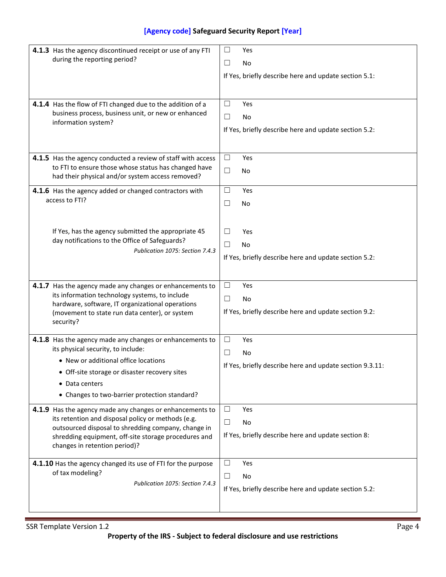| 4.1.3 Has the agency discontinued receipt or use of any FTI<br>during the reporting period?                                                                                                                                                                    | $\Box$<br>Yes<br>$\Box$<br>No<br>If Yes, briefly describe here and update section 5.1:    |
|----------------------------------------------------------------------------------------------------------------------------------------------------------------------------------------------------------------------------------------------------------------|-------------------------------------------------------------------------------------------|
| 4.1.4 Has the flow of FTI changed due to the addition of a<br>business process, business unit, or new or enhanced<br>information system?                                                                                                                       | $\Box$<br>Yes<br>$\Box$<br>No<br>If Yes, briefly describe here and update section 5.2:    |
| 4.1.5 Has the agency conducted a review of staff with access<br>to FTI to ensure those whose status has changed have<br>had their physical and/or system access removed?                                                                                       | $\Box$<br>Yes<br>$\Box$<br><b>No</b>                                                      |
| 4.1.6 Has the agency added or changed contractors with<br>access to FTI?                                                                                                                                                                                       | $\Box$<br>Yes<br>$\Box$<br><b>No</b>                                                      |
| If Yes, has the agency submitted the appropriate 45<br>day notifications to the Office of Safeguards?<br>Publication 1075: Section 7.4.3                                                                                                                       | $\Box$<br>Yes<br>$\Box$<br>No<br>If Yes, briefly describe here and update section 5.2:    |
| 4.1.7 Has the agency made any changes or enhancements to<br>its information technology systems, to include<br>hardware, software, IT organizational operations<br>(movement to state run data center), or system<br>security?                                  | $\Box$<br>Yes<br>$\Box$<br>No<br>If Yes, briefly describe here and update section 9.2:    |
| 4.1.8 Has the agency made any changes or enhancements to<br>its physical security, to include:<br>• New or additional office locations<br>• Off-site storage or disaster recovery sites<br>• Data centers<br>• Changes to two-barrier protection standard?     | $\Box$<br>Yes<br>$\Box$<br>No<br>If Yes, briefly describe here and update section 9.3.11: |
| 4.1.9 Has the agency made any changes or enhancements to<br>its retention and disposal policy or methods (e.g.<br>outsourced disposal to shredding company, change in<br>shredding equipment, off-site storage procedures and<br>changes in retention period)? | $\Box$<br>Yes<br>$\Box$<br>No<br>If Yes, briefly describe here and update section 8:      |
| 4.1.10 Has the agency changed its use of FTI for the purpose<br>of tax modeling?<br>Publication 1075: Section 7.4.3                                                                                                                                            | $\Box$<br>Yes<br>$\Box$<br>No<br>If Yes, briefly describe here and update section 5.2:    |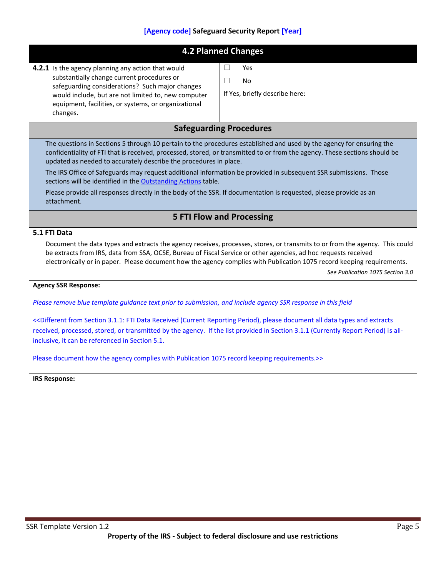<span id="page-12-2"></span><span id="page-12-1"></span><span id="page-12-0"></span>

|                                                                                                                                                                                                                                                                                                                                                                                                                                                                                                                     | <b>4.2 Planned Changes</b>                                      |  |
|---------------------------------------------------------------------------------------------------------------------------------------------------------------------------------------------------------------------------------------------------------------------------------------------------------------------------------------------------------------------------------------------------------------------------------------------------------------------------------------------------------------------|-----------------------------------------------------------------|--|
| 4.2.1 Is the agency planning any action that would<br>substantially change current procedures or<br>safeguarding considerations? Such major changes<br>would include, but are not limited to, new computer<br>equipment, facilities, or systems, or organizational<br>changes.                                                                                                                                                                                                                                      | $\Box$<br>Yes<br>$\Box$<br>No<br>If Yes, briefly describe here: |  |
|                                                                                                                                                                                                                                                                                                                                                                                                                                                                                                                     | <b>Safeguarding Procedures</b>                                  |  |
| The questions in Sections 5 through 10 pertain to the procedures established and used by the agency for ensuring the<br>confidentiality of FTI that is received, processed, stored, or transmitted to or from the agency. These sections should be<br>updated as needed to accurately describe the procedures in place.<br>The IRS Office of Safeguards may request additional information be provided in subsequent SSR submissions. Those<br>sections will be identified in the <b>Outstanding Actions</b> table. |                                                                 |  |
| Please provide all responses directly in the body of the SSR. If documentation is requested, please provide as an<br>attachment.                                                                                                                                                                                                                                                                                                                                                                                    |                                                                 |  |
|                                                                                                                                                                                                                                                                                                                                                                                                                                                                                                                     | <b>5 FTI Flow and Processing</b>                                |  |
| 5.1 FTI Data                                                                                                                                                                                                                                                                                                                                                                                                                                                                                                        |                                                                 |  |
| Document the data types and extracts the agency receives, processes, stores, or transmits to or from the agency. This could<br>be extracts from IRS, data from SSA, OCSE, Bureau of Fiscal Service or other agencies, ad hoc requests received<br>electronically or in paper. Please document how the agency complies with Publication 1075 record keeping requirements.<br>See Publication 1075 Section 3.0                                                                                                        |                                                                 |  |
| <b>Agency SSR Response:</b>                                                                                                                                                                                                                                                                                                                                                                                                                                                                                         |                                                                 |  |
| Please remove blue template guidance text prior to submission, and include agency SSR response in this field                                                                                                                                                                                                                                                                                                                                                                                                        |                                                                 |  |
| < <different (current="" 3.1.1:="" all="" and="" data="" document="" extracts<br="" from="" fti="" period),="" please="" received="" reporting="" section="" types="">received, processed, stored, or transmitted by the agency. If the list provided in Section 3.1.1 (Currently Report Period) is all-<br/>inclusive, it can be referenced in Section 5.1.</different>                                                                                                                                            |                                                                 |  |
| Please document how the agency complies with Publication 1075 record keeping requirements.>>                                                                                                                                                                                                                                                                                                                                                                                                                        |                                                                 |  |
| <b>IRS Response:</b>                                                                                                                                                                                                                                                                                                                                                                                                                                                                                                |                                                                 |  |
|                                                                                                                                                                                                                                                                                                                                                                                                                                                                                                                     |                                                                 |  |
|                                                                                                                                                                                                                                                                                                                                                                                                                                                                                                                     |                                                                 |  |
|                                                                                                                                                                                                                                                                                                                                                                                                                                                                                                                     |                                                                 |  |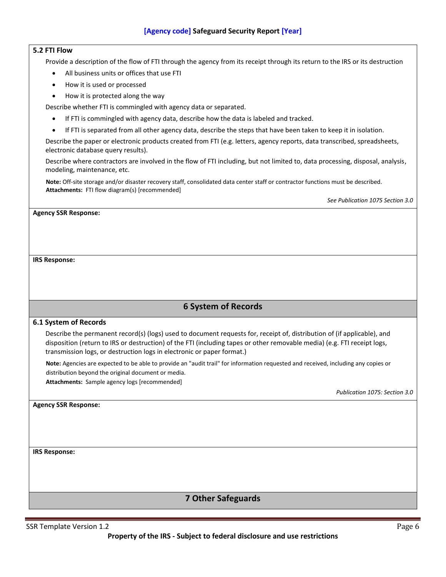#### **5.2 FTI Flow**

Provide a description of the flow of FTI through the agency from its receipt through its return to the IRS or its destruction

- All business units or offices that use FTI
- How it is used or processed
- How it is protected along the way

Describe whether FTI is commingled with agency data or separated.

- If FTI is commingled with agency data, describe how the data is labeled and tracked.
- If FTI is separated from all other agency data, describe the steps that have been taken to keep it in isolation.

Describe the paper or electronic products created from FTI (e.g. letters, agency reports, data transcribed, spreadsheets, electronic database query results).

Describe where contractors are involved in the flow of FTI including, but not limited to, data processing, disposal, analysis, modeling, maintenance, etc.

**Note:** Off-site storage and/or disaster recovery staff, consolidated data center staff or contractor functions must be described. **Attachments:** FTI flow diagram(s) [recommended]

*See Publication 1075 Section 3.0*

#### **Agency SSR Response:**

#### **IRS Response:**

## **6 System of Records**

#### <span id="page-13-0"></span>**6.1 System of Records**

Describe the permanent record(s) (logs) used to document requests for, receipt of, distribution of (if applicable), and disposition (return to IRS or destruction) of the FTI (including tapes or other removable media) (e.g. FTI receipt logs, transmission logs, or destruction logs in electronic or paper format.)

**Note:** Agencies are expected to be able to provide an "audit trail" for information requested and received, including any copies or distribution beyond the original document or media.

**Attachments:** Sample agency logs [recommended]

*Publication 1075: Section 3.0*

**Agency SSR Response:**

**IRS Response:**

## **7 Other Safeguards**

<span id="page-13-1"></span>SSR Template Version 1.2 Page 6

**Property of the IRS - Subject to federal disclosure and use restrictions**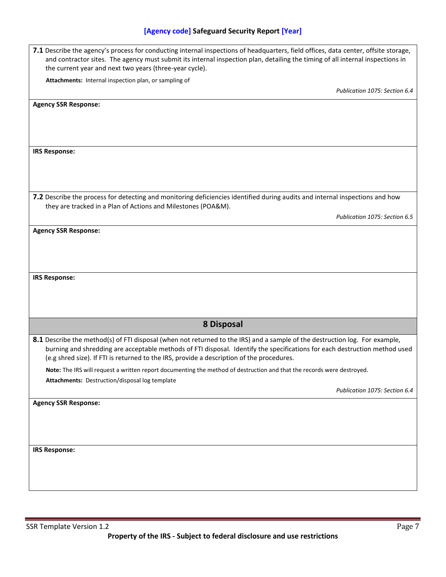<span id="page-14-0"></span>

| 7.1 Describe the agency's process for conducting internal inspections of headquarters, field offices, data center, offsite storage,<br>and contractor sites. The agency must submit its internal inspection plan, detailing the timing of all internal inspections in<br>the current year and next two years (three-year cycle).                       |  |
|--------------------------------------------------------------------------------------------------------------------------------------------------------------------------------------------------------------------------------------------------------------------------------------------------------------------------------------------------------|--|
| Attachments: Internal inspection plan, or sampling of                                                                                                                                                                                                                                                                                                  |  |
| Publication 1075: Section 6.4                                                                                                                                                                                                                                                                                                                          |  |
| <b>Agency SSR Response:</b>                                                                                                                                                                                                                                                                                                                            |  |
|                                                                                                                                                                                                                                                                                                                                                        |  |
| <b>IRS Response:</b>                                                                                                                                                                                                                                                                                                                                   |  |
| 7.2 Describe the process for detecting and monitoring deficiencies identified during audits and internal inspections and how<br>they are tracked in a Plan of Actions and Milestones (POA&M).                                                                                                                                                          |  |
| Publication 1075: Section 6.5                                                                                                                                                                                                                                                                                                                          |  |
| <b>Agency SSR Response:</b>                                                                                                                                                                                                                                                                                                                            |  |
|                                                                                                                                                                                                                                                                                                                                                        |  |
| <b>IRS Response:</b>                                                                                                                                                                                                                                                                                                                                   |  |
| 8 Disposal                                                                                                                                                                                                                                                                                                                                             |  |
| 8.1 Describe the method(s) of FTI disposal (when not returned to the IRS) and a sample of the destruction log. For example,<br>burning and shredding are acceptable methods of FTI disposal. Identify the specifications for each destruction method used<br>(e.g shred size). If FTI is returned to the IRS, provide a description of the procedures. |  |
| Note: The IRS will request a written report documenting the method of destruction and that the records were destroyed.                                                                                                                                                                                                                                 |  |
| Attachments: Destruction/disposal log template<br>Publication 1075: Section 6.4                                                                                                                                                                                                                                                                        |  |
| <b>Agency SSR Response:</b>                                                                                                                                                                                                                                                                                                                            |  |
|                                                                                                                                                                                                                                                                                                                                                        |  |
| <b>IRS Response:</b>                                                                                                                                                                                                                                                                                                                                   |  |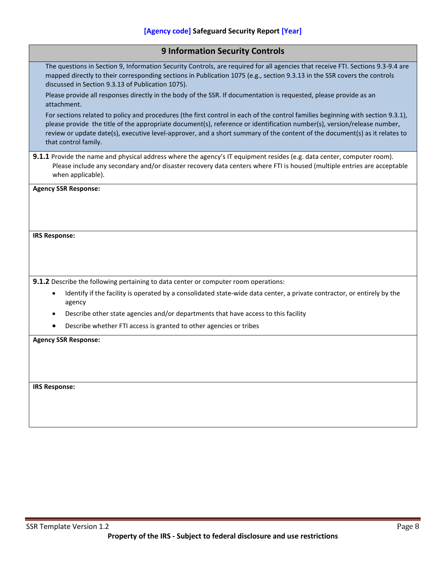<span id="page-15-0"></span>

| <b>9 Information Security Controls</b>                                                                                                                                                                                                                                                                                                                                                                           |
|------------------------------------------------------------------------------------------------------------------------------------------------------------------------------------------------------------------------------------------------------------------------------------------------------------------------------------------------------------------------------------------------------------------|
| The questions in Section 9, Information Security Controls, are required for all agencies that receive FTI. Sections 9.3-9.4 are<br>mapped directly to their corresponding sections in Publication 1075 (e.g., section 9.3.13 in the SSR covers the controls<br>discussed in Section 9.3.13 of Publication 1075).                                                                                                 |
| Please provide all responses directly in the body of the SSR. If documentation is requested, please provide as an<br>attachment.                                                                                                                                                                                                                                                                                 |
| For sections related to policy and procedures (the first control in each of the control families beginning with section 9.3.1),<br>please provide the title of the appropriate document(s), reference or identification number(s), version/release number,<br>review or update date(s), executive level-approver, and a short summary of the content of the document(s) as it relates to<br>that control family. |
| 9.1.1 Provide the name and physical address where the agency's IT equipment resides (e.g. data center, computer room).<br>Please include any secondary and/or disaster recovery data centers where FTI is housed (multiple entries are acceptable<br>when applicable).                                                                                                                                           |
| <b>Agency SSR Response:</b>                                                                                                                                                                                                                                                                                                                                                                                      |
|                                                                                                                                                                                                                                                                                                                                                                                                                  |
| <b>IRS Response:</b>                                                                                                                                                                                                                                                                                                                                                                                             |
|                                                                                                                                                                                                                                                                                                                                                                                                                  |
|                                                                                                                                                                                                                                                                                                                                                                                                                  |
|                                                                                                                                                                                                                                                                                                                                                                                                                  |
| 9.1.2 Describe the following pertaining to data center or computer room operations:                                                                                                                                                                                                                                                                                                                              |
| Identify if the facility is operated by a consolidated state-wide data center, a private contractor, or entirely by the<br>$\bullet$<br>agency                                                                                                                                                                                                                                                                   |
| Describe other state agencies and/or departments that have access to this facility                                                                                                                                                                                                                                                                                                                               |
| Describe whether FTI access is granted to other agencies or tribes                                                                                                                                                                                                                                                                                                                                               |
| <b>Agency SSR Response:</b>                                                                                                                                                                                                                                                                                                                                                                                      |
|                                                                                                                                                                                                                                                                                                                                                                                                                  |
|                                                                                                                                                                                                                                                                                                                                                                                                                  |
|                                                                                                                                                                                                                                                                                                                                                                                                                  |
| <b>IRS Response:</b>                                                                                                                                                                                                                                                                                                                                                                                             |
|                                                                                                                                                                                                                                                                                                                                                                                                                  |
|                                                                                                                                                                                                                                                                                                                                                                                                                  |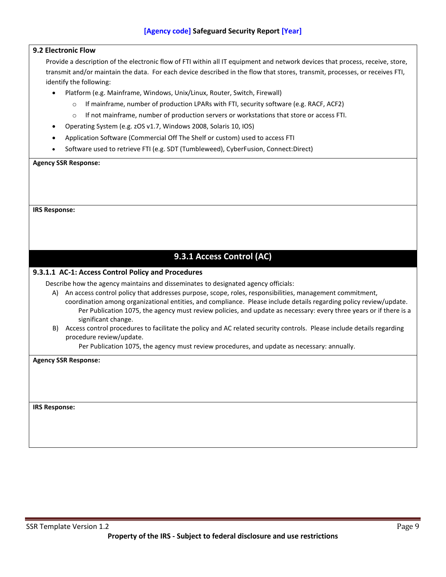#### **9.2 Electronic Flow**

Provide a description of the electronic flow of FTI within all IT equipment and network devices that process, receive, store, transmit and/or maintain the data. For each device described in the flow that stores, transmit, processes, or receives FTI, identify the following:

- Platform (e.g. Mainframe, Windows, Unix/Linux, Router, Switch, Firewall)
	- $\circ$  If mainframe, number of production LPARs with FTI, security software (e.g. RACF, ACF2)
	- o If not mainframe, number of production servers or workstations that store or access FTI.
- Operating System (e.g. zOS v1.7, Windows 2008, Solaris 10, IOS)
- Application Software (Commercial Off The Shelf or custom) used to access FTI
- Software used to retrieve FTI (e.g. SDT (Tumbleweed), CyberFusion, Connect:Direct)

#### **Agency SSR Response:**

**IRS Response:**

## **9.3.1 Access Control (AC)**

#### <span id="page-16-0"></span>**9.3.1.1 AC-1: Access Control Policy and Procedures**

Describe how the agency maintains and disseminates to designated agency officials:

- A) An access control policy that addresses purpose, scope, roles, responsibilities, management commitment, coordination among organizational entities, and compliance. Please include details regarding policy review/update. Per Publication 1075, the agency must review policies, and update as necessary: every three years or if there is a significant change.
- B) Access control procedures to facilitate the policy and AC related security controls. Please include details regarding procedure review/update.

Per Publication 1075, the agency must review procedures, and update as necessary: annually.

**Agency SSR Response:**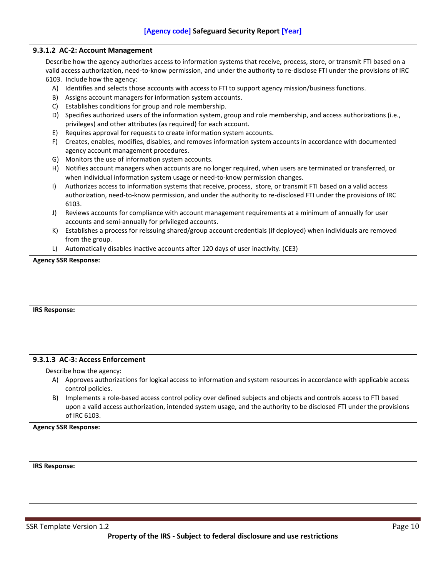#### **9.3.1.2 AC-2: Account Management**

Describe how the agency authorizes access to information systems that receive, process, store, or transmit FTI based on a valid access authorization, need-to-know permission, and under the authority to re-disclose FTI under the provisions of IRC

- 6103. Include how the agency:
	- A) Identifies and selects those accounts with access to FTI to support agency mission/business functions.
	- B) Assigns account managers for information system accounts.
	- C) Establishes conditions for group and role membership.
	- D) Specifies authorized users of the information system, group and role membership, and access authorizations (i.e., privileges) and other attributes (as required) for each account.
	- E) Requires approval for requests to create information system accounts.
	- F) Creates, enables, modifies, disables, and removes information system accounts in accordance with documented agency account management procedures.
	- G) Monitors the use of information system accounts.
	- H) Notifies account managers when accounts are no longer required, when users are terminated or transferred, or when individual information system usage or need-to-know permission changes.
	- I) Authorizes access to information systems that receive, process, store, or transmit FTI based on a valid access authorization, need-to-know permission, and under the authority to re-disclosed FTI under the provisions of IRC 6103.
	- J) Reviews accounts for compliance with account management requirements at a minimum of annually for user accounts and semi-annually for privileged accounts.
	- K) Establishes a process for reissuing shared/group account credentials (if deployed) when individuals are removed from the group.
	- L) Automatically disables inactive accounts after 120 days of user inactivity. (CE3)

#### **Agency SSR Response:**

#### **IRS Response:**

#### **9.3.1.3 AC-3: Access Enforcement**

- Describe how the agency:
	- A) Approves authorizations for logical access to information and system resources in accordance with applicable access control policies.
	- B) Implements a role-based access control policy over defined subjects and objects and controls access to FTI based upon a valid access authorization, intended system usage, and the authority to be disclosed FTI under the provisions of IRC 6103.

#### **Agency SSR Response:**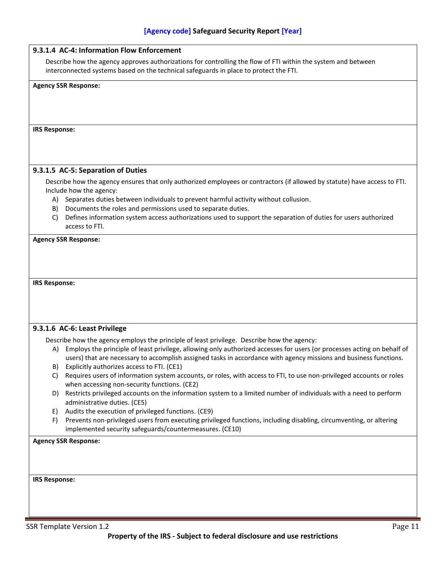| 9.3.1.4 AC-4: Information Flow Enforcement                                                                                                                                                             |                                                                                                                                                                                                                                                 |  |
|--------------------------------------------------------------------------------------------------------------------------------------------------------------------------------------------------------|-------------------------------------------------------------------------------------------------------------------------------------------------------------------------------------------------------------------------------------------------|--|
| Describe how the agency approves authorizations for controlling the flow of FTI within the system and between<br>interconnected systems based on the technical safeguards in place to protect the FTI. |                                                                                                                                                                                                                                                 |  |
| <b>Agency SSR Response:</b>                                                                                                                                                                            |                                                                                                                                                                                                                                                 |  |
|                                                                                                                                                                                                        |                                                                                                                                                                                                                                                 |  |
|                                                                                                                                                                                                        |                                                                                                                                                                                                                                                 |  |
| <b>IRS Response:</b>                                                                                                                                                                                   |                                                                                                                                                                                                                                                 |  |
|                                                                                                                                                                                                        |                                                                                                                                                                                                                                                 |  |
|                                                                                                                                                                                                        |                                                                                                                                                                                                                                                 |  |
| 9.3.1.5 AC-5: Separation of Duties                                                                                                                                                                     |                                                                                                                                                                                                                                                 |  |
| Include how the agency:                                                                                                                                                                                | Describe how the agency ensures that only authorized employees or contractors (if allowed by statute) have access to FTI.                                                                                                                       |  |
| A)                                                                                                                                                                                                     | Separates duties between individuals to prevent harmful activity without collusion.                                                                                                                                                             |  |
| Documents the roles and permissions used to separate duties.<br>B)<br>C)                                                                                                                               | Defines information system access authorizations used to support the separation of duties for users authorized                                                                                                                                  |  |
| access to FTI.                                                                                                                                                                                         |                                                                                                                                                                                                                                                 |  |
| <b>Agency SSR Response:</b>                                                                                                                                                                            |                                                                                                                                                                                                                                                 |  |
|                                                                                                                                                                                                        |                                                                                                                                                                                                                                                 |  |
|                                                                                                                                                                                                        |                                                                                                                                                                                                                                                 |  |
| <b>IRS Response:</b>                                                                                                                                                                                   |                                                                                                                                                                                                                                                 |  |
|                                                                                                                                                                                                        |                                                                                                                                                                                                                                                 |  |
|                                                                                                                                                                                                        |                                                                                                                                                                                                                                                 |  |
|                                                                                                                                                                                                        |                                                                                                                                                                                                                                                 |  |
| 9.3.1.6 AC-6: Least Privilege                                                                                                                                                                          |                                                                                                                                                                                                                                                 |  |
|                                                                                                                                                                                                        | Describe how the agency employs the principle of least privilege. Describe how the agency:                                                                                                                                                      |  |
|                                                                                                                                                                                                        | A) Employs the principle of least privilege, allowing only authorized accesses for users (or processes acting on behalf of<br>users) that are necessary to accomplish assigned tasks in accordance with agency missions and business functions. |  |
| B) Explicitly authorizes access to FTI. (CE1)                                                                                                                                                          |                                                                                                                                                                                                                                                 |  |
| C)<br>when accessing non-security functions. (CE2)                                                                                                                                                     | Requires users of information system accounts, or roles, with access to FTI, to use non-privileged accounts or roles                                                                                                                            |  |
| D)                                                                                                                                                                                                     | Restricts privileged accounts on the information system to a limited number of individuals with a need to perform                                                                                                                               |  |
| administrative duties. (CE5)<br>Audits the execution of privileged functions. (CE9)<br>E)                                                                                                              |                                                                                                                                                                                                                                                 |  |
| F)                                                                                                                                                                                                     | Prevents non-privileged users from executing privileged functions, including disabling, circumventing, or altering                                                                                                                              |  |
| implemented security safeguards/countermeasures. (CE10)                                                                                                                                                |                                                                                                                                                                                                                                                 |  |
| <b>Agency SSR Response:</b>                                                                                                                                                                            |                                                                                                                                                                                                                                                 |  |
|                                                                                                                                                                                                        |                                                                                                                                                                                                                                                 |  |
|                                                                                                                                                                                                        |                                                                                                                                                                                                                                                 |  |
| <b>IRS Response:</b>                                                                                                                                                                                   |                                                                                                                                                                                                                                                 |  |
|                                                                                                                                                                                                        |                                                                                                                                                                                                                                                 |  |
|                                                                                                                                                                                                        |                                                                                                                                                                                                                                                 |  |
|                                                                                                                                                                                                        |                                                                                                                                                                                                                                                 |  |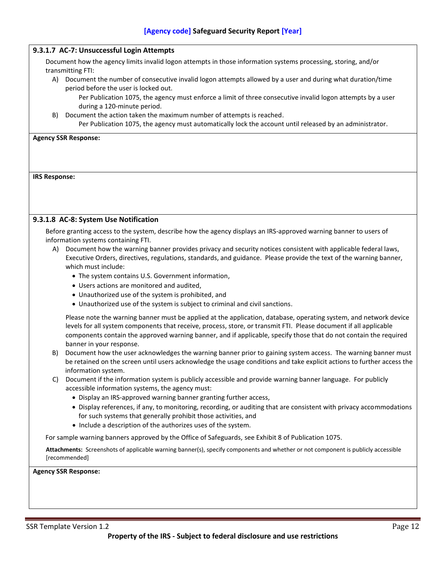#### **9.3.1.7 AC-7: Unsuccessful Login Attempts**

Document how the agency limits invalid logon attempts in those information systems processing, storing, and/or transmitting FTI:

A) Document the number of consecutive invalid logon attempts allowed by a user and during what duration/time period before the user is locked out.

Per Publication 1075, the agency must enforce a limit of three consecutive invalid logon attempts by a user during a 120-minute period.

B) Document the action taken the maximum number of attempts is reached. Per Publication 1075, the agency must automatically lock the account until released by an administrator.

**Agency SSR Response:** 

**IRS Response:**

#### **9.3.1.8 AC-8: System Use Notification**

Before granting access to the system, describe how the agency displays an IRS-approved warning banner to users of information systems containing FTI.

- A) Document how the warning banner provides privacy and security notices consistent with applicable federal laws, Executive Orders, directives, regulations, standards, and guidance. Please provide the text of the warning banner, which must include:
	- The system contains U.S. Government information,
	- Users actions are monitored and audited,
	- Unauthorized use of the system is prohibited, and
	- Unauthorized use of the system is subject to criminal and civil sanctions.

Please note the warning banner must be applied at the application, database, operating system, and network device levels for all system components that receive, process, store, or transmit FTI. Please document if all applicable components contain the approved warning banner, and if applicable, specify those that do not contain the required banner in your response.

- B) Document how the user acknowledges the warning banner prior to gaining system access. The warning banner must be retained on the screen until users acknowledge the usage conditions and take explicit actions to further access the information system.
- C) Document if the information system is publicly accessible and provide warning banner language. For publicly accessible information systems, the agency must:
	- Display an IRS-approved warning banner granting further access,
	- Display references, if any, to monitoring, recording, or auditing that are consistent with privacy accommodations for such systems that generally prohibit those activities, and
	- Include a description of the authorizes uses of the system.

For sample warning banners approved by the Office of Safeguards, see Exhibit 8 of Publication 1075.

**Attachments:** Screenshots of applicable warning banner(s), specify components and whether or not component is publicly accessible [recommended]

**Agency SSR Response:**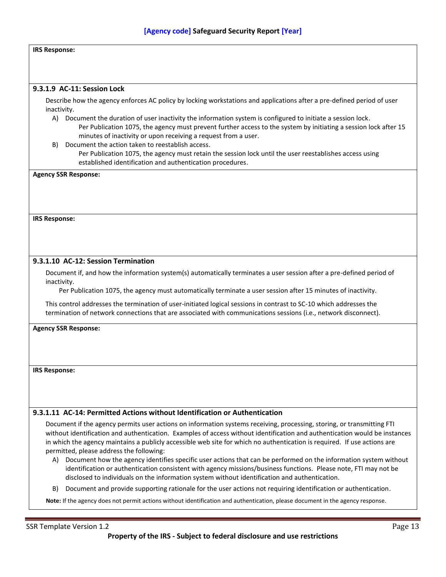#### **IRS Response:**

#### **9.3.1.9 AC-11: Session Lock**

Describe how the agency enforces AC policy by locking workstations and applications after a pre-defined period of user inactivity.

- A) Document the duration of user inactivity the information system is configured to initiate a session lock. Per Publication 1075, the agency must prevent further access to the system by initiating a session lock after 15 minutes of inactivity or upon receiving a request from a user.
- B) Document the action taken to reestablish access.
	- Per Publication 1075, the agency must retain the session lock until the user reestablishes access using established identification and authentication procedures.

**Agency SSR Response:**

**IRS Response:**

#### **9.3.1.10 AC-12: Session Termination**

Document if, and how the information system(s) automatically terminates a user session after a pre-defined period of inactivity.

Per Publication 1075, the agency must automatically terminate a user session after 15 minutes of inactivity.

This control addresses the termination of user-initiated logical sessions in contrast to SC-10 which addresses the termination of network connections that are associated with communications sessions (i.e., network disconnect).

#### **Agency SSR Response:**

**IRS Response:**

#### **9.3.1.11 AC-14: Permitted Actions without Identification or Authentication**

Document if the agency permits user actions on information systems receiving, processing, storing, or transmitting FTI without identification and authentication. Examples of access without identification and authentication would be instances in which the agency maintains a publicly accessible web site for which no authentication is required. If use actions are permitted, please address the following:

- A) Document how the agency identifies specific user actions that can be performed on the information system without identification or authentication consistent with agency missions/business functions. Please note, FTI may not be disclosed to individuals on the information system without identification and authentication.
- B) Document and provide supporting rationale for the user actions not requiring identification or authentication.

**Note:** If the agency does not permit actions without identification and authentication, please document in the agency response.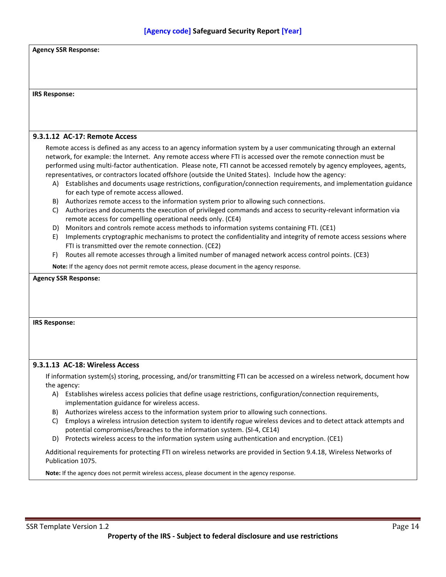| <b>Agency SSR Response:</b>                                                                                                                                                                                                |
|----------------------------------------------------------------------------------------------------------------------------------------------------------------------------------------------------------------------------|
|                                                                                                                                                                                                                            |
|                                                                                                                                                                                                                            |
|                                                                                                                                                                                                                            |
| <b>IRS Response:</b>                                                                                                                                                                                                       |
|                                                                                                                                                                                                                            |
|                                                                                                                                                                                                                            |
| 9.3.1.12 AC-17: Remote Access                                                                                                                                                                                              |
| Remote access is defined as any access to an agency information system by a user communicating through an external                                                                                                         |
| network, for example: the Internet. Any remote access where FTI is accessed over the remote connection must be                                                                                                             |
| performed using multi-factor authentication. Please note, FTI cannot be accessed remotely by agency employees, agents,                                                                                                     |
| representatives, or contractors located offshore (outside the United States). Include how the agency:                                                                                                                      |
| A) Establishes and documents usage restrictions, configuration/connection requirements, and implementation guidance<br>for each type of remote access allowed.                                                             |
| B) Authorizes remote access to the information system prior to allowing such connections.                                                                                                                                  |
| Authorizes and documents the execution of privileged commands and access to security-relevant information via<br>C)                                                                                                        |
| remote access for compelling operational needs only. (CE4)                                                                                                                                                                 |
| Monitors and controls remote access methods to information systems containing FTI. (CE1)<br>D)                                                                                                                             |
| Implements cryptographic mechanisms to protect the confidentiality and integrity of remote access sessions where<br>E)<br>FTI is transmitted over the remote connection. (CE2)                                             |
| Routes all remote accesses through a limited number of managed network access control points. (CE3)<br>F)                                                                                                                  |
| Note: If the agency does not permit remote access, please document in the agency response.                                                                                                                                 |
|                                                                                                                                                                                                                            |
| <b>Agency SSR Response:</b>                                                                                                                                                                                                |
|                                                                                                                                                                                                                            |
|                                                                                                                                                                                                                            |
| <b>IRS Response:</b>                                                                                                                                                                                                       |
|                                                                                                                                                                                                                            |
|                                                                                                                                                                                                                            |
|                                                                                                                                                                                                                            |
| 9.3.1.13 AC-18: Wireless Access                                                                                                                                                                                            |
| If information system(s) storing, processing, and/or transmitting FTI can be accessed on a wireless network, document how                                                                                                  |
| the agency:                                                                                                                                                                                                                |
| A) Establishes wireless access policies that define usage restrictions, configuration/connection requirements,                                                                                                             |
| implementation guidance for wireless access.                                                                                                                                                                               |
| Authorizes wireless access to the information system prior to allowing such connections.<br>B)<br>Employs a wireless intrusion detection system to identify rogue wireless devices and to detect attack attempts and<br>C) |
| potential compromises/breaches to the information system. (SI-4, CE14)                                                                                                                                                     |
| Protects wireless access to the information system using authentication and encryption. (CE1)<br>D)                                                                                                                        |
| Additional requirements for protecting FTI on wireless networks are provided in Section 9.4.18, Wireless Networks of                                                                                                       |
| Publication 1075.                                                                                                                                                                                                          |
| Note: If the agency does not permit wireless access, please document in the agency response.                                                                                                                               |
|                                                                                                                                                                                                                            |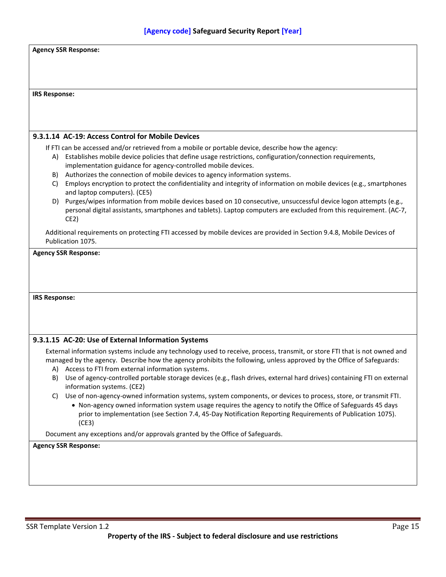| <b>Agency SSR Response:</b> |                                                                                                                                                                                                                                                                                                           |
|-----------------------------|-----------------------------------------------------------------------------------------------------------------------------------------------------------------------------------------------------------------------------------------------------------------------------------------------------------|
|                             |                                                                                                                                                                                                                                                                                                           |
|                             |                                                                                                                                                                                                                                                                                                           |
|                             |                                                                                                                                                                                                                                                                                                           |
| <b>IRS Response:</b>        |                                                                                                                                                                                                                                                                                                           |
|                             |                                                                                                                                                                                                                                                                                                           |
|                             |                                                                                                                                                                                                                                                                                                           |
|                             | 9.3.1.14 AC-19: Access Control for Mobile Devices                                                                                                                                                                                                                                                         |
|                             | If FTI can be accessed and/or retrieved from a mobile or portable device, describe how the agency:                                                                                                                                                                                                        |
| A)                          | Establishes mobile device policies that define usage restrictions, configuration/connection requirements,                                                                                                                                                                                                 |
|                             | implementation guidance for agency-controlled mobile devices.                                                                                                                                                                                                                                             |
| B)<br>C)                    | Authorizes the connection of mobile devices to agency information systems.<br>Employs encryption to protect the confidentiality and integrity of information on mobile devices (e.g., smartphones                                                                                                         |
|                             | and laptop computers). (CE5)                                                                                                                                                                                                                                                                              |
| D).                         | Purges/wipes information from mobile devices based on 10 consecutive, unsuccessful device logon attempts (e.g.,                                                                                                                                                                                           |
|                             | personal digital assistants, smartphones and tablets). Laptop computers are excluded from this requirement. (AC-7,                                                                                                                                                                                        |
|                             | CE2)                                                                                                                                                                                                                                                                                                      |
|                             | Additional requirements on protecting FTI accessed by mobile devices are provided in Section 9.4.8, Mobile Devices of                                                                                                                                                                                     |
|                             | Publication 1075.                                                                                                                                                                                                                                                                                         |
|                             | <b>Agency SSR Response:</b>                                                                                                                                                                                                                                                                               |
|                             |                                                                                                                                                                                                                                                                                                           |
|                             |                                                                                                                                                                                                                                                                                                           |
|                             |                                                                                                                                                                                                                                                                                                           |
| <b>IRS Response:</b>        |                                                                                                                                                                                                                                                                                                           |
|                             |                                                                                                                                                                                                                                                                                                           |
|                             |                                                                                                                                                                                                                                                                                                           |
|                             |                                                                                                                                                                                                                                                                                                           |
|                             | 9.3.1.15 AC-20: Use of External Information Systems                                                                                                                                                                                                                                                       |
|                             | External information systems include any technology used to receive, process, transmit, or store FTI that is not owned and<br>managed by the agency. Describe how the agency prohibits the following, unless approved by the Office of Safeguards:<br>A) Access to FTI from external information systems. |
| B)                          | Use of agency-controlled portable storage devices (e.g., flash drives, external hard drives) containing FTI on external                                                                                                                                                                                   |
|                             | information systems. (CE2)                                                                                                                                                                                                                                                                                |
| C)                          | Use of non-agency-owned information systems, system components, or devices to process, store, or transmit FTI.                                                                                                                                                                                            |
|                             | • Non-agency owned information system usage requires the agency to notify the Office of Safeguards 45 days                                                                                                                                                                                                |
|                             | prior to implementation (see Section 7.4, 45-Day Notification Reporting Requirements of Publication 1075).<br>(CE3)                                                                                                                                                                                       |
|                             | Document any exceptions and/or approvals granted by the Office of Safeguards.                                                                                                                                                                                                                             |
|                             | <b>Agency SSR Response:</b>                                                                                                                                                                                                                                                                               |
|                             |                                                                                                                                                                                                                                                                                                           |
|                             |                                                                                                                                                                                                                                                                                                           |
|                             |                                                                                                                                                                                                                                                                                                           |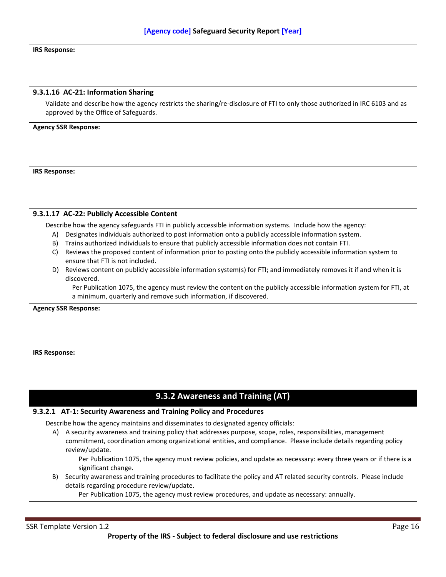#### **IRS Response:**

#### **9.3.1.16 AC-21: Information Sharing**

Validate and describe how the agency restricts the sharing/re-disclosure of FTI to only those authorized in IRC 6103 and as approved by the Office of Safeguards.

#### **Agency SSR Response:**

**IRS Response:**

#### **9.3.1.17 AC-22: Publicly Accessible Content**

Describe how the agency safeguards FTI in publicly accessible information systems. Include how the agency:

- A) Designates individuals authorized to post information onto a publicly accessible information system.
- B) Trains authorized individuals to ensure that publicly accessible information does not contain FTI.
- C) Reviews the proposed content of information prior to posting onto the publicly accessible information system to ensure that FTI is not included.
- D) Reviews content on publicly accessible information system(s) for FTI; and immediately removes it if and when it is discovered.

Per Publication 1075, the agency must review the content on the publicly accessible information system for FTI, at a minimum, quarterly and remove such information, if discovered.

**Agency SSR Response:**

#### **IRS Response:**

## **9.3.2 Awareness and Training (AT)**

#### <span id="page-23-0"></span>**9.3.2.1 AT-1: Security Awareness and Training Policy and Procedures**

Describe how the agency maintains and disseminates to designated agency officials:

A) A security awareness and training policy that addresses purpose, scope, roles, responsibilities, management commitment, coordination among organizational entities, and compliance. Please include details regarding policy review/update.

Per Publication 1075, the agency must review policies, and update as necessary: every three years or if there is a significant change.

B) Security awareness and training procedures to facilitate the policy and AT related security controls. Please include details regarding procedure review/update.

Per Publication 1075, the agency must review procedures, and update as necessary: annually.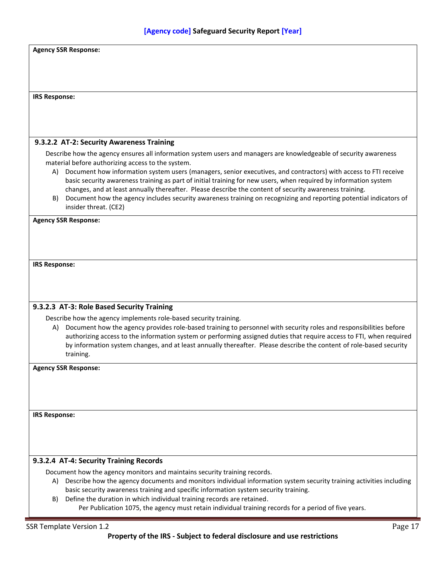| <b>IRS Response:</b>        |                                                                                                                                                                                                                                                                                                                                                                                                                                                                                                                                                                                                                                              |
|-----------------------------|----------------------------------------------------------------------------------------------------------------------------------------------------------------------------------------------------------------------------------------------------------------------------------------------------------------------------------------------------------------------------------------------------------------------------------------------------------------------------------------------------------------------------------------------------------------------------------------------------------------------------------------------|
|                             |                                                                                                                                                                                                                                                                                                                                                                                                                                                                                                                                                                                                                                              |
|                             |                                                                                                                                                                                                                                                                                                                                                                                                                                                                                                                                                                                                                                              |
|                             | 9.3.2.2 AT-2: Security Awareness Training                                                                                                                                                                                                                                                                                                                                                                                                                                                                                                                                                                                                    |
| A)<br>B)                    | Describe how the agency ensures all information system users and managers are knowledgeable of security awareness<br>material before authorizing access to the system.<br>Document how information system users (managers, senior executives, and contractors) with access to FTI receive<br>basic security awareness training as part of initial training for new users, when required by information system<br>changes, and at least annually thereafter. Please describe the content of security awareness training.<br>Document how the agency includes security awareness training on recognizing and reporting potential indicators of |
|                             | insider threat. (CE2)                                                                                                                                                                                                                                                                                                                                                                                                                                                                                                                                                                                                                        |
| <b>Agency SSR Response:</b> |                                                                                                                                                                                                                                                                                                                                                                                                                                                                                                                                                                                                                                              |
|                             |                                                                                                                                                                                                                                                                                                                                                                                                                                                                                                                                                                                                                                              |
|                             |                                                                                                                                                                                                                                                                                                                                                                                                                                                                                                                                                                                                                                              |
|                             |                                                                                                                                                                                                                                                                                                                                                                                                                                                                                                                                                                                                                                              |
|                             |                                                                                                                                                                                                                                                                                                                                                                                                                                                                                                                                                                                                                                              |
|                             |                                                                                                                                                                                                                                                                                                                                                                                                                                                                                                                                                                                                                                              |
| <b>IRS Response:</b>        |                                                                                                                                                                                                                                                                                                                                                                                                                                                                                                                                                                                                                                              |
|                             |                                                                                                                                                                                                                                                                                                                                                                                                                                                                                                                                                                                                                                              |
|                             |                                                                                                                                                                                                                                                                                                                                                                                                                                                                                                                                                                                                                                              |
|                             |                                                                                                                                                                                                                                                                                                                                                                                                                                                                                                                                                                                                                                              |
|                             | 9.3.2.3 AT-3: Role Based Security Training                                                                                                                                                                                                                                                                                                                                                                                                                                                                                                                                                                                                   |
| A)                          | Describe how the agency implements role-based security training.<br>Document how the agency provides role-based training to personnel with security roles and responsibilities before<br>authorizing access to the information system or performing assigned duties that require access to FTI, when required<br>by information system changes, and at least annually thereafter. Please describe the content of role-based security<br>training.                                                                                                                                                                                            |
|                             |                                                                                                                                                                                                                                                                                                                                                                                                                                                                                                                                                                                                                                              |
| <b>Agency SSR Response:</b> |                                                                                                                                                                                                                                                                                                                                                                                                                                                                                                                                                                                                                                              |
|                             |                                                                                                                                                                                                                                                                                                                                                                                                                                                                                                                                                                                                                                              |
|                             |                                                                                                                                                                                                                                                                                                                                                                                                                                                                                                                                                                                                                                              |
|                             |                                                                                                                                                                                                                                                                                                                                                                                                                                                                                                                                                                                                                                              |
|                             |                                                                                                                                                                                                                                                                                                                                                                                                                                                                                                                                                                                                                                              |
|                             |                                                                                                                                                                                                                                                                                                                                                                                                                                                                                                                                                                                                                                              |
|                             |                                                                                                                                                                                                                                                                                                                                                                                                                                                                                                                                                                                                                                              |
|                             |                                                                                                                                                                                                                                                                                                                                                                                                                                                                                                                                                                                                                                              |
| <b>IRS Response:</b>        | 9.3.2.4 AT-4: Security Training Records                                                                                                                                                                                                                                                                                                                                                                                                                                                                                                                                                                                                      |
|                             |                                                                                                                                                                                                                                                                                                                                                                                                                                                                                                                                                                                                                                              |
| A)                          | Document how the agency monitors and maintains security training records.<br>Describe how the agency documents and monitors individual information system security training activities including                                                                                                                                                                                                                                                                                                                                                                                                                                             |
|                             | basic security awareness training and specific information system security training.                                                                                                                                                                                                                                                                                                                                                                                                                                                                                                                                                         |
| B)                          | Define the duration in which individual training records are retained.<br>Per Publication 1075, the agency must retain individual training records for a period of five years.                                                                                                                                                                                                                                                                                                                                                                                                                                                               |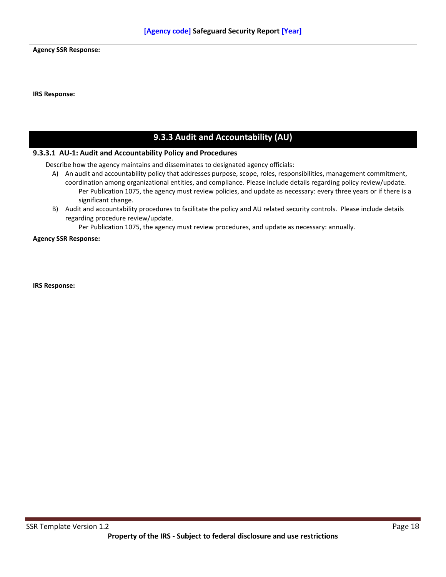<span id="page-25-0"></span>

|                      | <b>Agency SSR Response:</b>                                                                                                                                                                                                                                                                                                                                                                                                                                                   |
|----------------------|-------------------------------------------------------------------------------------------------------------------------------------------------------------------------------------------------------------------------------------------------------------------------------------------------------------------------------------------------------------------------------------------------------------------------------------------------------------------------------|
|                      |                                                                                                                                                                                                                                                                                                                                                                                                                                                                               |
| <b>IRS Response:</b> |                                                                                                                                                                                                                                                                                                                                                                                                                                                                               |
|                      |                                                                                                                                                                                                                                                                                                                                                                                                                                                                               |
|                      |                                                                                                                                                                                                                                                                                                                                                                                                                                                                               |
|                      | 9.3.3 Audit and Accountability (AU)                                                                                                                                                                                                                                                                                                                                                                                                                                           |
|                      | 9.3.3.1 AU-1: Audit and Accountability Policy and Procedures                                                                                                                                                                                                                                                                                                                                                                                                                  |
|                      | Describe how the agency maintains and disseminates to designated agency officials:<br>A) An audit and accountability policy that addresses purpose, scope, roles, responsibilities, management commitment,<br>coordination among organizational entities, and compliance. Please include details regarding policy review/update.<br>Per Publication 1075, the agency must review policies, and update as necessary: every three years or if there is a<br>significant change. |
| B)                   | Audit and accountability procedures to facilitate the policy and AU related security controls. Please include details<br>regarding procedure review/update.                                                                                                                                                                                                                                                                                                                   |
|                      | Per Publication 1075, the agency must review procedures, and update as necessary: annually.<br><b>Agency SSR Response:</b>                                                                                                                                                                                                                                                                                                                                                    |
|                      |                                                                                                                                                                                                                                                                                                                                                                                                                                                                               |
|                      |                                                                                                                                                                                                                                                                                                                                                                                                                                                                               |
|                      |                                                                                                                                                                                                                                                                                                                                                                                                                                                                               |
| <b>IRS Response:</b> |                                                                                                                                                                                                                                                                                                                                                                                                                                                                               |
|                      |                                                                                                                                                                                                                                                                                                                                                                                                                                                                               |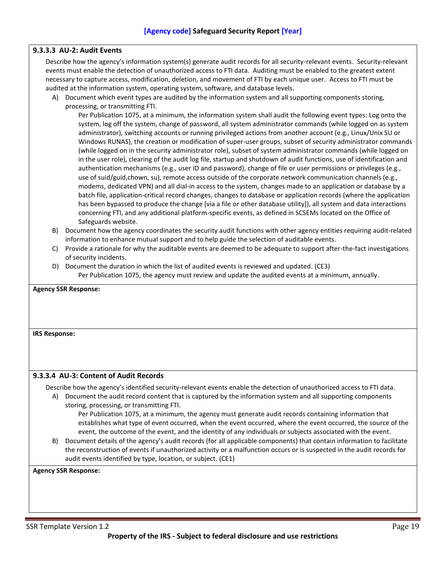#### **9.3.3.3 AU-2: Audit Events**

Describe how the agency's information system(s) generate audit records for all security-relevant events. Security-relevant events must enable the detection of unauthorized access to FTI data. Auditing must be enabled to the greatest extent necessary to capture access, modification, deletion, and movement of FTI by each unique user. Access to FTI must be audited at the information system, operating system, software, and database levels.

A) Document which event types are audited by the information system and all supporting components storing, processing, or transmitting FTI.

Per Publication 1075, at a minimum, the information system shall audit the following event types: Log onto the system, log off the system, change of password, all system administrator commands (while logged on as system administrator), switching accounts or running privileged actions from another account (e.g., Linux/Unix SU or Windows RUNAS), the creation or modification of super-user groups, subset of security administrator commands (while logged on in the security administrator role), subset of system administrator commands (while logged on in the user role), clearing of the audit log file, startup and shutdown of audit functions, use of identification and authentication mechanisms (e.g., user ID and password), change of file or user permissions or privileges (e.g., use of suid/guid,chown, su), remote access outside of the corporate network communication channels (e.g., modems, dedicated VPN) and all dial-in access to the system, changes made to an application or database by a batch file, application-critical record changes, changes to database or application records (where the application has been bypassed to produce the change [via a file or other database utility]), all system and data interactions concerning FTI, and any additional platform-specific events, as defined in SCSEMs located on the Office of Safeguards website.

- B) Document how the agency coordinates the security audit functions with other agency entities requiring audit-related information to enhance mutual support and to help guide the selection of auditable events.
- C) Provide a rationale for why the auditable events are deemed to be adequate to support after-the-fact investigations of security incidents.
- D) Document the duration in which the list of audited events is reviewed and updated. (CE3) Per Publication 1075, the agency must review and update the audited events at a minimum, annually.

| <b>Agency SSR Response:</b> |  |  |
|-----------------------------|--|--|
|-----------------------------|--|--|

#### **IRS Response:**

#### **9.3.3.4 AU-3: Content of Audit Records**

Describe how the agency's identified security-relevant events enable the detection of unauthorized access to FTI data.

A) Document the audit record content that is captured by the information system and all supporting components storing, processing, or transmitting FTI.

Per Publication 1075, at a minimum, the agency must generate audit records containing information that establishes what type of event occurred, when the event occurred, where the event occurred, the source of the event, the outcome of the event, and the identity of any individuals or subjects associated with the event.

B) Document details of the agency's audit records (for all applicable components) that contain information to facilitate the reconstruction of events if unauthorized activity or a malfunction occurs or is suspected in the audit records for audit events identified by type, location, or subject. (CE1)

**Agency SSR Response:**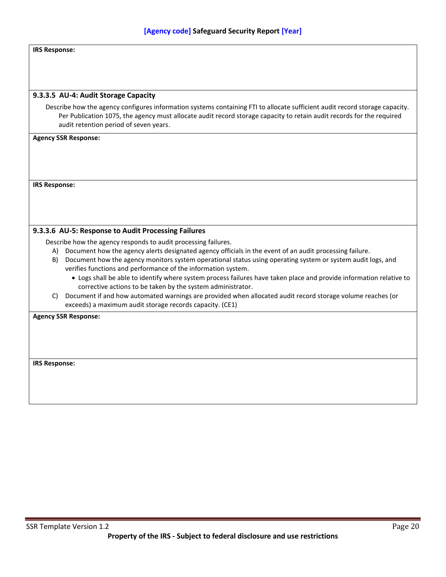| <b>IRS Response:</b> |  |
|----------------------|--|
|----------------------|--|

#### **9.3.3.5 AU-4: Audit Storage Capacity**

Describe how the agency configures information systems containing FTI to allocate sufficient audit record storage capacity. Per Publication 1075, the agency must allocate audit record storage capacity to retain audit records for the required audit retention period of seven years.

#### **Agency SSR Response:**

**IRS Response:**

#### **9.3.3.6 AU-5: Response to Audit Processing Failures**

Describe how the agency responds to audit processing failures.

- A) Document how the agency alerts designated agency officials in the event of an audit processing failure.
- B) Document how the agency monitors system operational status using operating system or system audit logs, and verifies functions and performance of the information system.
	- Logs shall be able to identify where system process failures have taken place and provide information relative to corrective actions to be taken by the system administrator.
- C) Document if and how automated warnings are provided when allocated audit record storage volume reaches (or exceeds) a maximum audit storage records capacity. (CE1)

**Agency SSR Response:**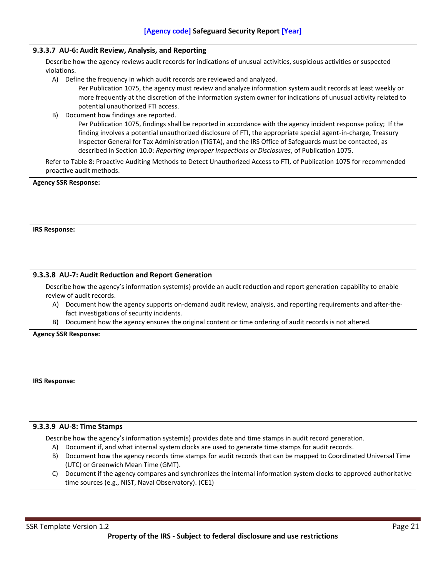| 9.3.3.7 AU-6: Audit Review, Analysis, and Reporting                                                                                                                                          |  |
|----------------------------------------------------------------------------------------------------------------------------------------------------------------------------------------------|--|
| Describe how the agency reviews audit records for indications of unusual activities, suspicious activities or suspected                                                                      |  |
| violations.                                                                                                                                                                                  |  |
| A)<br>Define the frequency in which audit records are reviewed and analyzed.<br>Per Publication 1075, the agency must review and analyze information system audit records at least weekly or |  |
| more frequently at the discretion of the information system owner for indications of unusual activity related to                                                                             |  |
| potential unauthorized FTI access.                                                                                                                                                           |  |
| Document how findings are reported.<br>B)                                                                                                                                                    |  |
| Per Publication 1075, findings shall be reported in accordance with the agency incident response policy; If the                                                                              |  |
| finding involves a potential unauthorized disclosure of FTI, the appropriate special agent-in-charge, Treasury                                                                               |  |
| Inspector General for Tax Administration (TIGTA), and the IRS Office of Safeguards must be contacted, as                                                                                     |  |
| described in Section 10.0: Reporting Improper Inspections or Disclosures, of Publication 1075.                                                                                               |  |
| Refer to Table 8: Proactive Auditing Methods to Detect Unauthorized Access to FTI, of Publication 1075 for recommended                                                                       |  |
| proactive audit methods.                                                                                                                                                                     |  |
| <b>Agency SSR Response:</b>                                                                                                                                                                  |  |
|                                                                                                                                                                                              |  |
|                                                                                                                                                                                              |  |
|                                                                                                                                                                                              |  |
|                                                                                                                                                                                              |  |
| <b>IRS Response:</b>                                                                                                                                                                         |  |
|                                                                                                                                                                                              |  |
|                                                                                                                                                                                              |  |
|                                                                                                                                                                                              |  |
| 9.3.3.8 AU-7: Audit Reduction and Report Generation                                                                                                                                          |  |
| Describe how the agency's information system(s) provide an audit reduction and report generation capability to enable                                                                        |  |
| review of audit records.                                                                                                                                                                     |  |
| Document how the agency supports on-demand audit review, analysis, and reporting requirements and after-the-<br>A)                                                                           |  |
| fact investigations of security incidents.                                                                                                                                                   |  |
| B) Document how the agency ensures the original content or time ordering of audit records is not altered.                                                                                    |  |
| <b>Agency SSR Response:</b>                                                                                                                                                                  |  |
|                                                                                                                                                                                              |  |
|                                                                                                                                                                                              |  |
|                                                                                                                                                                                              |  |
|                                                                                                                                                                                              |  |
| <b>IRS Response:</b>                                                                                                                                                                         |  |
|                                                                                                                                                                                              |  |
|                                                                                                                                                                                              |  |
|                                                                                                                                                                                              |  |
| 9.3.3.9 AU-8: Time Stamps                                                                                                                                                                    |  |
| Describe how the agency's information system(s) provides date and time stamps in audit record generation.                                                                                    |  |
| Document if, and what internal system clocks are used to generate time stamps for audit records.<br>A)                                                                                       |  |
| Document how the agency records time stamps for audit records that can be mapped to Coordinated Universal Time<br>B)                                                                         |  |
| (UTC) or Greenwich Mean Time (GMT).                                                                                                                                                          |  |
| Document if the agency compares and synchronizes the internal information system clocks to approved authoritative<br>C)                                                                      |  |
| time sources (e.g., NIST, Naval Observatory). (CE1)                                                                                                                                          |  |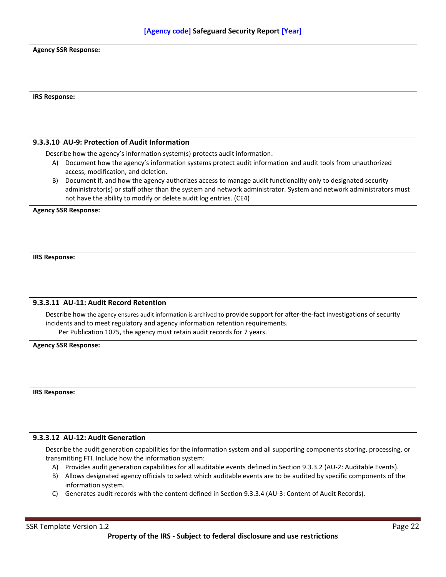| <b>Agency SSR Response:</b>                                                                                                                                                                                                                          |
|------------------------------------------------------------------------------------------------------------------------------------------------------------------------------------------------------------------------------------------------------|
|                                                                                                                                                                                                                                                      |
|                                                                                                                                                                                                                                                      |
|                                                                                                                                                                                                                                                      |
|                                                                                                                                                                                                                                                      |
| <b>IRS Response:</b>                                                                                                                                                                                                                                 |
|                                                                                                                                                                                                                                                      |
|                                                                                                                                                                                                                                                      |
|                                                                                                                                                                                                                                                      |
| 9.3.3.10 AU-9: Protection of Audit Information                                                                                                                                                                                                       |
| Describe how the agency's information system(s) protects audit information.                                                                                                                                                                          |
| A) Document how the agency's information systems protect audit information and audit tools from unauthorized                                                                                                                                         |
| access, modification, and deletion.<br>Document if, and how the agency authorizes access to manage audit functionality only to designated security<br>B)                                                                                             |
| administrator(s) or staff other than the system and network administrator. System and network administrators must                                                                                                                                    |
| not have the ability to modify or delete audit log entries. (CE4)                                                                                                                                                                                    |
| <b>Agency SSR Response:</b>                                                                                                                                                                                                                          |
|                                                                                                                                                                                                                                                      |
|                                                                                                                                                                                                                                                      |
|                                                                                                                                                                                                                                                      |
|                                                                                                                                                                                                                                                      |
| <b>IRS Response:</b>                                                                                                                                                                                                                                 |
|                                                                                                                                                                                                                                                      |
|                                                                                                                                                                                                                                                      |
|                                                                                                                                                                                                                                                      |
|                                                                                                                                                                                                                                                      |
| 9.3.3.11 AU-11: Audit Record Retention                                                                                                                                                                                                               |
|                                                                                                                                                                                                                                                      |
| Describe how the agency ensures audit information is archived to provide support for after-the-fact investigations of security<br>incidents and to meet regulatory and agency information retention requirements.                                    |
| Per Publication 1075, the agency must retain audit records for 7 years.                                                                                                                                                                              |
|                                                                                                                                                                                                                                                      |
| <b>Agency SSR Response:</b>                                                                                                                                                                                                                          |
|                                                                                                                                                                                                                                                      |
|                                                                                                                                                                                                                                                      |
|                                                                                                                                                                                                                                                      |
| <b>IRS Response:</b>                                                                                                                                                                                                                                 |
|                                                                                                                                                                                                                                                      |
|                                                                                                                                                                                                                                                      |
|                                                                                                                                                                                                                                                      |
| 9.3.3.12 AU-12: Audit Generation                                                                                                                                                                                                                     |
|                                                                                                                                                                                                                                                      |
| Describe the audit generation capabilities for the information system and all supporting components storing, processing, or                                                                                                                          |
| transmitting FTI. Include how the information system:                                                                                                                                                                                                |
| A) Provides audit generation capabilities for all auditable events defined in Section 9.3.3.2 (AU-2: Auditable Events).<br>Allows designated agency officials to select which auditable events are to be audited by specific components of the<br>B) |
| information system.<br>Generates audit records with the content defined in Section 9.3.3.4 (AU-3: Content of Audit Records).<br>C)                                                                                                                   |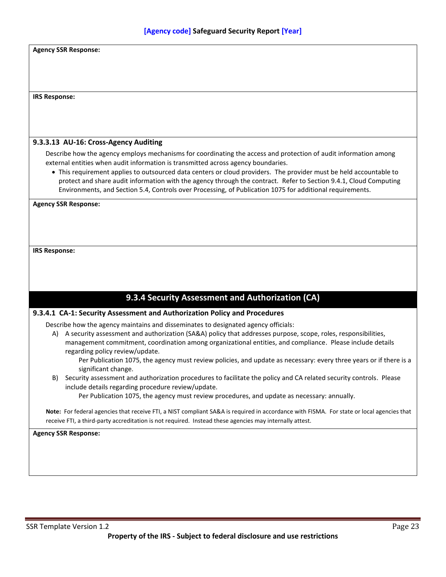<span id="page-30-0"></span>

| <b>Agency SSR Response:</b>                                                                                                                                                                                                    |
|--------------------------------------------------------------------------------------------------------------------------------------------------------------------------------------------------------------------------------|
|                                                                                                                                                                                                                                |
|                                                                                                                                                                                                                                |
|                                                                                                                                                                                                                                |
| <b>IRS Response:</b>                                                                                                                                                                                                           |
|                                                                                                                                                                                                                                |
|                                                                                                                                                                                                                                |
|                                                                                                                                                                                                                                |
| 9.3.3.13 AU-16: Cross-Agency Auditing                                                                                                                                                                                          |
| Describe how the agency employs mechanisms for coordinating the access and protection of audit information among                                                                                                               |
| external entities when audit information is transmitted across agency boundaries.                                                                                                                                              |
| • This requirement applies to outsourced data centers or cloud providers. The provider must be held accountable to                                                                                                             |
| protect and share audit information with the agency through the contract. Refer to Section 9.4.1, Cloud Computing<br>Environments, and Section 5.4, Controls over Processing, of Publication 1075 for additional requirements. |
|                                                                                                                                                                                                                                |
| <b>Agency SSR Response:</b>                                                                                                                                                                                                    |
|                                                                                                                                                                                                                                |
|                                                                                                                                                                                                                                |
|                                                                                                                                                                                                                                |
| <b>IRS Response:</b>                                                                                                                                                                                                           |
|                                                                                                                                                                                                                                |
|                                                                                                                                                                                                                                |
|                                                                                                                                                                                                                                |
|                                                                                                                                                                                                                                |
| 9.3.4 Security Assessment and Authorization (CA)                                                                                                                                                                               |
| 9.3.4.1 CA-1: Security Assessment and Authorization Policy and Procedures                                                                                                                                                      |
| Describe how the agency maintains and disseminates to designated agency officials:                                                                                                                                             |
| A security assessment and authorization (SA&A) policy that addresses purpose, scope, roles, responsibilities,<br>A)                                                                                                            |
| management commitment, coordination among organizational entities, and compliance. Please include details                                                                                                                      |
| regarding policy review/update.                                                                                                                                                                                                |
| Per Publication 1075, the agency must review policies, and update as necessary: every three years or if there is a                                                                                                             |
| significant change.                                                                                                                                                                                                            |
| Security assessment and authorization procedures to facilitate the policy and CA related security controls. Please<br>B)<br>include details regarding procedure review/update.                                                 |
| Per Publication 1075, the agency must review procedures, and update as necessary: annually.                                                                                                                                    |
|                                                                                                                                                                                                                                |
| Note: For federal agencies that receive FTI, a NIST compliant SA&A is required in accordance with FISMA. For state or local agencies that                                                                                      |
| receive FTI, a third-party accreditation is not required. Instead these agencies may internally attest.                                                                                                                        |
| <b>Agency SSR Response:</b>                                                                                                                                                                                                    |
|                                                                                                                                                                                                                                |
|                                                                                                                                                                                                                                |
|                                                                                                                                                                                                                                |
|                                                                                                                                                                                                                                |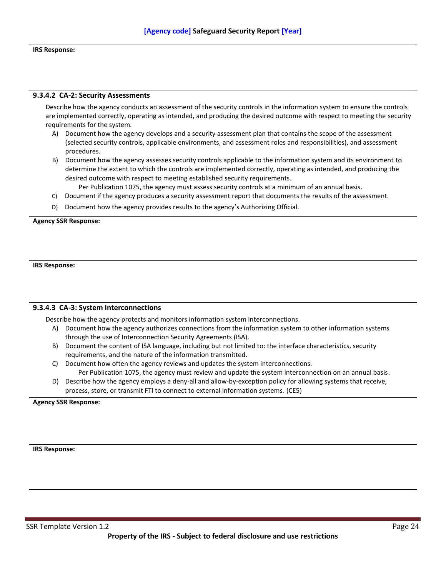#### **IRS Response:**

#### **9.3.4.2 CA-2: Security Assessments**

Describe how the agency conducts an assessment of the security controls in the information system to ensure the controls are implemented correctly, operating as intended, and producing the desired outcome with respect to meeting the security requirements for the system.

- A) Document how the agency develops and a security assessment plan that contains the scope of the assessment (selected security controls, applicable environments, and assessment roles and responsibilities), and assessment procedures.
- B) Document how the agency assesses security controls applicable to the information system and its environment to determine the extent to which the controls are implemented correctly, operating as intended, and producing the desired outcome with respect to meeting established security requirements.
	- Per Publication 1075, the agency must assess security controls at a minimum of an annual basis.
- C) Document if the agency produces a security assessment report that documents the results of the assessment.
- D) Document how the agency provides results to the agency's Authorizing Official.

#### **Agency SSR Response:**

**IRS Response:**

#### **9.3.4.3 CA-3: System Interconnections**

Describe how the agency protects and monitors information system interconnections.

- A) Document how the agency authorizes connections from the information system to other information systems through the use of Interconnection Security Agreements (ISA).
- B) Document the content of ISA language, including but not limited to: the interface characteristics, security requirements, and the nature of the information transmitted.
- C) Document how often the agency reviews and updates the system interconnections. Per Publication 1075, the agency must review and update the system interconnection on an annual basis.
- D) Describe how the agency employs a deny-all and allow-by-exception policy for allowing systems that receive, process, store, or transmit FTI to connect to external information systems. (CE5)

**Agency SSR Response:**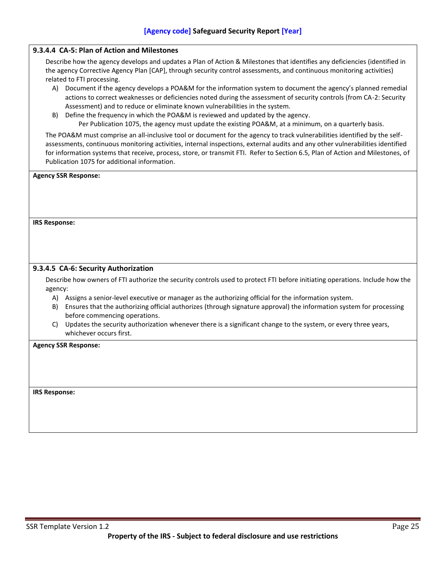#### **9.3.4.4 CA-5: Plan of Action and Milestones**

Describe how the agency develops and updates a Plan of Action & Milestones that identifies any deficiencies (identified in the agency Corrective Agency Plan [CAP], through security control assessments, and continuous monitoring activities) related to FTI processing.

- A) Document if the agency develops a POA&M for the information system to document the agency's planned remedial actions to correct weaknesses or deficiencies noted during the assessment of security controls (from CA-2: Security Assessment) and to reduce or eliminate known vulnerabilities in the system.
- B) Define the frequency in which the POA&M is reviewed and updated by the agency. Per Publication 1075, the agency must update the existing POA&M, at a minimum, on a quarterly basis.

The POA&M must comprise an all-inclusive tool or document for the agency to track vulnerabilities identified by the selfassessments, continuous monitoring activities, internal inspections, external audits and any other vulnerabilities identified for information systems that receive, process, store, or transmit FTI. Refer to Section 6.5, Plan of Action and Milestones, of

| Publication 1075 for additional information.                                                                                                    |
|-------------------------------------------------------------------------------------------------------------------------------------------------|
| <b>Agency SSR Response:</b>                                                                                                                     |
|                                                                                                                                                 |
|                                                                                                                                                 |
|                                                                                                                                                 |
| <b>IRS Response:</b>                                                                                                                            |
|                                                                                                                                                 |
|                                                                                                                                                 |
| 9.3.4.5 CA-6: Security Authorization                                                                                                            |
|                                                                                                                                                 |
| Describe how owners of FTI authorize the security controls used to protect FTI before initiating operations. Include how the                    |
| agency:                                                                                                                                         |
| Assigns a senior-level executive or manager as the authorizing official for the information system.<br>A)                                       |
| Ensures that the authorizing official authorizes (through signature approval) the information system for processing<br>B)                       |
| before commencing operations.                                                                                                                   |
| Updates the security authorization whenever there is a significant change to the system, or every three years,<br>C)<br>whichever occurs first. |
| <b>Agency SSR Response:</b>                                                                                                                     |
|                                                                                                                                                 |
|                                                                                                                                                 |
|                                                                                                                                                 |
| <b>IRS Response:</b>                                                                                                                            |
|                                                                                                                                                 |
|                                                                                                                                                 |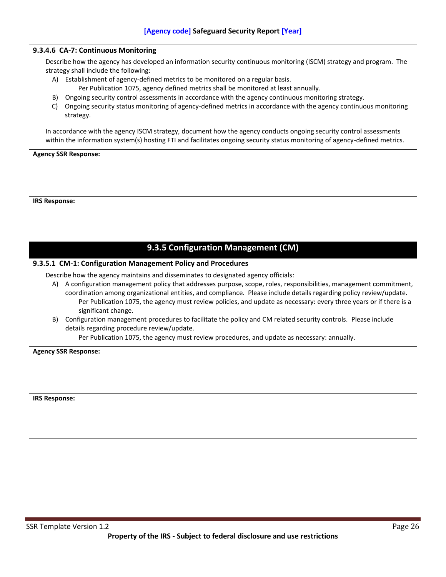<span id="page-33-0"></span>

|    | 9.3.4.6 CA-7: Continuous Monitoring                                                                                                                                                                                                                                                                                                                                                    |
|----|----------------------------------------------------------------------------------------------------------------------------------------------------------------------------------------------------------------------------------------------------------------------------------------------------------------------------------------------------------------------------------------|
|    | Describe how the agency has developed an information security continuous monitoring (ISCM) strategy and program. The                                                                                                                                                                                                                                                                   |
|    | strategy shall include the following:                                                                                                                                                                                                                                                                                                                                                  |
|    | A) Establishment of agency-defined metrics to be monitored on a regular basis.                                                                                                                                                                                                                                                                                                         |
|    | Per Publication 1075, agency defined metrics shall be monitored at least annually.                                                                                                                                                                                                                                                                                                     |
| B) | Ongoing security control assessments in accordance with the agency continuous monitoring strategy.                                                                                                                                                                                                                                                                                     |
| C) | Ongoing security status monitoring of agency-defined metrics in accordance with the agency continuous monitoring<br>strategy.                                                                                                                                                                                                                                                          |
|    | In accordance with the agency ISCM strategy, document how the agency conducts ongoing security control assessments                                                                                                                                                                                                                                                                     |
|    | within the information system(s) hosting FTI and facilitates ongoing security status monitoring of agency-defined metrics.                                                                                                                                                                                                                                                             |
|    |                                                                                                                                                                                                                                                                                                                                                                                        |
|    |                                                                                                                                                                                                                                                                                                                                                                                        |
|    | 9.3.5 Configuration Management (CM)                                                                                                                                                                                                                                                                                                                                                    |
|    | 9.3.5.1 CM-1: Configuration Management Policy and Procedures                                                                                                                                                                                                                                                                                                                           |
|    | Describe how the agency maintains and disseminates to designated agency officials:                                                                                                                                                                                                                                                                                                     |
|    | A) A configuration management policy that addresses purpose, scope, roles, responsibilities, management commitment,<br>coordination among organizational entities, and compliance. Please include details regarding policy review/update.<br>Per Publication 1075, the agency must review policies, and update as necessary: every three years or if there is a<br>significant change. |
| B) | Configuration management procedures to facilitate the policy and CM related security controls. Please include                                                                                                                                                                                                                                                                          |
|    | details regarding procedure review/update.<br>Per Publication 1075, the agency must review procedures, and update as necessary: annually.                                                                                                                                                                                                                                              |
|    |                                                                                                                                                                                                                                                                                                                                                                                        |
|    | <b>Agency SSR Response:</b>                                                                                                                                                                                                                                                                                                                                                            |
|    |                                                                                                                                                                                                                                                                                                                                                                                        |
|    |                                                                                                                                                                                                                                                                                                                                                                                        |
|    |                                                                                                                                                                                                                                                                                                                                                                                        |
|    |                                                                                                                                                                                                                                                                                                                                                                                        |
|    | <b>IRS Response:</b>                                                                                                                                                                                                                                                                                                                                                                   |
|    |                                                                                                                                                                                                                                                                                                                                                                                        |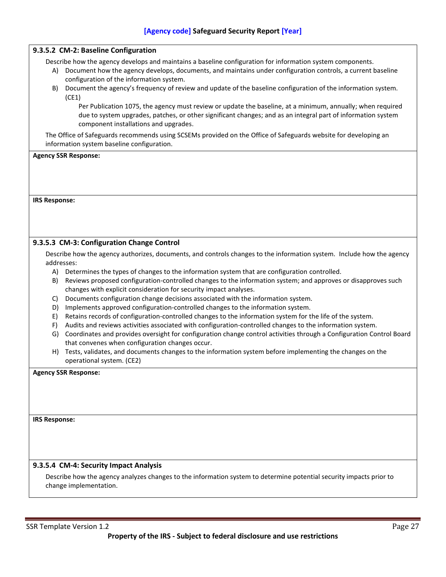#### **9.3.5.2 CM-2: Baseline Configuration**

Describe how the agency develops and maintains a baseline configuration for information system components.

- A) Document how the agency develops, documents, and maintains under configuration controls, a current baseline configuration of the information system.
- B) Document the agency's frequency of review and update of the baseline configuration of the information system. (CE1)

Per Publication 1075, the agency must review or update the baseline, at a minimum, annually; when required due to system upgrades, patches, or other significant changes; and as an integral part of information system component installations and upgrades.

The Office of Safeguards recommends using SCSEMs provided on the Office of Safeguards website for developing an information system baseline configuration.

#### **Agency SSR Response:**

#### **IRS Response:**

#### **9.3.5.3 CM-3: Configuration Change Control**

Describe how the agency authorizes, documents, and controls changes to the information system. Include how the agency addresses:

- A) Determines the types of changes to the information system that are configuration controlled.
- B) Reviews proposed configuration-controlled changes to the information system; and approves or disapproves such changes with explicit consideration for security impact analyses.
- C) Documents configuration change decisions associated with the information system.
- D) Implements approved configuration-controlled changes to the information system.
- E) Retains records of configuration-controlled changes to the information system for the life of the system.
- F) Audits and reviews activities associated with configuration-controlled changes to the information system.
- G) Coordinates and provides oversight for configuration change control activities through a Configuration Control Board that convenes when configuration changes occur.
- H) Tests, validates, and documents changes to the information system before implementing the changes on the operational system. (CE2)

**Agency SSR Response:**

**IRS Response:**

#### **9.3.5.4 CM-4: Security Impact Analysis**

Describe how the agency analyzes changes to the information system to determine potential security impacts prior to change implementation.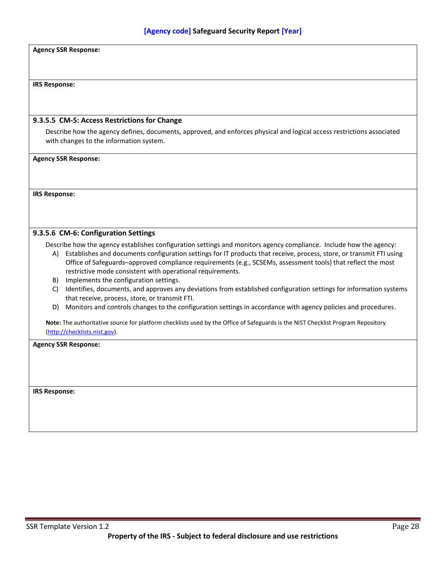#### **Agency SSR Response:**

#### **IRS Response:**

#### **9.3.5.5 CM-5: Access Restrictions for Change**

Describe how the agency defines, documents, approved, and enforces physical and logical access restrictions associated with changes to the information system.

**Agency SSR Response:**

**IRS Response:**

#### **9.3.5.6 CM-6: Configuration Settings**

Describe how the agency establishes configuration settings and monitors agency compliance. Include how the agency:

- A) Establishes and documents configuration settings for IT products that receive, process, store, or transmit FTI using Office of Safeguards–approved compliance requirements (e.g., SCSEMs, assessment tools) that reflect the most restrictive mode consistent with operational requirements.
- B) Implements the configuration settings.
- C) Identifies, documents, and approves any deviations from established configuration settings for information systems that receive, process, store, or transmit FTI.
- D) Monitors and controls changes to the configuration settings in accordance with agency policies and procedures.

**Note:** The authoritative source for platform checklists used by the Office of Safeguards is the NIST Checklist Program Repository [\(http://checklists.nist.gov\)](http://checklists.nist.gov/).

**Agency SSR Response:**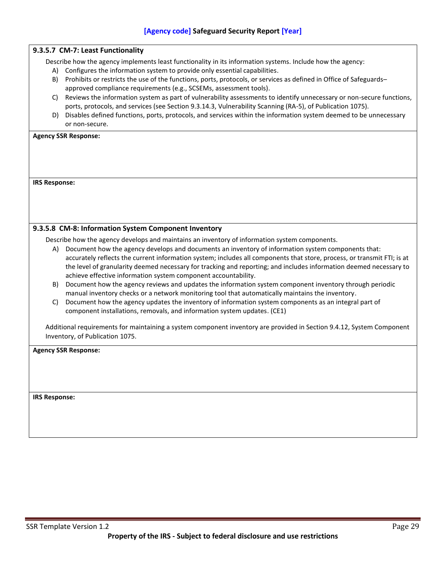|                      | 9.3.5.7 CM-7: Least Functionality                                                                                                      |
|----------------------|----------------------------------------------------------------------------------------------------------------------------------------|
|                      | Describe how the agency implements least functionality in its information systems. Include how the agency:                             |
|                      | A) Configures the information system to provide only essential capabilities.                                                           |
|                      | B) Prohibits or restricts the use of the functions, ports, protocols, or services as defined in Office of Safeguards-                  |
|                      | approved compliance requirements (e.g., SCSEMs, assessment tools).                                                                     |
| C)                   | Reviews the information system as part of vulnerability assessments to identify unnecessary or non-secure functions,                   |
|                      | ports, protocols, and services (see Section 9.3.14.3, Vulnerability Scanning (RA-5), of Publication 1075).                             |
|                      | D) Disables defined functions, ports, protocols, and services within the information system deemed to be unnecessary<br>or non-secure. |
|                      |                                                                                                                                        |
|                      | <b>Agency SSR Response:</b>                                                                                                            |
|                      |                                                                                                                                        |
|                      |                                                                                                                                        |
|                      |                                                                                                                                        |
| <b>IRS Response:</b> |                                                                                                                                        |
|                      |                                                                                                                                        |
|                      |                                                                                                                                        |
|                      |                                                                                                                                        |
|                      |                                                                                                                                        |
|                      | 9.3.5.8 CM-8: Information System Component Inventory                                                                                   |
|                      | Describe how the agency develops and maintains an inventory of information system components.                                          |
| A)                   | Document how the agency develops and documents an inventory of information system components that:                                     |
|                      | accurately reflects the current information system; includes all components that store, process, or transmit FTI; is at                |
|                      | the level of granularity deemed necessary for tracking and reporting; and includes information deemed necessary to                     |
|                      | achieve effective information system component accountability.                                                                         |
| B)                   | Document how the agency reviews and updates the information system component inventory through periodic                                |
|                      | manual inventory checks or a network monitoring tool that automatically maintains the inventory.                                       |
| C)                   | Document how the agency updates the inventory of information system components as an integral part of                                  |
|                      | component installations, removals, and information system updates. (CE1)                                                               |
|                      | Additional requirements for maintaining a system component inventory are provided in Section 9.4.12, System Component                  |
|                      | Inventory, of Publication 1075.                                                                                                        |
|                      |                                                                                                                                        |
|                      | <b>Agency SSR Response:</b>                                                                                                            |
|                      |                                                                                                                                        |
|                      |                                                                                                                                        |
|                      |                                                                                                                                        |
|                      |                                                                                                                                        |
| <b>IRS Response:</b> |                                                                                                                                        |
|                      |                                                                                                                                        |
|                      |                                                                                                                                        |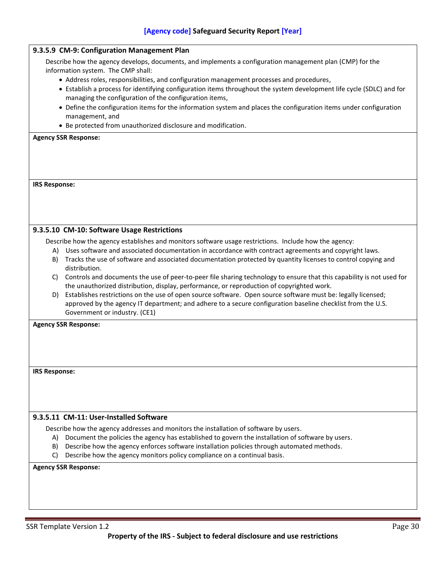|                      | 9.3.5.9 CM-9: Configuration Management Plan                                                                                                                                                                           |  |  |
|----------------------|-----------------------------------------------------------------------------------------------------------------------------------------------------------------------------------------------------------------------|--|--|
|                      | Describe how the agency develops, documents, and implements a configuration management plan (CMP) for the<br>information system. The CMP shall:                                                                       |  |  |
|                      | • Address roles, responsibilities, and configuration management processes and procedures,                                                                                                                             |  |  |
|                      | • Establish a process for identifying configuration items throughout the system development life cycle (SDLC) and for<br>managing the configuration of the configuration items,                                       |  |  |
|                      | • Define the configuration items for the information system and places the configuration items under configuration                                                                                                    |  |  |
|                      | management, and                                                                                                                                                                                                       |  |  |
|                      | • Be protected from unauthorized disclosure and modification.                                                                                                                                                         |  |  |
|                      | <b>Agency SSR Response:</b>                                                                                                                                                                                           |  |  |
|                      |                                                                                                                                                                                                                       |  |  |
|                      |                                                                                                                                                                                                                       |  |  |
|                      |                                                                                                                                                                                                                       |  |  |
| <b>IRS Response:</b> |                                                                                                                                                                                                                       |  |  |
|                      |                                                                                                                                                                                                                       |  |  |
|                      |                                                                                                                                                                                                                       |  |  |
|                      |                                                                                                                                                                                                                       |  |  |
|                      | 9.3.5.10 CM-10: Software Usage Restrictions                                                                                                                                                                           |  |  |
|                      | Describe how the agency establishes and monitors software usage restrictions. Include how the agency:                                                                                                                 |  |  |
|                      | A) Uses software and associated documentation in accordance with contract agreements and copyright laws.                                                                                                              |  |  |
|                      | B) Tracks the use of software and associated documentation protected by quantity licenses to control copying and                                                                                                      |  |  |
|                      | distribution.                                                                                                                                                                                                         |  |  |
|                      | C) Controls and documents the use of peer-to-peer file sharing technology to ensure that this capability is not used for<br>the unauthorized distribution, display, performance, or reproduction of copyrighted work. |  |  |
| D)                   | Establishes restrictions on the use of open source software. Open source software must be: legally licensed;                                                                                                          |  |  |
|                      | approved by the agency IT department; and adhere to a secure configuration baseline checklist from the U.S.                                                                                                           |  |  |
|                      | Government or industry. (CE1)                                                                                                                                                                                         |  |  |
|                      | <b>Agency SSR Response:</b>                                                                                                                                                                                           |  |  |
|                      |                                                                                                                                                                                                                       |  |  |
|                      |                                                                                                                                                                                                                       |  |  |
|                      |                                                                                                                                                                                                                       |  |  |
| <b>IRS Response:</b> |                                                                                                                                                                                                                       |  |  |
|                      |                                                                                                                                                                                                                       |  |  |
|                      |                                                                                                                                                                                                                       |  |  |
|                      |                                                                                                                                                                                                                       |  |  |
|                      | 9.3.5.11 CM-11: User-Installed Software                                                                                                                                                                               |  |  |
|                      |                                                                                                                                                                                                                       |  |  |
| A).                  | Describe how the agency addresses and monitors the installation of software by users.<br>Document the policies the agency has established to govern the installation of software by users.                            |  |  |
| B)                   | Describe how the agency enforces software installation policies through automated methods.                                                                                                                            |  |  |
| C)                   | Describe how the agency monitors policy compliance on a continual basis.                                                                                                                                              |  |  |
|                      | <b>Agency SSR Response:</b>                                                                                                                                                                                           |  |  |
|                      |                                                                                                                                                                                                                       |  |  |
|                      |                                                                                                                                                                                                                       |  |  |
|                      |                                                                                                                                                                                                                       |  |  |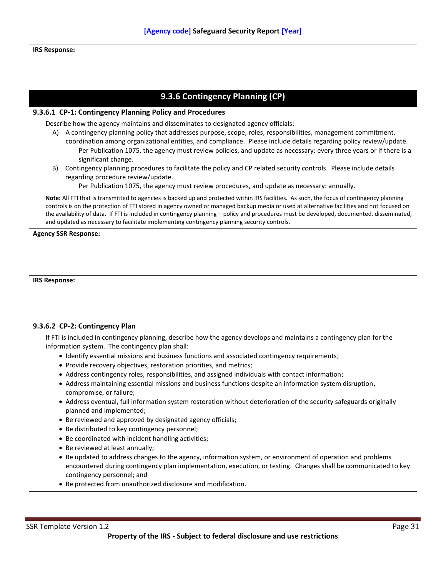## **IRS Response:**

# **9.3.6 Contingency Planning (CP)**

## **9.3.6.1 CP-1: Contingency Planning Policy and Procedures**

Describe how the agency maintains and disseminates to designated agency officials:

- A) A contingency planning policy that addresses purpose, scope, roles, responsibilities, management commitment, coordination among organizational entities, and compliance. Please include details regarding policy review/update. Per Publication 1075, the agency must review policies, and update as necessary: every three years or if there is a significant change.
- B) Contingency planning procedures to facilitate the policy and CP related security controls. Please include details regarding procedure review/update.

Per Publication 1075, the agency must review procedures, and update as necessary: annually.

**Note:** All FTI that is transmitted to agencies is backed up and protected within IRS facilities. As such, the focus of contingency planning controls is on the protection of FTI stored in agency owned or managed backup media or used at alternative facilities and not focused on the availability of data. If FTI is included in contingency planning – policy and procedures must be developed, documented, disseminated, and updated as necessary to facilitate implementing contingency planning security controls.

**Agency SSR Response:**

**IRS Response:**

## **9.3.6.2 CP-2: Contingency Plan**

If FTI is included in contingency planning, describe how the agency develops and maintains a contingency plan for the information system. The contingency plan shall:

- Identify essential missions and business functions and associated contingency requirements;
- Provide recovery objectives, restoration priorities, and metrics;
- Address contingency roles, responsibilities, and assigned individuals with contact information;
- Address maintaining essential missions and business functions despite an information system disruption, compromise, or failure;
- Address eventual, full information system restoration without deterioration of the security safeguards originally planned and implemented;
- Be reviewed and approved by designated agency officials;
- Be distributed to key contingency personnel;
- Be coordinated with incident handling activities;
- Be reviewed at least annually;
- Be updated to address changes to the agency, information system, or environment of operation and problems encountered during contingency plan implementation, execution, or testing. Changes shall be communicated to key contingency personnel; and
- Be protected from unauthorized disclosure and modification.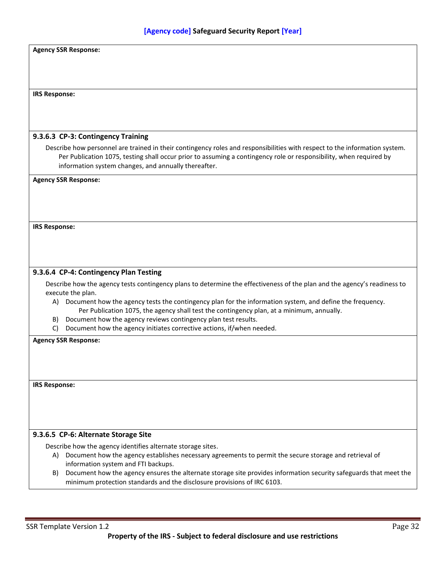|                      | <b>Agency SSR Response:</b>                                                                                                                   |
|----------------------|-----------------------------------------------------------------------------------------------------------------------------------------------|
|                      |                                                                                                                                               |
|                      |                                                                                                                                               |
|                      |                                                                                                                                               |
| <b>IRS Response:</b> |                                                                                                                                               |
|                      |                                                                                                                                               |
|                      |                                                                                                                                               |
|                      |                                                                                                                                               |
|                      | 9.3.6.3 CP-3: Contingency Training                                                                                                            |
|                      | Describe how personnel are trained in their contingency roles and responsibilities with respect to the information system.                    |
|                      | Per Publication 1075, testing shall occur prior to assuming a contingency role or responsibility, when required by                            |
|                      | information system changes, and annually thereafter.                                                                                          |
|                      | <b>Agency SSR Response:</b>                                                                                                                   |
|                      |                                                                                                                                               |
|                      |                                                                                                                                               |
|                      |                                                                                                                                               |
|                      |                                                                                                                                               |
| <b>IRS Response:</b> |                                                                                                                                               |
|                      |                                                                                                                                               |
|                      |                                                                                                                                               |
|                      |                                                                                                                                               |
|                      | 9.3.6.4 CP-4: Contingency Plan Testing                                                                                                        |
|                      |                                                                                                                                               |
|                      | Describe how the agency tests contingency plans to determine the effectiveness of the plan and the agency's readiness to<br>execute the plan. |
| A)                   | Document how the agency tests the contingency plan for the information system, and define the frequency.                                      |
|                      | Per Publication 1075, the agency shall test the contingency plan, at a minimum, annually.                                                     |
| B)                   | Document how the agency reviews contingency plan test results.                                                                                |
| C)                   | Document how the agency initiates corrective actions, if/when needed.                                                                         |
|                      | <b>Agency SSR Response:</b>                                                                                                                   |
|                      |                                                                                                                                               |
|                      |                                                                                                                                               |
|                      |                                                                                                                                               |
|                      |                                                                                                                                               |
| <b>IRS Response:</b> |                                                                                                                                               |
|                      |                                                                                                                                               |
|                      |                                                                                                                                               |
|                      |                                                                                                                                               |
|                      |                                                                                                                                               |
|                      | 9.3.6.5 CP-6: Alternate Storage Site                                                                                                          |
|                      | Describe how the agency identifies alternate storage sites.                                                                                   |
|                      | A) Document how the agency establishes necessary agreements to permit the secure storage and retrieval of                                     |
|                      | information system and FTI backups.                                                                                                           |
| B)                   | Document how the agency ensures the alternate storage site provides information security safeguards that meet the                             |
|                      | minimum protection standards and the disclosure provisions of IRC 6103.                                                                       |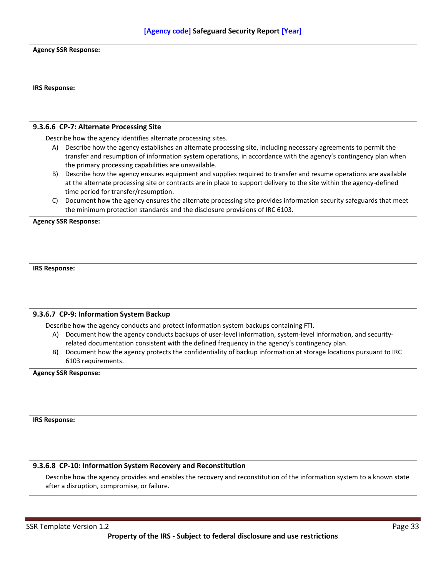|                      | <b>Agency SSR Response:</b>                                                                                                                                                                                                             |  |
|----------------------|-----------------------------------------------------------------------------------------------------------------------------------------------------------------------------------------------------------------------------------------|--|
|                      |                                                                                                                                                                                                                                         |  |
|                      |                                                                                                                                                                                                                                         |  |
| <b>IRS Response:</b> |                                                                                                                                                                                                                                         |  |
|                      |                                                                                                                                                                                                                                         |  |
|                      | 9.3.6.6 CP-7: Alternate Processing Site                                                                                                                                                                                                 |  |
|                      | Describe how the agency identifies alternate processing sites.                                                                                                                                                                          |  |
|                      | A) Describe how the agency establishes an alternate processing site, including necessary agreements to permit the<br>transfer and resumption of information system operations, in accordance with the agency's contingency plan when    |  |
|                      | the primary processing capabilities are unavailable.                                                                                                                                                                                    |  |
| B)                   | Describe how the agency ensures equipment and supplies required to transfer and resume operations are available<br>at the alternate processing site or contracts are in place to support delivery to the site within the agency-defined |  |
|                      | time period for transfer/resumption.                                                                                                                                                                                                    |  |
| C)                   | Document how the agency ensures the alternate processing site provides information security safeguards that meet<br>the minimum protection standards and the disclosure provisions of IRC 6103.                                         |  |
|                      | <b>Agency SSR Response:</b>                                                                                                                                                                                                             |  |
|                      |                                                                                                                                                                                                                                         |  |
|                      |                                                                                                                                                                                                                                         |  |
| <b>IRS Response:</b> |                                                                                                                                                                                                                                         |  |
|                      |                                                                                                                                                                                                                                         |  |
|                      |                                                                                                                                                                                                                                         |  |
|                      |                                                                                                                                                                                                                                         |  |
|                      | 9.3.6.7 CP-9: Information System Backup<br>Describe how the agency conducts and protect information system backups containing FTI.                                                                                                      |  |
| A)                   | Document how the agency conducts backups of user-level information, system-level information, and security-                                                                                                                             |  |
| B)                   | related documentation consistent with the defined frequency in the agency's contingency plan.<br>Document how the agency protects the confidentiality of backup information at storage locations pursuant to IRC                        |  |
|                      | 6103 requirements.                                                                                                                                                                                                                      |  |
|                      | <b>Agency SSR Response:</b>                                                                                                                                                                                                             |  |
|                      |                                                                                                                                                                                                                                         |  |
|                      |                                                                                                                                                                                                                                         |  |
| <b>IRS Response:</b> |                                                                                                                                                                                                                                         |  |
|                      |                                                                                                                                                                                                                                         |  |
|                      |                                                                                                                                                                                                                                         |  |
|                      |                                                                                                                                                                                                                                         |  |
|                      | 9.3.6.8 CP-10: Information System Recovery and Reconstitution<br>Describe how the agency provides and enables the recovery and reconstitution of the information system to a known state                                                |  |
|                      | after a disruption, compromise, or failure.                                                                                                                                                                                             |  |
|                      |                                                                                                                                                                                                                                         |  |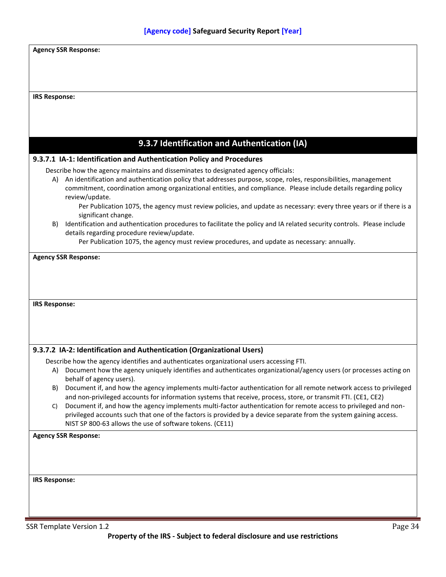|                      | <b>Agency SSR Response:</b>                                                                                                                                                                                                                                                                                                                                                                                                                                                                             |
|----------------------|---------------------------------------------------------------------------------------------------------------------------------------------------------------------------------------------------------------------------------------------------------------------------------------------------------------------------------------------------------------------------------------------------------------------------------------------------------------------------------------------------------|
|                      |                                                                                                                                                                                                                                                                                                                                                                                                                                                                                                         |
| <b>IRS Response:</b> |                                                                                                                                                                                                                                                                                                                                                                                                                                                                                                         |
|                      |                                                                                                                                                                                                                                                                                                                                                                                                                                                                                                         |
|                      |                                                                                                                                                                                                                                                                                                                                                                                                                                                                                                         |
|                      | 9.3.7 Identification and Authentication (IA)                                                                                                                                                                                                                                                                                                                                                                                                                                                            |
|                      | 9.3.7.1 IA-1: Identification and Authentication Policy and Procedures                                                                                                                                                                                                                                                                                                                                                                                                                                   |
| A)                   | Describe how the agency maintains and disseminates to designated agency officials:<br>An identification and authentication policy that addresses purpose, scope, roles, responsibilities, management<br>commitment, coordination among organizational entities, and compliance. Please include details regarding policy<br>review/update.<br>Per Publication 1075, the agency must review policies, and update as necessary: every three years or if there is a                                         |
| B)                   | significant change.<br>Identification and authentication procedures to facilitate the policy and IA related security controls. Please include<br>details regarding procedure review/update.                                                                                                                                                                                                                                                                                                             |
|                      | Per Publication 1075, the agency must review procedures, and update as necessary: annually.                                                                                                                                                                                                                                                                                                                                                                                                             |
| <b>IRS Response:</b> |                                                                                                                                                                                                                                                                                                                                                                                                                                                                                                         |
|                      |                                                                                                                                                                                                                                                                                                                                                                                                                                                                                                         |
|                      | 9.3.7.2 IA-2: Identification and Authentication (Organizational Users)                                                                                                                                                                                                                                                                                                                                                                                                                                  |
| A)                   | Describe how the agency identifies and authenticates organizational users accessing FTI.<br>Document how the agency uniquely identifies and authenticates organizational/agency users (or processes acting on                                                                                                                                                                                                                                                                                           |
| B)<br>C)             | behalf of agency users).<br>Document if, and how the agency implements multi-factor authentication for all remote network access to privileged<br>and non-privileged accounts for information systems that receive, process, store, or transmit FTI. (CE1, CE2)<br>Document if, and how the agency implements multi-factor authentication for remote access to privileged and non-<br>privileged accounts such that one of the factors is provided by a device separate from the system gaining access. |
|                      | NIST SP 800-63 allows the use of software tokens. (CE11)<br><b>Agency SSR Response:</b>                                                                                                                                                                                                                                                                                                                                                                                                                 |
|                      |                                                                                                                                                                                                                                                                                                                                                                                                                                                                                                         |
|                      |                                                                                                                                                                                                                                                                                                                                                                                                                                                                                                         |
| <b>IRS Response:</b> |                                                                                                                                                                                                                                                                                                                                                                                                                                                                                                         |
|                      |                                                                                                                                                                                                                                                                                                                                                                                                                                                                                                         |
|                      |                                                                                                                                                                                                                                                                                                                                                                                                                                                                                                         |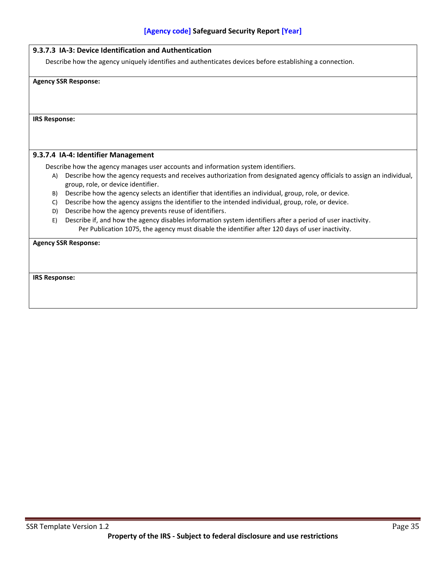Describe how the agency uniquely identifies and authenticates devices before establishing a connection.

**Agency SSR Response:**

**IRS Response:**

## **9.3.7.4 IA-4: Identifier Management**

Describe how the agency manages user accounts and information system identifiers.

- A) Describe how the agency requests and receives authorization from designated agency officials to assign an individual, group, role, or device identifier.
- B) Describe how the agency selects an identifier that identifies an individual, group, role, or device.
- C) Describe how the agency assigns the identifier to the intended individual, group, role, or device.
- D) Describe how the agency prevents reuse of identifiers.
- E) Describe if, and how the agency disables information system identifiers after a period of user inactivity. Per Publication 1075, the agency must disable the identifier after 120 days of user inactivity.

**Agency SSR Response:**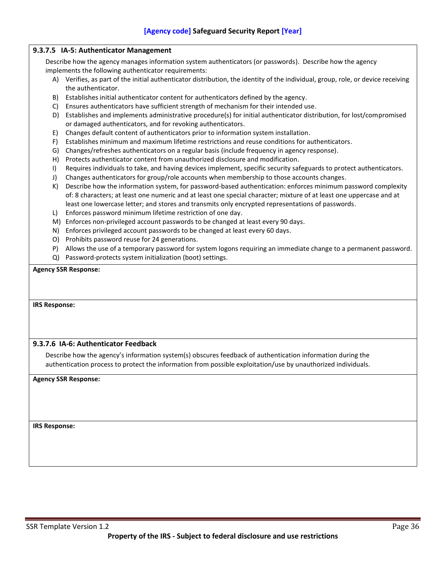## **9.3.7.5 IA-5: Authenticator Management**

Describe how the agency manages information system authenticators (or passwords). Describe how the agency implements the following authenticator requirements:

- A) Verifies, as part of the initial authenticator distribution, the identity of the individual, group, role, or device receiving the authenticator.
- B) Establishes initial authenticator content for authenticators defined by the agency.
- C) Ensures authenticators have sufficient strength of mechanism for their intended use.
- D) Establishes and implements administrative procedure(s) for initial authenticator distribution, for lost/compromised or damaged authenticators, and for revoking authenticators.
- E) Changes default content of authenticators prior to information system installation.
- F) Establishes minimum and maximum lifetime restrictions and reuse conditions for authenticators.
- G) Changes/refreshes authenticators on a regular basis (include frequency in agency response).
- H) Protects authenticator content from unauthorized disclosure and modification.
- I) Requires individuals to take, and having devices implement, specific security safeguards to protect authenticators.
- J) Changes authenticators for group/role accounts when membership to those accounts changes.
- K) Describe how the information system, for password-based authentication: enforces minimum password complexity of: 8 characters; at least one numeric and at least one special character; mixture of at least one uppercase and at least one lowercase letter; and stores and transmits only encrypted representations of passwords.
- L) Enforces password minimum lifetime restriction of one day.
- M) Enforces non-privileged account passwords to be changed at least every 90 days.
- N) Enforces privileged account passwords to be changed at least every 60 days.
- O) Prohibits password reuse for 24 generations.
- P) Allows the use of a temporary password for system logons requiring an immediate change to a permanent password.
- Q) Password-protects system initialization (boot) settings.

## **Agency SSR Response:**

**IRS Response:**

## **9.3.7.6 IA-6: Authenticator Feedback**

Describe how the agency's information system(s) obscures feedback of authentication information during the authentication process to protect the information from possible exploitation/use by unauthorized individuals.

## **Agency SSR Response:**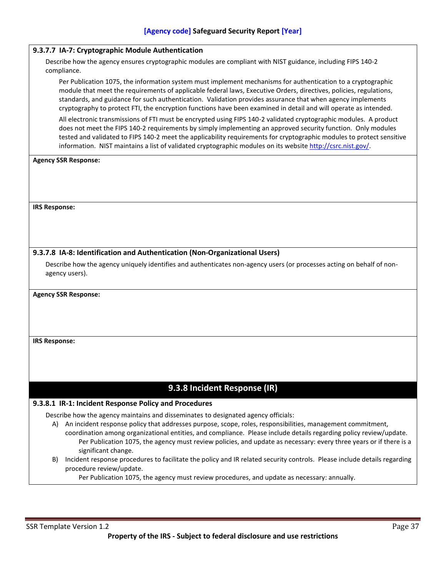## **9.3.7.7 IA-7: Cryptographic Module Authentication**

Describe how the agency ensures cryptographic modules are compliant with NIST guidance, including FIPS 140-2 compliance.

Per Publication 1075, the information system must implement mechanisms for authentication to a cryptographic module that meet the requirements of applicable federal laws, Executive Orders, directives, policies, regulations, standards, and guidance for such authentication. Validation provides assurance that when agency implements cryptography to protect FTI, the encryption functions have been examined in detail and will operate as intended.

All electronic transmissions of FTI must be encrypted using FIPS 140-2 validated cryptographic modules. A product does not meet the FIPS 140-2 requirements by simply implementing an approved security function. Only modules tested and validated to FIPS 140-2 meet the applicability requirements for cryptographic modules to protect sensitive information. NIST maintains a list of validated cryptographic modules on its website [http://csrc.nist.gov/.](http://csrc.nist.gov/)

#### **Agency SSR Response:**

**IRS Response:**

## **9.3.7.8 IA-8: Identification and Authentication (Non-Organizational Users)**

Describe how the agency uniquely identifies and authenticates non-agency users (or processes acting on behalf of nonagency users).

#### **Agency SSR Response:**

**IRS Response:**

# **9.3.8 Incident Response (IR)**

## **9.3.8.1 IR-1: Incident Response Policy and Procedures**

Describe how the agency maintains and disseminates to designated agency officials:

- A) An incident response policy that addresses purpose, scope, roles, responsibilities, management commitment,
	- coordination among organizational entities, and compliance. Please include details regarding policy review/update. Per Publication 1075, the agency must review policies, and update as necessary: every three years or if there is a significant change.
- B) Incident response procedures to facilitate the policy and IR related security controls. Please include details regarding procedure review/update.

Per Publication 1075, the agency must review procedures, and update as necessary: annually.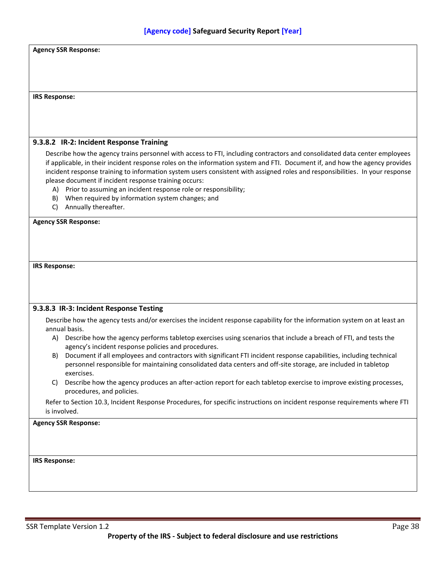| <b>Agency SSR Response:</b>                                                                                                |                                                                                                                              |
|----------------------------------------------------------------------------------------------------------------------------|------------------------------------------------------------------------------------------------------------------------------|
|                                                                                                                            |                                                                                                                              |
|                                                                                                                            |                                                                                                                              |
|                                                                                                                            |                                                                                                                              |
| <b>IRS Response:</b>                                                                                                       |                                                                                                                              |
|                                                                                                                            |                                                                                                                              |
|                                                                                                                            |                                                                                                                              |
|                                                                                                                            |                                                                                                                              |
| 9.3.8.2 IR-2: Incident Response Training                                                                                   | Describe how the agency trains personnel with access to FTI, including contractors and consolidated data center employees    |
|                                                                                                                            | if applicable, in their incident response roles on the information system and FTI. Document if, and how the agency provides  |
|                                                                                                                            | incident response training to information system users consistent with assigned roles and responsibilities. In your response |
| please document if incident response training occurs:<br>A) Prior to assuming an incident response role or responsibility; |                                                                                                                              |
| When required by information system changes; and<br>B).                                                                    |                                                                                                                              |
| Annually thereafter.<br>C)                                                                                                 |                                                                                                                              |
| <b>Agency SSR Response:</b>                                                                                                |                                                                                                                              |
|                                                                                                                            |                                                                                                                              |
|                                                                                                                            |                                                                                                                              |
|                                                                                                                            |                                                                                                                              |
|                                                                                                                            |                                                                                                                              |
| <b>IRS Response:</b>                                                                                                       |                                                                                                                              |
|                                                                                                                            |                                                                                                                              |
|                                                                                                                            |                                                                                                                              |
|                                                                                                                            |                                                                                                                              |
| 9.3.8.3 IR-3: Incident Response Testing                                                                                    |                                                                                                                              |
| annual basis.                                                                                                              | Describe how the agency tests and/or exercises the incident response capability for the information system on at least an    |
| A)                                                                                                                         | Describe how the agency performs tabletop exercises using scenarios that include a breach of FTI, and tests the              |
| agency's incident response policies and procedures.                                                                        |                                                                                                                              |
| B)                                                                                                                         | Document if all employees and contractors with significant FTI incident response capabilities, including technical           |
| exercises.                                                                                                                 | personnel responsible for maintaining consolidated data centers and off-site storage, are included in tabletop               |
| C)                                                                                                                         | Describe how the agency produces an after-action report for each tabletop exercise to improve existing processes,            |
| procedures, and policies.                                                                                                  |                                                                                                                              |
|                                                                                                                            | Refer to Section 10.3, Incident Response Procedures, for specific instructions on incident response requirements where FTI   |
|                                                                                                                            |                                                                                                                              |
| is involved.                                                                                                               |                                                                                                                              |
|                                                                                                                            |                                                                                                                              |
|                                                                                                                            |                                                                                                                              |
|                                                                                                                            |                                                                                                                              |
| <b>Agency SSR Response:</b><br><b>IRS Response:</b>                                                                        |                                                                                                                              |
|                                                                                                                            |                                                                                                                              |
|                                                                                                                            |                                                                                                                              |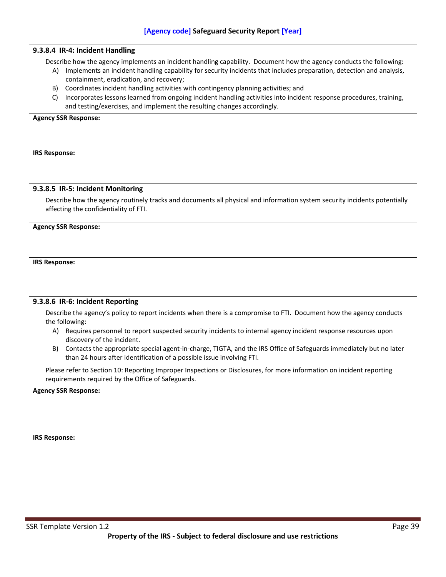## **9.3.8.4 IR-4: Incident Handling**

Describe how the agency implements an incident handling capability. Document how the agency conducts the following:

- A) Implements an incident handling capability for security incidents that includes preparation, detection and analysis, containment, eradication, and recovery;
- B) Coordinates incident handling activities with contingency planning activities; and
- C) Incorporates lessons learned from ongoing incident handling activities into incident response procedures, training, and testing/exercises, and implement the resulting changes accordingly.

#### **Agency SSR Response:**

**IRS Response:**

#### **9.3.8.5 IR-5: Incident Monitoring**

Describe how the agency routinely tracks and documents all physical and information system security incidents potentially affecting the confidentiality of FTI.

**Agency SSR Response:**

#### **IRS Response:**

#### **9.3.8.6 IR-6: Incident Reporting**

Describe the agency's policy to report incidents when there is a compromise to FTI. Document how the agency conducts the following:

- A) Requires personnel to report suspected security incidents to internal agency incident response resources upon discovery of the incident.
- B) Contacts the appropriate special agent-in-charge, TIGTA, and the IRS Office of Safeguards immediately but no later than 24 hours after identification of a possible issue involving FTI.

Please refer to Section 10: Reporting Improper Inspections or Disclosures, for more information on incident reporting requirements required by the Office of Safeguards.

#### **Agency SSR Response:**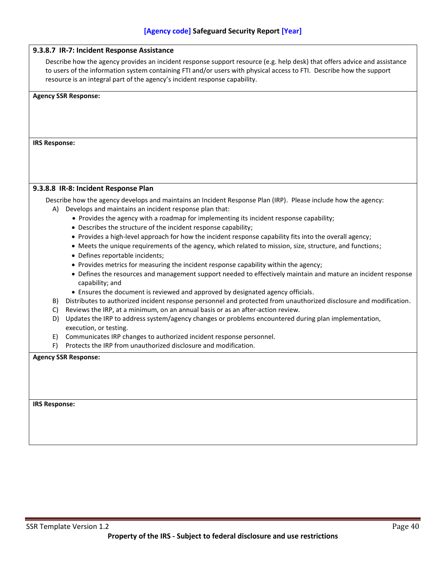|                      | Describe how the agency provides an incident response support resource (e.g. help desk) that offers advice and assistance                   |
|----------------------|---------------------------------------------------------------------------------------------------------------------------------------------|
|                      | to users of the information system containing FTI and/or users with physical access to FTI. Describe how the support                        |
|                      | resource is an integral part of the agency's incident response capability.                                                                  |
|                      | <b>Agency SSR Response:</b>                                                                                                                 |
| <b>IRS Response:</b> |                                                                                                                                             |
|                      |                                                                                                                                             |
|                      |                                                                                                                                             |
|                      | 9.3.8.8 IR-8: Incident Response Plan                                                                                                        |
|                      | Describe how the agency develops and maintains an Incident Response Plan (IRP). Please include how the agency:                              |
| A)                   | Develops and maintains an incident response plan that:                                                                                      |
|                      | • Provides the agency with a roadmap for implementing its incident response capability;                                                     |
|                      | • Describes the structure of the incident response capability;                                                                              |
|                      | • Provides a high-level approach for how the incident response capability fits into the overall agency;                                     |
|                      | • Meets the unique requirements of the agency, which related to mission, size, structure, and functions;<br>• Defines reportable incidents; |
|                      | • Provides metrics for measuring the incident response capability within the agency;                                                        |
|                      | • Defines the resources and management support needed to effectively maintain and mature an incident response<br>capability; and            |
|                      | • Ensures the document is reviewed and approved by designated agency officials.                                                             |
| B)                   | Distributes to authorized incident response personnel and protected from unauthorized disclosure and modification.                          |
| C)                   | Reviews the IRP, at a minimum, on an annual basis or as an after-action review.                                                             |
| D)                   | Updates the IRP to address system/agency changes or problems encountered during plan implementation,                                        |
|                      | execution, or testing.                                                                                                                      |
| E)<br>F)             | Communicates IRP changes to authorized incident response personnel.<br>Protects the IRP from unauthorized disclosure and modification.      |
|                      |                                                                                                                                             |
|                      | <b>Agency SSR Response:</b>                                                                                                                 |
|                      |                                                                                                                                             |
|                      |                                                                                                                                             |
|                      |                                                                                                                                             |
|                      |                                                                                                                                             |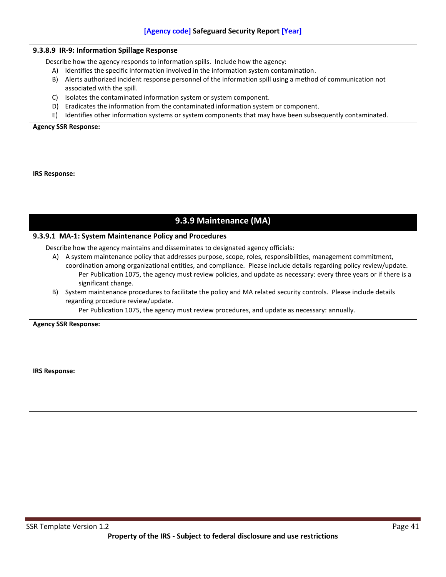|                      | 9.3.8.9 IR-9: Information Spillage Response                                                                                                                                                                                                                     |
|----------------------|-----------------------------------------------------------------------------------------------------------------------------------------------------------------------------------------------------------------------------------------------------------------|
|                      | Describe how the agency responds to information spills. Include how the agency:                                                                                                                                                                                 |
|                      | A) Identifies the specific information involved in the information system contamination.                                                                                                                                                                        |
| B)                   | Alerts authorized incident response personnel of the information spill using a method of communication not                                                                                                                                                      |
|                      | associated with the spill.                                                                                                                                                                                                                                      |
| C)                   | Isolates the contaminated information system or system component.                                                                                                                                                                                               |
|                      | D) Eradicates the information from the contaminated information system or component.                                                                                                                                                                            |
| E)                   | Identifies other information systems or system components that may have been subsequently contaminated.                                                                                                                                                         |
|                      | <b>Agency SSR Response:</b>                                                                                                                                                                                                                                     |
| <b>IRS Response:</b> |                                                                                                                                                                                                                                                                 |
|                      |                                                                                                                                                                                                                                                                 |
|                      |                                                                                                                                                                                                                                                                 |
|                      |                                                                                                                                                                                                                                                                 |
|                      |                                                                                                                                                                                                                                                                 |
|                      | 9.3.9 Maintenance (MA)                                                                                                                                                                                                                                          |
|                      | 9.3.9.1 MA-1: System Maintenance Policy and Procedures                                                                                                                                                                                                          |
|                      | Describe how the agency maintains and disseminates to designated agency officials:                                                                                                                                                                              |
|                      | A) A system maintenance policy that addresses purpose, scope, roles, responsibilities, management commitment,                                                                                                                                                   |
|                      | coordination among organizational entities, and compliance. Please include details regarding policy review/update.<br>Per Publication 1075, the agency must review policies, and update as necessary: every three years or if there is a<br>significant change. |
| B)                   | System maintenance procedures to facilitate the policy and MA related security controls. Please include details                                                                                                                                                 |
|                      | regarding procedure review/update.                                                                                                                                                                                                                              |
|                      | Per Publication 1075, the agency must review procedures, and update as necessary: annually.                                                                                                                                                                     |
|                      |                                                                                                                                                                                                                                                                 |
|                      | <b>Agency SSR Response:</b>                                                                                                                                                                                                                                     |
|                      |                                                                                                                                                                                                                                                                 |
|                      |                                                                                                                                                                                                                                                                 |
|                      |                                                                                                                                                                                                                                                                 |
|                      |                                                                                                                                                                                                                                                                 |
| <b>IRS Response:</b> |                                                                                                                                                                                                                                                                 |
|                      |                                                                                                                                                                                                                                                                 |
|                      |                                                                                                                                                                                                                                                                 |
|                      |                                                                                                                                                                                                                                                                 |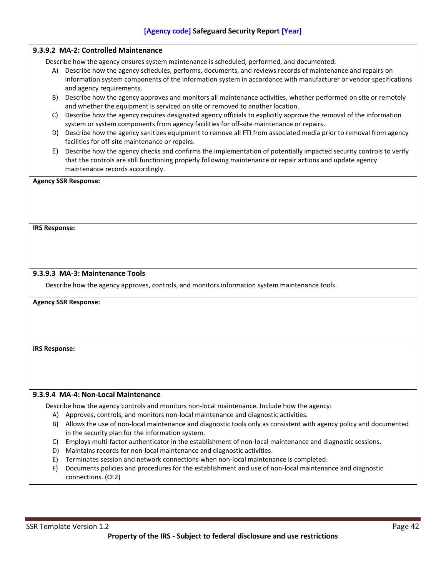|                                                                                                | 9.3.9.2 MA-2: Controlled Maintenance                                                                                                                                                                                                                                 |  |
|------------------------------------------------------------------------------------------------|----------------------------------------------------------------------------------------------------------------------------------------------------------------------------------------------------------------------------------------------------------------------|--|
|                                                                                                | Describe how the agency ensures system maintenance is scheduled, performed, and documented.                                                                                                                                                                          |  |
| A)                                                                                             | Describe how the agency schedules, performs, documents, and reviews records of maintenance and repairs on<br>information system components of the information system in accordance with manufacturer or vendor specifications<br>and agency requirements.            |  |
| B)                                                                                             | Describe how the agency approves and monitors all maintenance activities, whether performed on site or remotely<br>and whether the equipment is serviced on site or removed to another location.                                                                     |  |
| C)                                                                                             | Describe how the agency requires designated agency officials to explicitly approve the removal of the information<br>system or system components from agency facilities for off-site maintenance or repairs.                                                         |  |
|                                                                                                | D) Describe how the agency sanitizes equipment to remove all FTI from associated media prior to removal from agency<br>facilities for off-site maintenance or repairs.                                                                                               |  |
| E)                                                                                             | Describe how the agency checks and confirms the implementation of potentially impacted security controls to verify<br>that the controls are still functioning properly following maintenance or repair actions and update agency<br>maintenance records accordingly. |  |
|                                                                                                | <b>Agency SSR Response:</b>                                                                                                                                                                                                                                          |  |
|                                                                                                |                                                                                                                                                                                                                                                                      |  |
|                                                                                                |                                                                                                                                                                                                                                                                      |  |
| <b>IRS Response:</b>                                                                           |                                                                                                                                                                                                                                                                      |  |
|                                                                                                |                                                                                                                                                                                                                                                                      |  |
|                                                                                                |                                                                                                                                                                                                                                                                      |  |
|                                                                                                |                                                                                                                                                                                                                                                                      |  |
|                                                                                                | 9.3.9.3 MA-3: Maintenance Tools                                                                                                                                                                                                                                      |  |
| Describe how the agency approves, controls, and monitors information system maintenance tools. |                                                                                                                                                                                                                                                                      |  |
| <b>Agency SSR Response:</b>                                                                    |                                                                                                                                                                                                                                                                      |  |
|                                                                                                |                                                                                                                                                                                                                                                                      |  |
|                                                                                                |                                                                                                                                                                                                                                                                      |  |
|                                                                                                |                                                                                                                                                                                                                                                                      |  |
|                                                                                                |                                                                                                                                                                                                                                                                      |  |
| <b>IRS Response:</b>                                                                           |                                                                                                                                                                                                                                                                      |  |
|                                                                                                |                                                                                                                                                                                                                                                                      |  |
|                                                                                                |                                                                                                                                                                                                                                                                      |  |
|                                                                                                |                                                                                                                                                                                                                                                                      |  |
|                                                                                                | 9.3.9.4 MA-4: Non-Local Maintenance                                                                                                                                                                                                                                  |  |
|                                                                                                | Describe how the agency controls and monitors non-local maintenance. Include how the agency:                                                                                                                                                                         |  |
|                                                                                                | A) Approves, controls, and monitors non-local maintenance and diagnostic activities.                                                                                                                                                                                 |  |
| B)                                                                                             | Allows the use of non-local maintenance and diagnostic tools only as consistent with agency policy and documented                                                                                                                                                    |  |
|                                                                                                | in the security plan for the information system.<br>Employs multi-factor authenticator in the establishment of non-local maintenance and diagnostic sessions.                                                                                                        |  |
| C)<br>D)                                                                                       | Maintains records for non-local maintenance and diagnostic activities.                                                                                                                                                                                               |  |
| E)                                                                                             | Terminates session and network connections when non-local maintenance is completed.                                                                                                                                                                                  |  |
| F)                                                                                             | Documents policies and procedures for the establishment and use of non-local maintenance and diagnostic                                                                                                                                                              |  |
|                                                                                                | connections. (CE2)                                                                                                                                                                                                                                                   |  |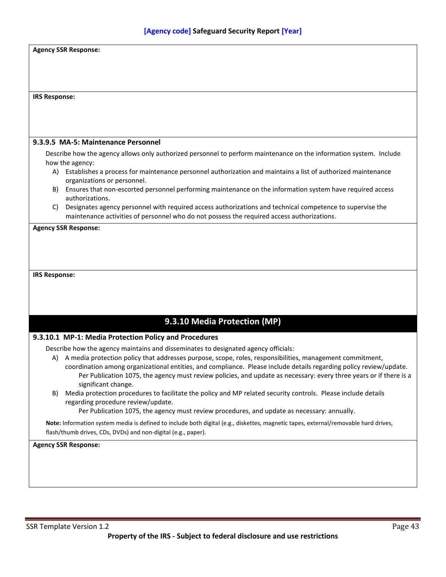| <b>Agency SSR Response:</b>                                                                                                                                                                                                              |  |
|------------------------------------------------------------------------------------------------------------------------------------------------------------------------------------------------------------------------------------------|--|
|                                                                                                                                                                                                                                          |  |
|                                                                                                                                                                                                                                          |  |
|                                                                                                                                                                                                                                          |  |
| <b>IRS Response:</b>                                                                                                                                                                                                                     |  |
|                                                                                                                                                                                                                                          |  |
|                                                                                                                                                                                                                                          |  |
| 9.3.9.5 MA-5: Maintenance Personnel                                                                                                                                                                                                      |  |
| Describe how the agency allows only authorized personnel to perform maintenance on the information system. Include                                                                                                                       |  |
| how the agency:<br>A) Establishes a process for maintenance personnel authorization and maintains a list of authorized maintenance                                                                                                       |  |
| organizations or personnel.<br>Ensures that non-escorted personnel performing maintenance on the information system have required access<br>B)                                                                                           |  |
| authorizations.                                                                                                                                                                                                                          |  |
| Designates agency personnel with required access authorizations and technical competence to supervise the<br>C)<br>maintenance activities of personnel who do not possess the required access authorizations.                            |  |
| <b>Agency SSR Response:</b>                                                                                                                                                                                                              |  |
|                                                                                                                                                                                                                                          |  |
| <b>IRS Response:</b>                                                                                                                                                                                                                     |  |
|                                                                                                                                                                                                                                          |  |
|                                                                                                                                                                                                                                          |  |
| 9.3.10 Media Protection (MP)                                                                                                                                                                                                             |  |
| 9.3.10.1 MP-1: Media Protection Policy and Procedures                                                                                                                                                                                    |  |
| Describe how the agency maintains and disseminates to designated agency officials:                                                                                                                                                       |  |
| A) A media protection policy that addresses purpose, scope, roles, responsibilities, management commitment,                                                                                                                              |  |
| coordination among organizational entities, and compliance. Please include details regarding policy review/update.<br>Per Publication 1075, the agency must review policies, and update as necessary: every three years or if there is a |  |
| significant change.<br>B) Media protection procedures to facilitate the policy and MP related security controls. Please include details                                                                                                  |  |
| regarding procedure review/update.                                                                                                                                                                                                       |  |
| Per Publication 1075, the agency must review procedures, and update as necessary: annually.                                                                                                                                              |  |
| Note: Information system media is defined to include both digital (e.g., diskettes, magnetic tapes, external/removable hard drives,<br>flash/thumb drives, CDs, DVDs) and non-digital (e.g., paper).                                     |  |
| <b>Agency SSR Response:</b>                                                                                                                                                                                                              |  |
|                                                                                                                                                                                                                                          |  |
|                                                                                                                                                                                                                                          |  |
|                                                                                                                                                                                                                                          |  |
|                                                                                                                                                                                                                                          |  |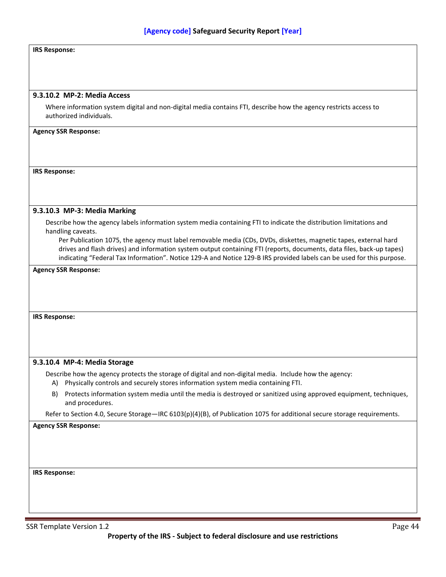## **IRS Response:**

#### **9.3.10.2 MP-2: Media Access**

Where information system digital and non-digital media contains FTI, describe how the agency restricts access to authorized individuals.

#### **Agency SSR Response:**

#### **IRS Response:**

#### **9.3.10.3 MP-3: Media Marking**

Describe how the agency labels information system media containing FTI to indicate the distribution limitations and handling caveats.

Per Publication 1075, the agency must label removable media (CDs, DVDs, diskettes, magnetic tapes, external hard drives and flash drives) and information system output containing FTI (reports, documents, data files, back-up tapes) indicating "Federal Tax Information". Notice 129-A and Notice 129-B IRS provided labels can be used for this purpose.

#### **Agency SSR Response:**

**IRS Response:**

#### **9.3.10.4 MP-4: Media Storage**

Describe how the agency protects the storage of digital and non-digital media. Include how the agency:

- A) Physically controls and securely stores information system media containing FTI.
- B) Protects information system media until the media is destroyed or sanitized using approved equipment, techniques, and procedures.

Refer to Section 4.0, Secure Storage—IRC 6103(p)(4)(B), of Publication 1075 for additional secure storage requirements.

**Agency SSR Response:**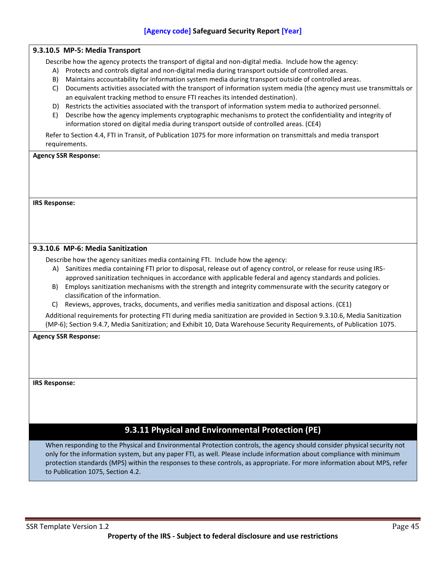# **9.3.10.5 MP-5: Media Transport**  Describe how the agency protects the transport of digital and non-digital media. Include how the agency: A) Protects and controls digital and non-digital media during transport outside of controlled areas. B) Maintains accountability for information system media during transport outside of controlled areas. C) Documents activities associated with the transport of information system media (the agency must use transmittals or an equivalent tracking method to ensure FTI reaches its intended destination). D) Restricts the activities associated with the transport of information system media to authorized personnel. E) Describe how the agency implements cryptographic mechanisms to protect the confidentiality and integrity of information stored on digital media during transport outside of controlled areas. (CE4) Refer to Section 4.4, FTI in Transit, of Publication 1075 for more information on transmittals and media transport requirements. **Agency SSR Response: IRS Response: 9.3.10.6 MP-6: Media Sanitization** Describe how the agency sanitizes media containing FTI. Include how the agency: A) Sanitizes media containing FTI prior to disposal, release out of agency control, or release for reuse using IRSapproved sanitization techniques in accordance with applicable federal and agency standards and policies. B) Employs sanitization mechanisms with the strength and integrity commensurate with the security category or classification of the information. C) Reviews, approves, tracks, documents, and verifies media sanitization and disposal actions. (CE1) Additional requirements for protecting FTI during media sanitization are provided in Section 9.3.10.6, Media Sanitization (MP-6); Section 9.4.7, Media Sanitization; and Exhibit 10, Data Warehouse Security Requirements, of Publication 1075. **Agency SSR Response: IRS Response: 9.3.11 Physical and Environmental Protection (PE)** When responding to the Physical and Environmental Protection controls, the agency should consider physical security not

only for the information system, but any paper FTI, as well. Please include information about compliance with minimum protection standards (MPS) within the responses to these controls, as appropriate. For more information about MPS, refer to Publication 1075, Section 4.2.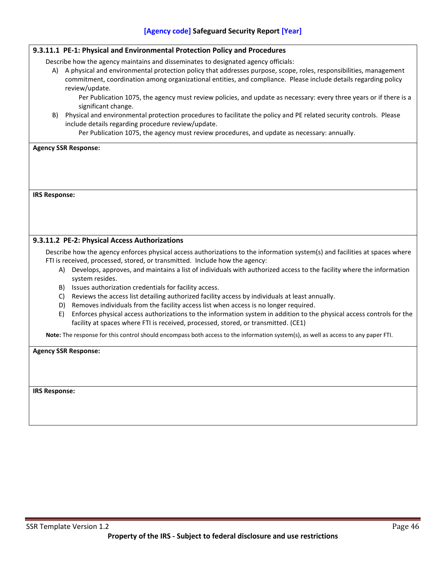|                      | 9.3.11.1 PE-1: Physical and Environmental Protection Policy and Procedures                                                         |
|----------------------|------------------------------------------------------------------------------------------------------------------------------------|
|                      | Describe how the agency maintains and disseminates to designated agency officials:                                                 |
| A)                   | A physical and environmental protection policy that addresses purpose, scope, roles, responsibilities, management                  |
|                      | commitment, coordination among organizational entities, and compliance. Please include details regarding policy                    |
|                      | review/update.                                                                                                                     |
|                      | Per Publication 1075, the agency must review policies, and update as necessary: every three years or if there is a                 |
|                      | significant change.                                                                                                                |
| B)                   | Physical and environmental protection procedures to facilitate the policy and PE related security controls. Please                 |
|                      | include details regarding procedure review/update.                                                                                 |
|                      | Per Publication 1075, the agency must review procedures, and update as necessary: annually.                                        |
|                      | <b>Agency SSR Response:</b>                                                                                                        |
|                      |                                                                                                                                    |
|                      |                                                                                                                                    |
|                      |                                                                                                                                    |
|                      |                                                                                                                                    |
| <b>IRS Response:</b> |                                                                                                                                    |
|                      |                                                                                                                                    |
|                      |                                                                                                                                    |
|                      |                                                                                                                                    |
|                      |                                                                                                                                    |
|                      | 9.3.11.2 PE-2: Physical Access Authorizations                                                                                      |
|                      | Describe how the agency enforces physical access authorizations to the information system(s) and facilities at spaces where        |
|                      | FTI is received, processed, stored, or transmitted. Include how the agency:                                                        |
|                      | A) Develops, approves, and maintains a list of individuals with authorized access to the facility where the information            |
|                      | system resides.                                                                                                                    |
|                      | B) Issues authorization credentials for facility access.                                                                           |
|                      | Reviews the access list detailing authorized facility access by individuals at least annually.<br>C)                               |
|                      | Removes individuals from the facility access list when access is no longer required.<br>D)                                         |
|                      | Enforces physical access authorizations to the information system in addition to the physical access controls for the<br>E)        |
|                      | facility at spaces where FTI is received, processed, stored, or transmitted. (CE1)                                                 |
|                      | Note: The response for this control should encompass both access to the information system(s), as well as access to any paper FTI. |
|                      |                                                                                                                                    |
|                      | <b>Agency SSR Response:</b>                                                                                                        |
|                      |                                                                                                                                    |
|                      |                                                                                                                                    |
|                      |                                                                                                                                    |
| <b>IRS Response:</b> |                                                                                                                                    |
|                      |                                                                                                                                    |
|                      |                                                                                                                                    |
|                      |                                                                                                                                    |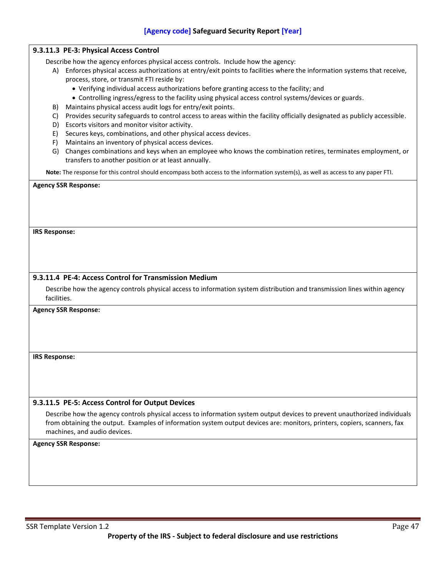| 5000                                                                                                                                                                                                                                                                                                                                                                                                                                                               |
|--------------------------------------------------------------------------------------------------------------------------------------------------------------------------------------------------------------------------------------------------------------------------------------------------------------------------------------------------------------------------------------------------------------------------------------------------------------------|
| 9.3.11.3 PE-3: Physical Access Control                                                                                                                                                                                                                                                                                                                                                                                                                             |
| Describe how the agency enforces physical access controls. Include how the agency:<br>A) Enforces physical access authorizations at entry/exit points to facilities where the information systems that receive,<br>process, store, or transmit FTI reside by:<br>• Verifying individual access authorizations before granting access to the facility; and<br>• Controlling ingress/egress to the facility using physical access control systems/devices or guards. |
| Maintains physical access audit logs for entry/exit points.<br>B)<br>Provides security safeguards to control access to areas within the facility officially designated as publicly accessible.<br>C)<br>Escorts visitors and monitor visitor activity.<br>D)                                                                                                                                                                                                       |
| Secures keys, combinations, and other physical access devices.<br>E)<br>Maintains an inventory of physical access devices.<br>F)                                                                                                                                                                                                                                                                                                                                   |
| Changes combinations and keys when an employee who knows the combination retires, terminates employment, or<br>G)<br>transfers to another position or at least annually.                                                                                                                                                                                                                                                                                           |
| Note: The response for this control should encompass both access to the information system(s), as well as access to any paper FTI.                                                                                                                                                                                                                                                                                                                                 |
|                                                                                                                                                                                                                                                                                                                                                                                                                                                                    |
| <b>IRS Response:</b>                                                                                                                                                                                                                                                                                                                                                                                                                                               |
| 9.3.11.4 PE-4: Access Control for Transmission Medium                                                                                                                                                                                                                                                                                                                                                                                                              |
| Describe how the agency controls physical access to information system distribution and transmission lines within agency<br>facilities.                                                                                                                                                                                                                                                                                                                            |
| <b>Agency SSR Response:</b>                                                                                                                                                                                                                                                                                                                                                                                                                                        |
| <b>IRS Response:</b>                                                                                                                                                                                                                                                                                                                                                                                                                                               |
| 9.3.11.5 PE-5: Access Control for Output Devices                                                                                                                                                                                                                                                                                                                                                                                                                   |
| Describe how the agency controls physical access to information system output devices to prevent unauthorized individuals<br>from obtaining the output. Examples of information system output devices are: monitors, printers, copiers, scanners, fax<br>machines, and audio devices.                                                                                                                                                                              |
| <b>Agency SSR Response:</b>                                                                                                                                                                                                                                                                                                                                                                                                                                        |
|                                                                                                                                                                                                                                                                                                                                                                                                                                                                    |
|                                                                                                                                                                                                                                                                                                                                                                                                                                                                    |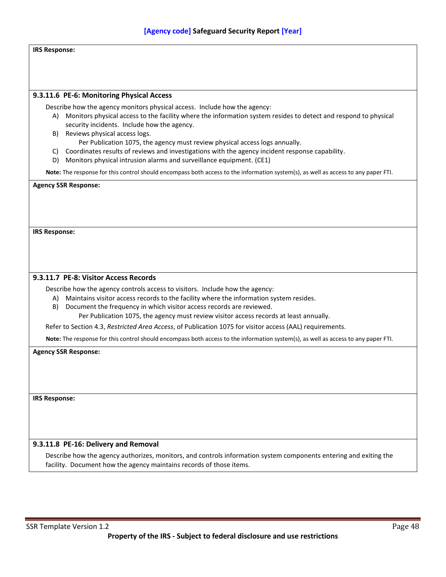| [Agency code] Safeguard Security Report [Year]                                                                                                                                                              |  |
|-------------------------------------------------------------------------------------------------------------------------------------------------------------------------------------------------------------|--|
| <b>IRS Response:</b>                                                                                                                                                                                        |  |
|                                                                                                                                                                                                             |  |
|                                                                                                                                                                                                             |  |
| 9.3.11.6 PE-6: Monitoring Physical Access                                                                                                                                                                   |  |
| Describe how the agency monitors physical access. Include how the agency:                                                                                                                                   |  |
| Monitors physical access to the facility where the information system resides to detect and respond to physical<br>A)<br>security incidents. Include how the agency.<br>Reviews physical access logs.<br>B) |  |
| Per Publication 1075, the agency must review physical access logs annually.                                                                                                                                 |  |
| Coordinates results of reviews and investigations with the agency incident response capability.<br>C)<br>Monitors physical intrusion alarms and surveillance equipment. (CE1)<br>D).                        |  |
| Note: The response for this control should encompass both access to the information system(s), as well as access to any paper FTI.                                                                          |  |
| <b>Agency SSR Response:</b>                                                                                                                                                                                 |  |
|                                                                                                                                                                                                             |  |
|                                                                                                                                                                                                             |  |
|                                                                                                                                                                                                             |  |
| <b>IRS Response:</b>                                                                                                                                                                                        |  |
|                                                                                                                                                                                                             |  |
|                                                                                                                                                                                                             |  |
| 9.3.11.7 PE-8: Visitor Access Records                                                                                                                                                                       |  |
| Describe how the agency controls access to visitors. Include how the agency:                                                                                                                                |  |
| A) Maintains visitor access records to the facility where the information system resides.                                                                                                                   |  |
| Document the frequency in which visitor access records are reviewed.<br>B)                                                                                                                                  |  |
| Per Publication 1075, the agency must review visitor access records at least annually.                                                                                                                      |  |
| Refer to Section 4.3, Restricted Area Access, of Publication 1075 for visitor access (AAL) requirements.                                                                                                    |  |
| Note: The response for this control should encompass both access to the information system(s), as well as access to any paper FTI.                                                                          |  |
| <b>Agency SSR Response:</b>                                                                                                                                                                                 |  |
|                                                                                                                                                                                                             |  |
|                                                                                                                                                                                                             |  |
| <b>IRS Response:</b>                                                                                                                                                                                        |  |
|                                                                                                                                                                                                             |  |
|                                                                                                                                                                                                             |  |
|                                                                                                                                                                                                             |  |
| 9.3.11.8 PE-16: Delivery and Removal                                                                                                                                                                        |  |
| Describe how the agency authorizes, monitors, and controls information system components entering and exiting the<br>facility. Document how the agency maintains records of those items.                    |  |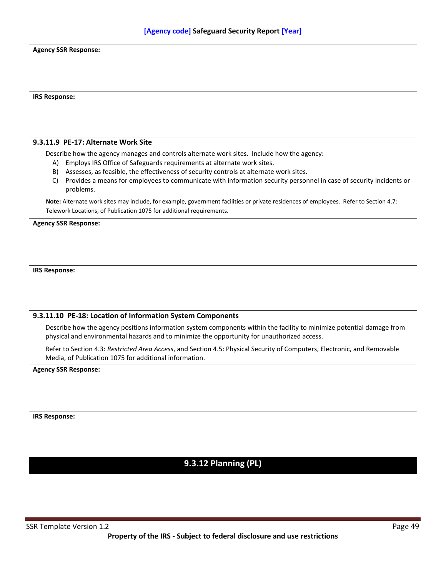| <b>Agency SSR Response:</b>                                                                                                                                            |  |
|------------------------------------------------------------------------------------------------------------------------------------------------------------------------|--|
|                                                                                                                                                                        |  |
|                                                                                                                                                                        |  |
|                                                                                                                                                                        |  |
| <b>IRS Response:</b>                                                                                                                                                   |  |
|                                                                                                                                                                        |  |
|                                                                                                                                                                        |  |
|                                                                                                                                                                        |  |
| 9.3.11.9 PE-17: Alternate Work Site                                                                                                                                    |  |
| Describe how the agency manages and controls alternate work sites. Include how the agency:                                                                             |  |
| A) Employs IRS Office of Safeguards requirements at alternate work sites.<br>B) Assesses, as feasible, the effectiveness of security controls at alternate work sites. |  |
| Provides a means for employees to communicate with information security personnel in case of security incidents or<br>C)                                               |  |
| problems.                                                                                                                                                              |  |
| Note: Alternate work sites may include, for example, government facilities or private residences of employees. Refer to Section 4.7:                                   |  |
| Telework Locations, of Publication 1075 for additional requirements.                                                                                                   |  |
| <b>Agency SSR Response:</b>                                                                                                                                            |  |
|                                                                                                                                                                        |  |
|                                                                                                                                                                        |  |
|                                                                                                                                                                        |  |
|                                                                                                                                                                        |  |
| <b>IRS Response:</b>                                                                                                                                                   |  |
|                                                                                                                                                                        |  |
|                                                                                                                                                                        |  |
|                                                                                                                                                                        |  |
| 9.3.11.10 PE-18: Location of Information System Components                                                                                                             |  |
| Describe how the agency positions information system components within the facility to minimize potential damage from                                                  |  |
| physical and environmental hazards and to minimize the opportunity for unauthorized access.                                                                            |  |
| Refer to Section 4.3: Restricted Area Access, and Section 4.5: Physical Security of Computers, Electronic, and Removable                                               |  |
| Media, of Publication 1075 for additional information.                                                                                                                 |  |
| <b>Agency SSR Response:</b>                                                                                                                                            |  |
|                                                                                                                                                                        |  |
|                                                                                                                                                                        |  |
|                                                                                                                                                                        |  |
|                                                                                                                                                                        |  |
| <b>IRS Response:</b>                                                                                                                                                   |  |
|                                                                                                                                                                        |  |
|                                                                                                                                                                        |  |
|                                                                                                                                                                        |  |
| 9.3.12 Planning (PL)                                                                                                                                                   |  |
|                                                                                                                                                                        |  |
|                                                                                                                                                                        |  |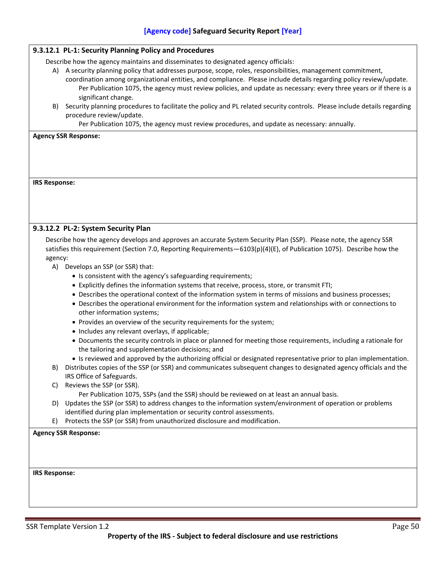|                      | 9.3.12.1 PL-1: Security Planning Policy and Procedures                                                                   |
|----------------------|--------------------------------------------------------------------------------------------------------------------------|
|                      | Describe how the agency maintains and disseminates to designated agency officials:                                       |
|                      | A) A security planning policy that addresses purpose, scope, roles, responsibilities, management commitment,             |
|                      | coordination among organizational entities, and compliance. Please include details regarding policy review/update.       |
|                      | Per Publication 1075, the agency must review policies, and update as necessary: every three years or if there is a       |
|                      | significant change.                                                                                                      |
| B)                   | Security planning procedures to facilitate the policy and PL related security controls. Please include details regarding |
|                      | procedure review/update.                                                                                                 |
|                      | Per Publication 1075, the agency must review procedures, and update as necessary: annually.                              |
|                      | <b>Agency SSR Response:</b>                                                                                              |
|                      |                                                                                                                          |
|                      |                                                                                                                          |
|                      |                                                                                                                          |
|                      |                                                                                                                          |
| <b>IRS Response:</b> |                                                                                                                          |
|                      |                                                                                                                          |
|                      |                                                                                                                          |
|                      |                                                                                                                          |
|                      |                                                                                                                          |
|                      | 9.3.12.2 PL-2: System Security Plan                                                                                      |
|                      | Describe how the agency develops and approves an accurate System Security Plan (SSP). Please note, the agency SSR        |
|                      | satisfies this requirement (Section 7.0, Reporting Requirements -6103(p)(4)(E), of Publication 1075). Describe how the   |
| agency:              |                                                                                                                          |
| A)                   | Develops an SSP (or SSR) that:                                                                                           |
|                      | • Is consistent with the agency's safeguarding requirements;                                                             |
|                      | • Explicitly defines the information systems that receive, process, store, or transmit FTI;                              |
|                      | • Describes the operational context of the information system in terms of missions and business processes;               |
|                      | • Describes the operational environment for the information system and relationships with or connections to              |
|                      | other information systems;                                                                                               |
|                      | • Provides an overview of the security requirements for the system;                                                      |
|                      | • Includes any relevant overlays, if applicable;                                                                         |
|                      | • Documents the security controls in place or planned for meeting those requirements, including a rationale for          |
|                      | the tailoring and supplementation decisions; and                                                                         |
|                      | • Is reviewed and approved by the authorizing official or designated representative prior to plan implementation.        |
| B)                   | Distributes copies of the SSP (or SSR) and communicates subsequent changes to designated agency officials and the        |
|                      | IRS Office of Safeguards.                                                                                                |
| C)                   | Reviews the SSP (or SSR).                                                                                                |
|                      | Per Publication 1075, SSPs (and the SSR) should be reviewed on at least an annual basis.                                 |
| D)                   | Updates the SSP (or SSR) to address changes to the information system/environment of operation or problems               |
|                      | identified during plan implementation or security control assessments.                                                   |
| E)                   | Protects the SSP (or SSR) from unauthorized disclosure and modification.                                                 |
|                      | <b>Agency SSR Response:</b>                                                                                              |
|                      |                                                                                                                          |
|                      |                                                                                                                          |
|                      |                                                                                                                          |
| <b>IRS Response:</b> |                                                                                                                          |
|                      |                                                                                                                          |
|                      |                                                                                                                          |
|                      |                                                                                                                          |
|                      |                                                                                                                          |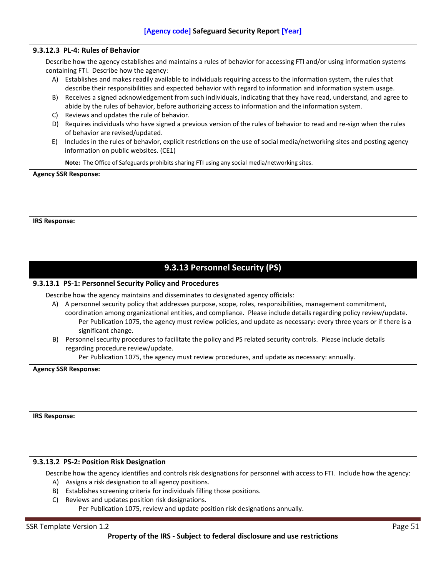## **9.3.12.3 PL-4: Rules of Behavior**

Describe how the agency establishes and maintains a rules of behavior for accessing FTI and/or using information systems containing FTI. Describe how the agency:

- A) Establishes and makes readily available to individuals requiring access to the information system, the rules that describe their responsibilities and expected behavior with regard to information and information system usage.
- B) Receives a signed acknowledgement from such individuals, indicating that they have read, understand, and agree to abide by the rules of behavior, before authorizing access to information and the information system.
- C) Reviews and updates the rule of behavior.
- D) Requires individuals who have signed a previous version of the rules of behavior to read and re-sign when the rules of behavior are revised/updated.
- E) Includes in the rules of behavior, explicit restrictions on the use of social media/networking sites and posting agency information on public websites. (CE1)

**Note:** The Office of Safeguards prohibits sharing FTI using any social media/networking sites.

**Agency SSR Response:**

**IRS Response:**

# **9.3.13 Personnel Security (PS)**

## **9.3.13.1 PS-1: Personnel Security Policy and Procedures**

Describe how the agency maintains and disseminates to designated agency officials:

- A) A personnel security policy that addresses purpose, scope, roles, responsibilities, management commitment,
	- coordination among organizational entities, and compliance. Please include details regarding policy review/update. Per Publication 1075, the agency must review policies, and update as necessary: every three years or if there is a significant change.
- B) Personnel security procedures to facilitate the policy and PS related security controls. Please include details regarding procedure review/update.

Per Publication 1075, the agency must review procedures, and update as necessary: annually.

**Agency SSR Response:**

**IRS Response:**

## **9.3.13.2 PS-2: Position Risk Designation**

Describe how the agency identifies and controls risk designations for personnel with access to FTI. Include how the agency:

- A) Assigns a risk designation to all agency positions.
- B) Establishes screening criteria for individuals filling those positions.
- C) Reviews and updates position risk designations.
	- Per Publication 1075, review and update position risk designations annually.

#### SSR Template Version 1.2 Page 51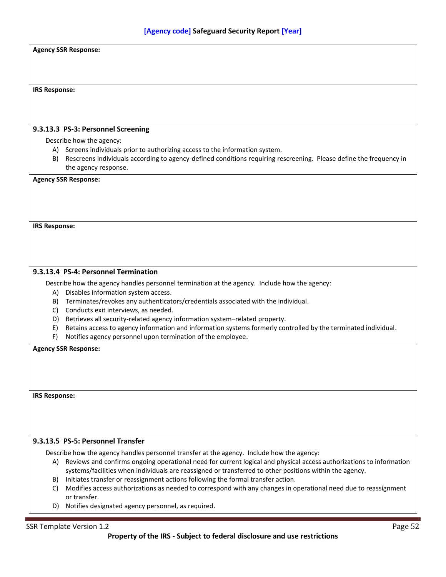|                      | <b>Agency SSR Response:</b>                                                                                                  |
|----------------------|------------------------------------------------------------------------------------------------------------------------------|
|                      |                                                                                                                              |
|                      |                                                                                                                              |
| <b>IRS Response:</b> |                                                                                                                              |
|                      |                                                                                                                              |
|                      |                                                                                                                              |
|                      |                                                                                                                              |
|                      | 9.3.13.3 PS-3: Personnel Screening                                                                                           |
|                      | Describe how the agency:                                                                                                     |
|                      | A) Screens individuals prior to authorizing access to the information system.                                                |
|                      | B) Rescreens individuals according to agency-defined conditions requiring rescreening. Please define the frequency in        |
|                      | the agency response.                                                                                                         |
|                      | <b>Agency SSR Response:</b>                                                                                                  |
|                      |                                                                                                                              |
|                      |                                                                                                                              |
|                      |                                                                                                                              |
| <b>IRS Response:</b> |                                                                                                                              |
|                      |                                                                                                                              |
|                      |                                                                                                                              |
|                      |                                                                                                                              |
|                      |                                                                                                                              |
|                      | 9.3.13.4 PS-4: Personnel Termination                                                                                         |
|                      | Describe how the agency handles personnel termination at the agency. Include how the agency:                                 |
| A)                   | Disables information system access.                                                                                          |
|                      | B) Terminates/revokes any authenticators/credentials associated with the individual.<br>Conducts exit interviews, as needed. |
| C)<br>D)             | Retrieves all security-related agency information system-related property.                                                   |
| E)                   | Retains access to agency information and information systems formerly controlled by the terminated individual.               |
| F)                   | Notifies agency personnel upon termination of the employee.                                                                  |
|                      | <b>Agency SSR Response:</b>                                                                                                  |
|                      |                                                                                                                              |
|                      |                                                                                                                              |
|                      |                                                                                                                              |
|                      |                                                                                                                              |
| <b>IRS Response:</b> |                                                                                                                              |
|                      |                                                                                                                              |
|                      |                                                                                                                              |
|                      |                                                                                                                              |
|                      | 9.3.13.5 PS-5: Personnel Transfer                                                                                            |
|                      | Describe how the agency handles personnel transfer at the agency. Include how the agency:                                    |
| A)                   | Reviews and confirms ongoing operational need for current logical and physical access authorizations to information          |
|                      | systems/facilities when individuals are reassigned or transferred to other positions within the agency.                      |
|                      | B) Initiates transfer or reassignment actions following the formal transfer action.                                          |
| C)                   | Modifies access authorizations as needed to correspond with any changes in operational need due to reassignment              |
|                      | or transfer.                                                                                                                 |
|                      | D) Notifies designated agency personnel, as required.                                                                        |
|                      |                                                                                                                              |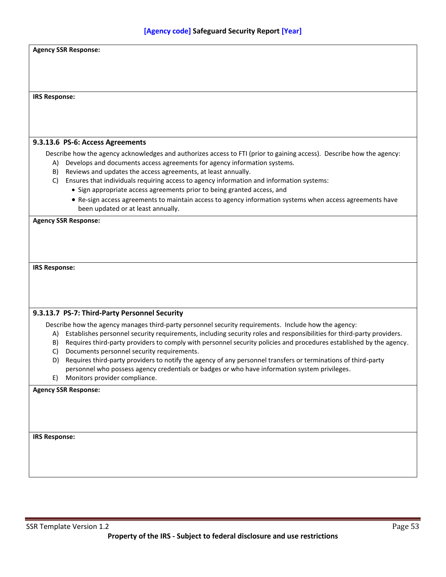| <b>Agency SSR Response:</b>                                                                                               |  |
|---------------------------------------------------------------------------------------------------------------------------|--|
|                                                                                                                           |  |
|                                                                                                                           |  |
|                                                                                                                           |  |
|                                                                                                                           |  |
| <b>IRS Response:</b>                                                                                                      |  |
|                                                                                                                           |  |
|                                                                                                                           |  |
|                                                                                                                           |  |
|                                                                                                                           |  |
| 9.3.13.6 PS-6: Access Agreements                                                                                          |  |
| Describe how the agency acknowledges and authorizes access to FTI (prior to gaining access). Describe how the agency:     |  |
| Develops and documents access agreements for agency information systems.<br>A)                                            |  |
| Reviews and updates the access agreements, at least annually.<br>B)                                                       |  |
| Ensures that individuals requiring access to agency information and information systems:<br>C)                            |  |
| • Sign appropriate access agreements prior to being granted access, and                                                   |  |
| • Re-sign access agreements to maintain access to agency information systems when access agreements have                  |  |
| been updated or at least annually.                                                                                        |  |
| <b>Agency SSR Response:</b>                                                                                               |  |
|                                                                                                                           |  |
|                                                                                                                           |  |
|                                                                                                                           |  |
|                                                                                                                           |  |
| <b>IRS Response:</b>                                                                                                      |  |
|                                                                                                                           |  |
|                                                                                                                           |  |
|                                                                                                                           |  |
|                                                                                                                           |  |
| 9.3.13.7 PS-7: Third-Party Personnel Security                                                                             |  |
| Describe how the agency manages third-party personnel security requirements. Include how the agency:                      |  |
| A) Establishes personnel security requirements, including security roles and responsibilities for third-party providers.  |  |
| Requires third-party providers to comply with personnel security policies and procedures established by the agency.<br>B) |  |
| Documents personnel security requirements.<br>C)                                                                          |  |
| Requires third-party providers to notify the agency of any personnel transfers or terminations of third-party<br>D)       |  |
| personnel who possess agency credentials or badges or who have information system privileges.                             |  |
| Monitors provider compliance.<br>E)                                                                                       |  |
| <b>Agency SSR Response:</b>                                                                                               |  |
|                                                                                                                           |  |
|                                                                                                                           |  |
|                                                                                                                           |  |
|                                                                                                                           |  |
| <b>IRS Response:</b>                                                                                                      |  |
|                                                                                                                           |  |
|                                                                                                                           |  |
|                                                                                                                           |  |
|                                                                                                                           |  |
|                                                                                                                           |  |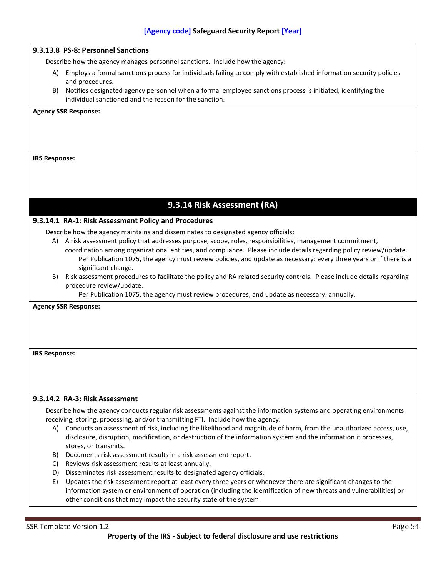## **9.3.13.8 PS-8: Personnel Sanctions**

Describe how the agency manages personnel sanctions. Include how the agency:

- A) Employs a formal sanctions process for individuals failing to comply with established information security policies and procedures.
- B) Notifies designated agency personnel when a formal employee sanctions process is initiated, identifying the individual sanctioned and the reason for the sanction.

#### **Agency SSR Response:**

#### **IRS Response:**

## **9.3.14 Risk Assessment (RA)**

## **9.3.14.1 RA-1: Risk Assessment Policy and Procedures**

Describe how the agency maintains and disseminates to designated agency officials:

- A) A risk assessment policy that addresses purpose, scope, roles, responsibilities, management commitment, coordination among organizational entities, and compliance. Please include details regarding policy review/update. Per Publication 1075, the agency must review policies, and update as necessary: every three years or if there is a significant change.
- B) Risk assessment procedures to facilitate the policy and RA related security controls. Please include details regarding procedure review/update.

Per Publication 1075, the agency must review procedures, and update as necessary: annually.

#### **Agency SSR Response:**

#### **IRS Response:**

## **9.3.14.2 RA-3: Risk Assessment**

Describe how the agency conducts regular risk assessments against the information systems and operating environments receiving, storing, processing, and/or transmitting FTI. Include how the agency:

- A) Conducts an assessment of risk, including the likelihood and magnitude of harm, from the unauthorized access, use, disclosure, disruption, modification, or destruction of the information system and the information it processes, stores, or transmits.
- B) Documents risk assessment results in a risk assessment report.
- C) Reviews risk assessment results at least annually.
- D) Disseminates risk assessment results to designated agency officials.
- E) Updates the risk assessment report at least every three years or whenever there are significant changes to the information system or environment of operation (including the identification of new threats and vulnerabilities) or other conditions that may impact the security state of the system.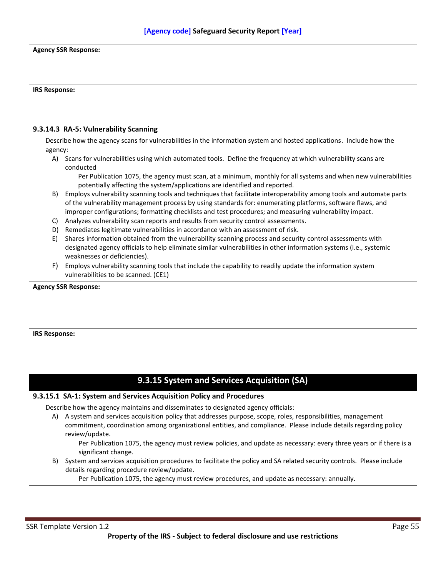| <b>Agency SSR Response:</b> |                                                                                                                                                                                                                                                                 |
|-----------------------------|-----------------------------------------------------------------------------------------------------------------------------------------------------------------------------------------------------------------------------------------------------------------|
|                             |                                                                                                                                                                                                                                                                 |
|                             |                                                                                                                                                                                                                                                                 |
| <b>IRS Response:</b>        |                                                                                                                                                                                                                                                                 |
|                             |                                                                                                                                                                                                                                                                 |
|                             |                                                                                                                                                                                                                                                                 |
|                             | 9.3.14.3 RA-5: Vulnerability Scanning                                                                                                                                                                                                                           |
| agency:                     | Describe how the agency scans for vulnerabilities in the information system and hosted applications. Include how the                                                                                                                                            |
|                             | A) Scans for vulnerabilities using which automated tools. Define the frequency at which vulnerability scans are<br>conducted                                                                                                                                    |
|                             | Per Publication 1075, the agency must scan, at a minimum, monthly for all systems and when new vulnerabilities<br>potentially affecting the system/applications are identified and reported.                                                                    |
| B)                          | Employs vulnerability scanning tools and techniques that facilitate interoperability among tools and automate parts<br>of the vulnerability management process by using standards for: enumerating platforms, software flaws, and                               |
| C)                          | improper configurations; formatting checklists and test procedures; and measuring vulnerability impact.<br>Analyzes vulnerability scan reports and results from security control assessments.                                                                   |
| D)                          | Remediates legitimate vulnerabilities in accordance with an assessment of risk.                                                                                                                                                                                 |
| E)                          | Shares information obtained from the vulnerability scanning process and security control assessments with<br>designated agency officials to help eliminate similar vulnerabilities in other information systems (i.e., systemic<br>weaknesses or deficiencies). |
| F)                          | Employs vulnerability scanning tools that include the capability to readily update the information system<br>vulnerabilities to be scanned. (CE1)                                                                                                               |
|                             | <b>Agency SSR Response:</b>                                                                                                                                                                                                                                     |
|                             |                                                                                                                                                                                                                                                                 |
|                             |                                                                                                                                                                                                                                                                 |
|                             |                                                                                                                                                                                                                                                                 |
| <b>IRS Response:</b>        |                                                                                                                                                                                                                                                                 |
|                             |                                                                                                                                                                                                                                                                 |
|                             |                                                                                                                                                                                                                                                                 |
|                             | 9.3.15 System and Services Acquisition (SA)                                                                                                                                                                                                                     |
|                             | 9.3.15.1 SA-1: System and Services Acquisition Policy and Procedures                                                                                                                                                                                            |
|                             | Describe how the agency maintains and disseminates to designated agency officials:                                                                                                                                                                              |
|                             | A) A system and services acquisition policy that addresses purpose, scope, roles, responsibilities, management<br>commitment, coordination among organizational entities, and compliance. Please include details regarding policy<br>review/update.             |
|                             | Per Publication 1075, the agency must review policies, and update as necessary: every three years or if there is a<br>significant change.                                                                                                                       |
| B)                          | System and services acquisition procedures to facilitate the policy and SA related security controls. Please include<br>details regarding procedure review/update.                                                                                              |
|                             | Per Publication 1075, the agency must review procedures, and update as necessary: annually.                                                                                                                                                                     |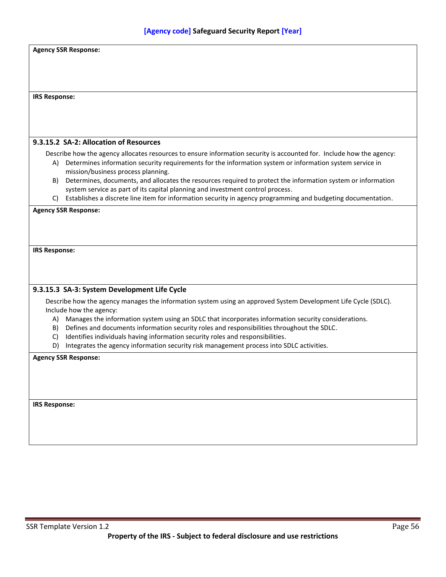|                      | <b>Agency SSR Response:</b>                                                                                          |
|----------------------|----------------------------------------------------------------------------------------------------------------------|
|                      |                                                                                                                      |
|                      |                                                                                                                      |
|                      |                                                                                                                      |
|                      |                                                                                                                      |
| <b>IRS Response:</b> |                                                                                                                      |
|                      |                                                                                                                      |
|                      |                                                                                                                      |
|                      |                                                                                                                      |
|                      |                                                                                                                      |
|                      | 9.3.15.2 SA-2: Allocation of Resources                                                                               |
|                      | Describe how the agency allocates resources to ensure information security is accounted for. Include how the agency: |
|                      | A) Determines information security requirements for the information system or information system service in          |
|                      | mission/business process planning.                                                                                   |
| B)                   | Determines, documents, and allocates the resources required to protect the information system or information         |
|                      | system service as part of its capital planning and investment control process.                                       |
| C)                   | Establishes a discrete line item for information security in agency programming and budgeting documentation.         |
|                      | <b>Agency SSR Response:</b>                                                                                          |
|                      |                                                                                                                      |
|                      |                                                                                                                      |
|                      |                                                                                                                      |
| <b>IRS Response:</b> |                                                                                                                      |
|                      |                                                                                                                      |
|                      |                                                                                                                      |
|                      |                                                                                                                      |
|                      | 9.3.15.3 SA-3: System Development Life Cycle                                                                         |
|                      |                                                                                                                      |
|                      | Describe how the agency manages the information system using an approved System Development Life Cycle (SDLC).       |
|                      | Include how the agency:                                                                                              |
|                      | A) Manages the information system using an SDLC that incorporates information security considerations.               |
| B)                   | Defines and documents information security roles and responsibilities throughout the SDLC.                           |
| C)                   | Identifies individuals having information security roles and responsibilities.                                       |
| D)                   | Integrates the agency information security risk management process into SDLC activities.                             |
|                      | <b>Agency SSR Response:</b>                                                                                          |
|                      |                                                                                                                      |
|                      |                                                                                                                      |
|                      |                                                                                                                      |
|                      |                                                                                                                      |
| <b>IRS Response:</b> |                                                                                                                      |
|                      |                                                                                                                      |
|                      |                                                                                                                      |
|                      |                                                                                                                      |
|                      |                                                                                                                      |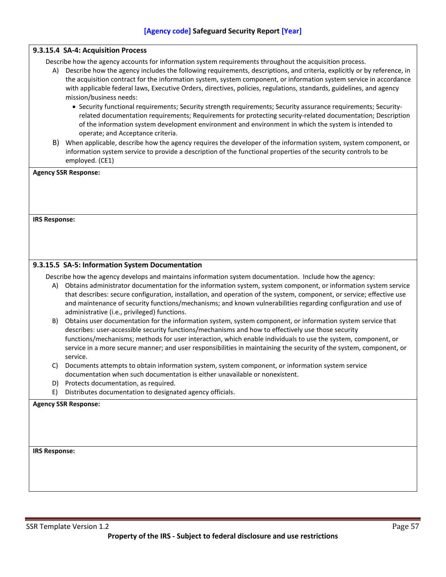|                      | 9.3.15.4 SA-4: Acquisition Process                                                                                                                                                                                                                                                                                                                                                                                                                                                                                                                                                                                                                                                                                                                                                                                                                                                         |
|----------------------|--------------------------------------------------------------------------------------------------------------------------------------------------------------------------------------------------------------------------------------------------------------------------------------------------------------------------------------------------------------------------------------------------------------------------------------------------------------------------------------------------------------------------------------------------------------------------------------------------------------------------------------------------------------------------------------------------------------------------------------------------------------------------------------------------------------------------------------------------------------------------------------------|
| A)                   | Describe how the agency accounts for information system requirements throughout the acquisition process.<br>Describe how the agency includes the following requirements, descriptions, and criteria, explicitly or by reference, in<br>the acquisition contract for the information system, system component, or information system service in accordance<br>with applicable federal laws, Executive Orders, directives, policies, regulations, standards, guidelines, and agency<br>mission/business needs:<br>• Security functional requirements; Security strength requirements; Security assurance requirements; Security-<br>related documentation requirements; Requirements for protecting security-related documentation; Description<br>of the information system development environment and environment in which the system is intended to<br>operate; and Acceptance criteria. |
| B)                   | When applicable, describe how the agency requires the developer of the information system, system component, or<br>information system service to provide a description of the functional properties of the security controls to be<br>employed. (CE1)                                                                                                                                                                                                                                                                                                                                                                                                                                                                                                                                                                                                                                      |
|                      | <b>Agency SSR Response:</b>                                                                                                                                                                                                                                                                                                                                                                                                                                                                                                                                                                                                                                                                                                                                                                                                                                                                |
|                      |                                                                                                                                                                                                                                                                                                                                                                                                                                                                                                                                                                                                                                                                                                                                                                                                                                                                                            |
|                      |                                                                                                                                                                                                                                                                                                                                                                                                                                                                                                                                                                                                                                                                                                                                                                                                                                                                                            |
|                      |                                                                                                                                                                                                                                                                                                                                                                                                                                                                                                                                                                                                                                                                                                                                                                                                                                                                                            |
| <b>IRS Response:</b> |                                                                                                                                                                                                                                                                                                                                                                                                                                                                                                                                                                                                                                                                                                                                                                                                                                                                                            |
|                      |                                                                                                                                                                                                                                                                                                                                                                                                                                                                                                                                                                                                                                                                                                                                                                                                                                                                                            |
|                      |                                                                                                                                                                                                                                                                                                                                                                                                                                                                                                                                                                                                                                                                                                                                                                                                                                                                                            |
|                      |                                                                                                                                                                                                                                                                                                                                                                                                                                                                                                                                                                                                                                                                                                                                                                                                                                                                                            |
|                      | 9.3.15.5 SA-5: Information System Documentation                                                                                                                                                                                                                                                                                                                                                                                                                                                                                                                                                                                                                                                                                                                                                                                                                                            |
|                      | Describe how the agency develops and maintains information system documentation. Include how the agency:                                                                                                                                                                                                                                                                                                                                                                                                                                                                                                                                                                                                                                                                                                                                                                                   |
| A)                   | Obtains administrator documentation for the information system, system component, or information system service<br>that describes: secure configuration, installation, and operation of the system, component, or service; effective use<br>and maintenance of security functions/mechanisms; and known vulnerabilities regarding configuration and use of<br>administrative (i.e., privileged) functions.                                                                                                                                                                                                                                                                                                                                                                                                                                                                                 |
| B)                   | Obtains user documentation for the information system, system component, or information system service that<br>describes: user-accessible security functions/mechanisms and how to effectively use those security                                                                                                                                                                                                                                                                                                                                                                                                                                                                                                                                                                                                                                                                          |
|                      | functions/mechanisms; methods for user interaction, which enable individuals to use the system, component, or<br>service in a more secure manner; and user responsibilities in maintaining the security of the system, component, or<br>service.                                                                                                                                                                                                                                                                                                                                                                                                                                                                                                                                                                                                                                           |
| C)                   | Documents attempts to obtain information system, system component, or information system service                                                                                                                                                                                                                                                                                                                                                                                                                                                                                                                                                                                                                                                                                                                                                                                           |
|                      | documentation when such documentation is either unavailable or nonexistent.                                                                                                                                                                                                                                                                                                                                                                                                                                                                                                                                                                                                                                                                                                                                                                                                                |
| D)                   | Protects documentation, as required.                                                                                                                                                                                                                                                                                                                                                                                                                                                                                                                                                                                                                                                                                                                                                                                                                                                       |
| E)                   | Distributes documentation to designated agency officials.                                                                                                                                                                                                                                                                                                                                                                                                                                                                                                                                                                                                                                                                                                                                                                                                                                  |
|                      | <b>Agency SSR Response:</b>                                                                                                                                                                                                                                                                                                                                                                                                                                                                                                                                                                                                                                                                                                                                                                                                                                                                |
|                      |                                                                                                                                                                                                                                                                                                                                                                                                                                                                                                                                                                                                                                                                                                                                                                                                                                                                                            |
|                      |                                                                                                                                                                                                                                                                                                                                                                                                                                                                                                                                                                                                                                                                                                                                                                                                                                                                                            |
|                      |                                                                                                                                                                                                                                                                                                                                                                                                                                                                                                                                                                                                                                                                                                                                                                                                                                                                                            |
| <b>IRS Response:</b> |                                                                                                                                                                                                                                                                                                                                                                                                                                                                                                                                                                                                                                                                                                                                                                                                                                                                                            |
|                      |                                                                                                                                                                                                                                                                                                                                                                                                                                                                                                                                                                                                                                                                                                                                                                                                                                                                                            |
|                      |                                                                                                                                                                                                                                                                                                                                                                                                                                                                                                                                                                                                                                                                                                                                                                                                                                                                                            |
|                      |                                                                                                                                                                                                                                                                                                                                                                                                                                                                                                                                                                                                                                                                                                                                                                                                                                                                                            |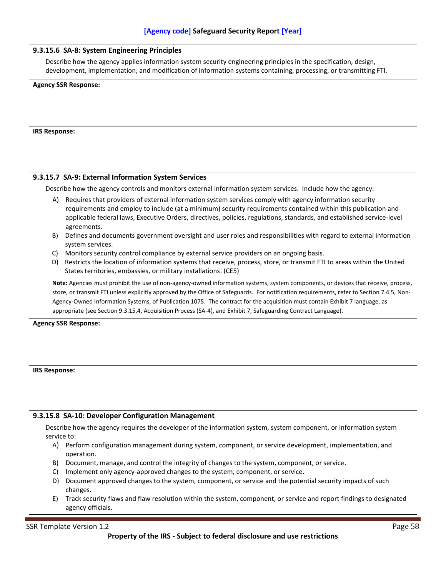|                      | 9.3.15.6 SA-8: System Engineering Principles                                                                                                                                                                                                                                                                                                                                                                                                                                                                                      |
|----------------------|-----------------------------------------------------------------------------------------------------------------------------------------------------------------------------------------------------------------------------------------------------------------------------------------------------------------------------------------------------------------------------------------------------------------------------------------------------------------------------------------------------------------------------------|
|                      | Describe how the agency applies information system security engineering principles in the specification, design,<br>development, implementation, and modification of information systems containing, processing, or transmitting FTI.                                                                                                                                                                                                                                                                                             |
|                      | <b>Agency SSR Response:</b>                                                                                                                                                                                                                                                                                                                                                                                                                                                                                                       |
|                      |                                                                                                                                                                                                                                                                                                                                                                                                                                                                                                                                   |
|                      |                                                                                                                                                                                                                                                                                                                                                                                                                                                                                                                                   |
|                      |                                                                                                                                                                                                                                                                                                                                                                                                                                                                                                                                   |
| <b>IRS Response:</b> |                                                                                                                                                                                                                                                                                                                                                                                                                                                                                                                                   |
|                      |                                                                                                                                                                                                                                                                                                                                                                                                                                                                                                                                   |
|                      |                                                                                                                                                                                                                                                                                                                                                                                                                                                                                                                                   |
|                      |                                                                                                                                                                                                                                                                                                                                                                                                                                                                                                                                   |
|                      | 9.3.15.7 SA-9: External Information System Services                                                                                                                                                                                                                                                                                                                                                                                                                                                                               |
|                      | Describe how the agency controls and monitors external information system services. Include how the agency:                                                                                                                                                                                                                                                                                                                                                                                                                       |
|                      | A) Requires that providers of external information system services comply with agency information security                                                                                                                                                                                                                                                                                                                                                                                                                        |
|                      | requirements and employ to include (at a minimum) security requirements contained within this publication and<br>applicable federal laws, Executive Orders, directives, policies, regulations, standards, and established service-level<br>agreements.                                                                                                                                                                                                                                                                            |
| B)                   | Defines and documents government oversight and user roles and responsibilities with regard to external information<br>system services.                                                                                                                                                                                                                                                                                                                                                                                            |
| C)                   | Monitors security control compliance by external service providers on an ongoing basis.                                                                                                                                                                                                                                                                                                                                                                                                                                           |
|                      | D) Restricts the location of information systems that receive, process, store, or transmit FTI to areas within the United<br>States territories, embassies, or military installations. (CE5)                                                                                                                                                                                                                                                                                                                                      |
|                      | Note: Agencies must prohibit the use of non-agency-owned information systems, system components, or devices that receive, process,<br>store, or transmit FTI unless explicitly approved by the Office of Safeguards. For notification requirements, refer to Section 7.4.5, Non-<br>Agency-Owned Information Systems, of Publication 1075. The contract for the acquisition must contain Exhibit 7 language, as<br>appropriate (see Section 9.3.15.4, Acquisition Process (SA-4), and Exhibit 7, Safeguarding Contract Language). |
|                      | <b>Agency SSR Response:</b>                                                                                                                                                                                                                                                                                                                                                                                                                                                                                                       |
|                      |                                                                                                                                                                                                                                                                                                                                                                                                                                                                                                                                   |
|                      |                                                                                                                                                                                                                                                                                                                                                                                                                                                                                                                                   |
|                      |                                                                                                                                                                                                                                                                                                                                                                                                                                                                                                                                   |
| <b>IRS Response:</b> |                                                                                                                                                                                                                                                                                                                                                                                                                                                                                                                                   |
|                      |                                                                                                                                                                                                                                                                                                                                                                                                                                                                                                                                   |
|                      |                                                                                                                                                                                                                                                                                                                                                                                                                                                                                                                                   |
|                      |                                                                                                                                                                                                                                                                                                                                                                                                                                                                                                                                   |
|                      | 9.3.15.8 SA-10: Developer Configuration Management                                                                                                                                                                                                                                                                                                                                                                                                                                                                                |
|                      | Describe how the agency requires the developer of the information system, system component, or information system                                                                                                                                                                                                                                                                                                                                                                                                                 |
| service to:          |                                                                                                                                                                                                                                                                                                                                                                                                                                                                                                                                   |
|                      | A) Perform configuration management during system, component, or service development, implementation, and<br>operation.                                                                                                                                                                                                                                                                                                                                                                                                           |
|                      | B) Document, manage, and control the integrity of changes to the system, component, or service.                                                                                                                                                                                                                                                                                                                                                                                                                                   |
| C)                   | Implement only agency-approved changes to the system, component, or service.<br>D) Document approved changes to the system, component, or service and the potential security impacts of such                                                                                                                                                                                                                                                                                                                                      |
|                      | changes.                                                                                                                                                                                                                                                                                                                                                                                                                                                                                                                          |
| E)                   | Track security flaws and flaw resolution within the system, component, or service and report findings to designated<br>agency officials.                                                                                                                                                                                                                                                                                                                                                                                          |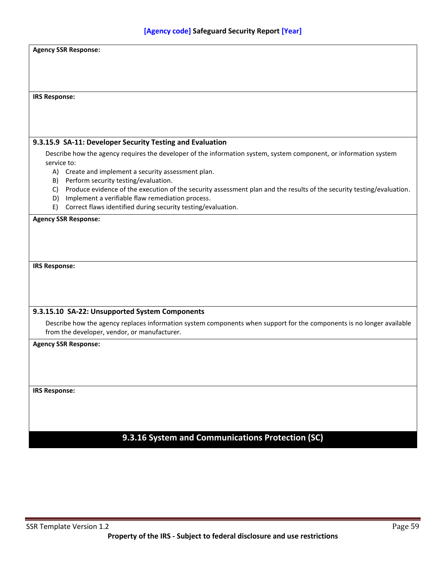| <b>Agency SSR Response:</b>                                                                                                 |
|-----------------------------------------------------------------------------------------------------------------------------|
|                                                                                                                             |
|                                                                                                                             |
|                                                                                                                             |
|                                                                                                                             |
|                                                                                                                             |
| <b>IRS Response:</b>                                                                                                        |
|                                                                                                                             |
|                                                                                                                             |
|                                                                                                                             |
|                                                                                                                             |
| 9.3.15.9 SA-11: Developer Security Testing and Evaluation                                                                   |
| Describe how the agency requires the developer of the information system, system component, or information system           |
| service to:                                                                                                                 |
| A) Create and implement a security assessment plan.                                                                         |
| Perform security testing/evaluation.<br>B)                                                                                  |
| Produce evidence of the execution of the security assessment plan and the results of the security testing/evaluation.<br>C) |
| Implement a verifiable flaw remediation process.<br>D)                                                                      |
| Correct flaws identified during security testing/evaluation.<br>E)                                                          |
| <b>Agency SSR Response:</b>                                                                                                 |
|                                                                                                                             |
|                                                                                                                             |
|                                                                                                                             |
|                                                                                                                             |
|                                                                                                                             |
| <b>IRS Response:</b>                                                                                                        |
|                                                                                                                             |
|                                                                                                                             |
|                                                                                                                             |
|                                                                                                                             |
| 9.3.15.10 SA-22: Unsupported System Components                                                                              |
| Describe how the agency replaces information system components when support for the components is no longer available       |
| from the developer, vendor, or manufacturer.                                                                                |
| <b>Agency SSR Response:</b>                                                                                                 |
|                                                                                                                             |
|                                                                                                                             |
|                                                                                                                             |
|                                                                                                                             |
| <b>IRS Response:</b>                                                                                                        |
|                                                                                                                             |
|                                                                                                                             |
|                                                                                                                             |
|                                                                                                                             |
|                                                                                                                             |
| 9.3.16 System and Communications Protection (SC)                                                                            |
|                                                                                                                             |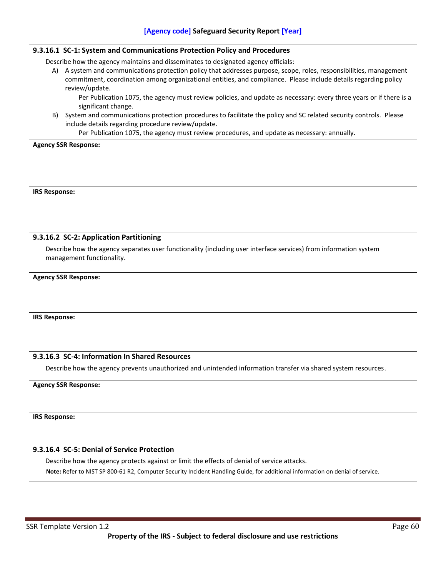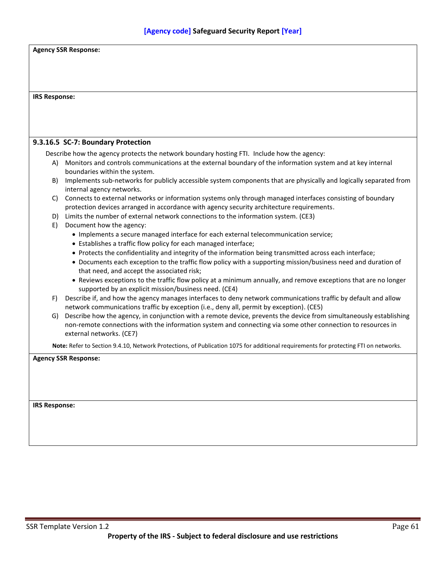|                      | <b>Agency SSR Response:</b>                                                                                                                                                                                                                                      |
|----------------------|------------------------------------------------------------------------------------------------------------------------------------------------------------------------------------------------------------------------------------------------------------------|
| <b>IRS Response:</b> |                                                                                                                                                                                                                                                                  |
|                      |                                                                                                                                                                                                                                                                  |
|                      |                                                                                                                                                                                                                                                                  |
|                      | 9.3.16.5 SC-7: Boundary Protection                                                                                                                                                                                                                               |
|                      | Describe how the agency protects the network boundary hosting FTI. Include how the agency:                                                                                                                                                                       |
| A)                   | Monitors and controls communications at the external boundary of the information system and at key internal<br>boundaries within the system.                                                                                                                     |
| B)                   | Implements sub-networks for publicly accessible system components that are physically and logically separated from<br>internal agency networks.                                                                                                                  |
|                      | C) Connects to external networks or information systems only through managed interfaces consisting of boundary<br>protection devices arranged in accordance with agency security architecture requirements.                                                      |
|                      | D) Limits the number of external network connections to the information system. (CE3)                                                                                                                                                                            |
| E)                   | Document how the agency:<br>• Implements a secure managed interface for each external telecommunication service;<br>• Establishes a traffic flow policy for each managed interface;                                                                              |
|                      | • Protects the confidentiality and integrity of the information being transmitted across each interface;                                                                                                                                                         |
|                      | • Documents each exception to the traffic flow policy with a supporting mission/business need and duration of<br>that need, and accept the associated risk;                                                                                                      |
|                      | • Reviews exceptions to the traffic flow policy at a minimum annually, and remove exceptions that are no longer<br>supported by an explicit mission/business need. (CE4)                                                                                         |
| F)                   | Describe if, and how the agency manages interfaces to deny network communications traffic by default and allow<br>network communications traffic by exception (i.e., deny all, permit by exception). (CE5)                                                       |
|                      | G) Describe how the agency, in conjunction with a remote device, prevents the device from simultaneously establishing<br>non-remote connections with the information system and connecting via some other connection to resources in<br>external networks. (CE7) |
|                      | Note: Refer to Section 9.4.10, Network Protections, of Publication 1075 for additional requirements for protecting FTI on networks.                                                                                                                              |
|                      | <b>Agency SSR Response:</b>                                                                                                                                                                                                                                      |
|                      |                                                                                                                                                                                                                                                                  |
|                      |                                                                                                                                                                                                                                                                  |
| <b>IRS Response:</b> |                                                                                                                                                                                                                                                                  |
|                      |                                                                                                                                                                                                                                                                  |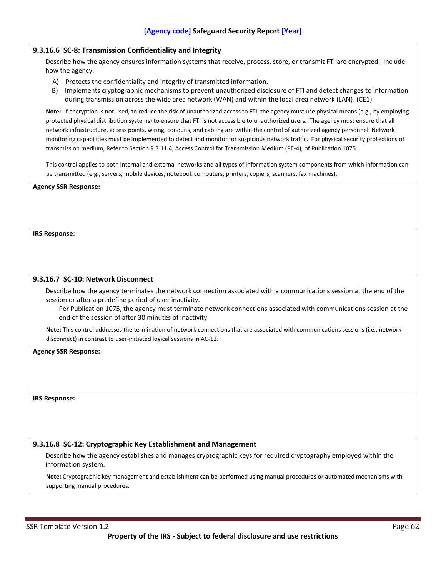## **9.3.16.6 SC-8: Transmission Confidentiality and Integrity**

Describe how the agency ensures information systems that receive, process, store, or transmit FTI are encrypted. Include how the agency:

- A) Protects the confidentiality and integrity of transmitted information.
- B) Implements cryptographic mechanisms to prevent unauthorized disclosure of FTI and detect changes to information during transmission across the wide area network (WAN) and within the local area network (LAN). (CE1)

**Note:** If encryption is not used, to reduce the risk of unauthorized access to FTI, the agency must use physical means (e.g., by employing protected physical distribution systems) to ensure that FTI is not accessible to unauthorized users. The agency must ensure that all network infrastructure, access points, wiring, conduits, and cabling are within the control of authorized agency personnel. Network monitoring capabilities must be implemented to detect and monitor for suspicious network traffic. For physical security protections of transmission medium, Refer to Section 9.3.11.4, Access Control for Transmission Medium (PE-4), of Publication 1075.

This control applies to both internal and external networks and all types of information system components from which information can be transmitted (e.g., servers, mobile devices, notebook computers, printers, copiers, scanners, fax machines).

#### **Agency SSR Response:**

**IRS Response:**

#### **9.3.16.7 SC-10: Network Disconnect**

Describe how the agency terminates the network connection associated with a communications session at the end of the session or after a predefine period of user inactivity.

Per Publication 1075, the agency must terminate network connections associated with communications session at the end of the session of after 30 minutes of inactivity.

**Note:** This control addresses the termination of network connections that are associated with communications sessions (i.e., network disconnect) in contrast to user-initiated logical sessions in AC-12.

## **Agency SSR Response:**

#### **IRS Response:**

## **9.3.16.8 SC-12: Cryptographic Key Establishment and Management**

Describe how the agency establishes and manages cryptographic keys for required cryptography employed within the information system.

**Note:** Cryptographic key management and establishment can be performed using manual procedures or automated mechanisms with supporting manual procedures.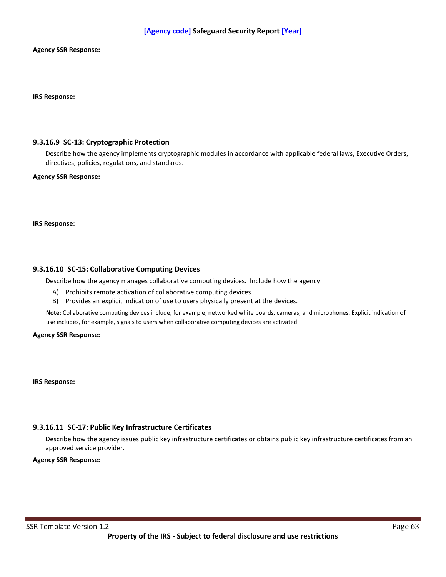| <b>Agency SSR Response:</b>                                                                                                                                    |
|----------------------------------------------------------------------------------------------------------------------------------------------------------------|
|                                                                                                                                                                |
|                                                                                                                                                                |
|                                                                                                                                                                |
| <b>IRS Response:</b>                                                                                                                                           |
|                                                                                                                                                                |
|                                                                                                                                                                |
| 9.3.16.9 SC-13: Cryptographic Protection                                                                                                                       |
| Describe how the agency implements cryptographic modules in accordance with applicable federal laws, Executive Orders,                                         |
| directives, policies, regulations, and standards.                                                                                                              |
| <b>Agency SSR Response:</b>                                                                                                                                    |
|                                                                                                                                                                |
|                                                                                                                                                                |
|                                                                                                                                                                |
| <b>IRS Response:</b>                                                                                                                                           |
|                                                                                                                                                                |
|                                                                                                                                                                |
|                                                                                                                                                                |
| 9.3.16.10 SC-15: Collaborative Computing Devices                                                                                                               |
| Describe how the agency manages collaborative computing devices. Include how the agency:                                                                       |
| A) Prohibits remote activation of collaborative computing devices.<br>B)<br>Provides an explicit indication of use to users physically present at the devices. |
| Note: Collaborative computing devices include, for example, networked white boards, cameras, and microphones. Explicit indication of                           |
| use includes, for example, signals to users when collaborative computing devices are activated.                                                                |
| <b>Agency SSR Response:</b>                                                                                                                                    |
|                                                                                                                                                                |
|                                                                                                                                                                |
|                                                                                                                                                                |
| <b>IRS Response:</b>                                                                                                                                           |
|                                                                                                                                                                |
|                                                                                                                                                                |
|                                                                                                                                                                |
| 9.3.16.11 SC-17: Public Key Infrastructure Certificates                                                                                                        |
| Describe how the agency issues public key infrastructure certificates or obtains public key infrastructure certificates from an<br>approved service provider.  |
| <b>Agency SSR Response:</b>                                                                                                                                    |
|                                                                                                                                                                |
|                                                                                                                                                                |
|                                                                                                                                                                |
|                                                                                                                                                                |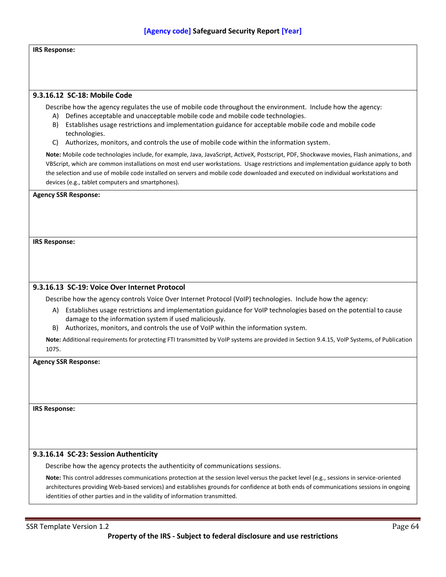## **IRS Response:**

#### **9.3.16.12 SC-18: Mobile Code**

Describe how the agency regulates the use of mobile code throughout the environment. Include how the agency: A) Defines acceptable and unacceptable mobile code and mobile code technologies.

- B) Establishes usage restrictions and implementation guidance for acceptable mobile code and mobile code technologies.
- C) Authorizes, monitors, and controls the use of mobile code within the information system.

**Note:** Mobile code technologies include, for example, Java, JavaScript, ActiveX, Postscript, PDF, Shockwave movies, Flash animations, and VBScript, which are common installations on most end user workstations. Usage restrictions and implementation guidance apply to both the selection and use of mobile code installed on servers and mobile code downloaded and executed on individual workstations and devices (e.g., tablet computers and smartphones).

#### **Agency SSR Response:**

**IRS Response:**

#### **9.3.16.13 SC-19: Voice Over Internet Protocol**

Describe how the agency controls Voice Over Internet Protocol (VoIP) technologies. Include how the agency:

- A) Establishes usage restrictions and implementation guidance for VoIP technologies based on the potential to cause damage to the information system if used maliciously.
- B) Authorizes, monitors, and controls the use of VoIP within the information system.

**Note:** Additional requirements for protecting FTI transmitted by VoIP systems are provided in Section 9.4.15, VoIP Systems, of Publication 1075.

#### **Agency SSR Response:**

**IRS Response:**

## **9.3.16.14 SC-23: Session Authenticity**

Describe how the agency protects the authenticity of communications sessions.

**Note:** This control addresses communications protection at the session level versus the packet level (e.g., sessions in service-oriented architectures providing Web-based services) and establishes grounds for confidence at both ends of communications sessions in ongoing identities of other parties and in the validity of information transmitted.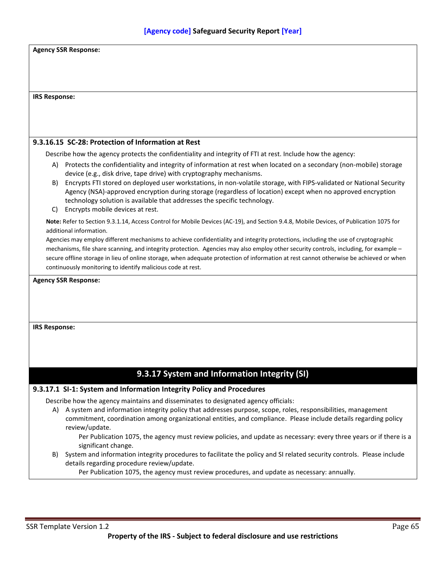| <b>Agency SSR Response:</b>                                                                                                                                                                                                                                                                                                                                                                                                                                                         |  |  |
|-------------------------------------------------------------------------------------------------------------------------------------------------------------------------------------------------------------------------------------------------------------------------------------------------------------------------------------------------------------------------------------------------------------------------------------------------------------------------------------|--|--|
|                                                                                                                                                                                                                                                                                                                                                                                                                                                                                     |  |  |
|                                                                                                                                                                                                                                                                                                                                                                                                                                                                                     |  |  |
| <b>IRS Response:</b>                                                                                                                                                                                                                                                                                                                                                                                                                                                                |  |  |
|                                                                                                                                                                                                                                                                                                                                                                                                                                                                                     |  |  |
|                                                                                                                                                                                                                                                                                                                                                                                                                                                                                     |  |  |
|                                                                                                                                                                                                                                                                                                                                                                                                                                                                                     |  |  |
| 9.3.16.15 SC-28: Protection of Information at Rest                                                                                                                                                                                                                                                                                                                                                                                                                                  |  |  |
| Describe how the agency protects the confidentiality and integrity of FTI at rest. Include how the agency:                                                                                                                                                                                                                                                                                                                                                                          |  |  |
| Protects the confidentiality and integrity of information at rest when located on a secondary (non-mobile) storage<br>A)<br>device (e.g., disk drive, tape drive) with cryptography mechanisms.                                                                                                                                                                                                                                                                                     |  |  |
| Encrypts FTI stored on deployed user workstations, in non-volatile storage, with FIPS-validated or National Security<br>B)<br>Agency (NSA)-approved encryption during storage (regardless of location) except when no approved encryption<br>technology solution is available that addresses the specific technology.                                                                                                                                                               |  |  |
| Encrypts mobile devices at rest.<br>C)<br>Note: Refer to Section 9.3.1.14, Access Control for Mobile Devices (AC-19), and Section 9.4.8, Mobile Devices, of Publication 1075 for                                                                                                                                                                                                                                                                                                    |  |  |
| additional information.                                                                                                                                                                                                                                                                                                                                                                                                                                                             |  |  |
| Agencies may employ different mechanisms to achieve confidentiality and integrity protections, including the use of cryptographic<br>mechanisms, file share scanning, and integrity protection. Agencies may also employ other security controls, including, for example -<br>secure offline storage in lieu of online storage, when adequate protection of information at rest cannot otherwise be achieved or when<br>continuously monitoring to identify malicious code at rest. |  |  |
| <b>Agency SSR Response:</b>                                                                                                                                                                                                                                                                                                                                                                                                                                                         |  |  |
|                                                                                                                                                                                                                                                                                                                                                                                                                                                                                     |  |  |
|                                                                                                                                                                                                                                                                                                                                                                                                                                                                                     |  |  |
|                                                                                                                                                                                                                                                                                                                                                                                                                                                                                     |  |  |
| <b>IRS Response:</b>                                                                                                                                                                                                                                                                                                                                                                                                                                                                |  |  |
|                                                                                                                                                                                                                                                                                                                                                                                                                                                                                     |  |  |
|                                                                                                                                                                                                                                                                                                                                                                                                                                                                                     |  |  |
|                                                                                                                                                                                                                                                                                                                                                                                                                                                                                     |  |  |
| 9.3.17 System and Information Integrity (SI)                                                                                                                                                                                                                                                                                                                                                                                                                                        |  |  |
| 9.3.17.1 SI-1: System and Information Integrity Policy and Procedures                                                                                                                                                                                                                                                                                                                                                                                                               |  |  |
| Describe how the agency maintains and disseminates to designated agency officials:                                                                                                                                                                                                                                                                                                                                                                                                  |  |  |
| A system and information integrity policy that addresses purpose, scope, roles, responsibilities, management<br>A)<br>commitment, coordination among organizational entities, and compliance. Please include details regarding policy<br>review/update.                                                                                                                                                                                                                             |  |  |
| Per Publication 1075, the agency must review policies, and update as necessary: every three years or if there is a<br>significant change.                                                                                                                                                                                                                                                                                                                                           |  |  |
| System and information integrity procedures to facilitate the policy and SI related security controls. Please include<br>B)<br>details regarding procedure review/update.                                                                                                                                                                                                                                                                                                           |  |  |
| Per Publication 1075, the agency must review procedures, and update as necessary: annually.                                                                                                                                                                                                                                                                                                                                                                                         |  |  |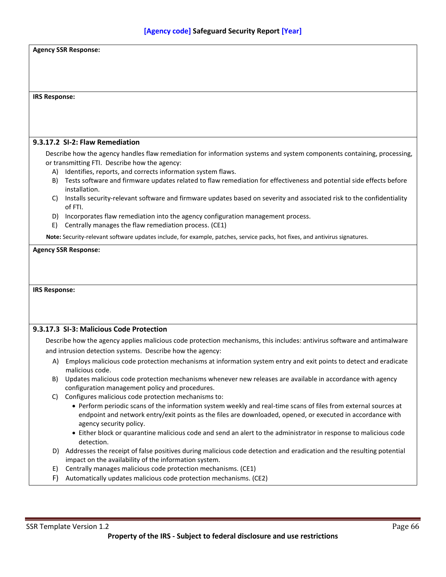| <b>Agency SSR Response:</b> |                                                                                                                                                                                                                               |  |  |
|-----------------------------|-------------------------------------------------------------------------------------------------------------------------------------------------------------------------------------------------------------------------------|--|--|
|                             |                                                                                                                                                                                                                               |  |  |
|                             |                                                                                                                                                                                                                               |  |  |
|                             |                                                                                                                                                                                                                               |  |  |
|                             |                                                                                                                                                                                                                               |  |  |
| <b>IRS Response:</b>        |                                                                                                                                                                                                                               |  |  |
|                             |                                                                                                                                                                                                                               |  |  |
|                             |                                                                                                                                                                                                                               |  |  |
|                             |                                                                                                                                                                                                                               |  |  |
|                             | 9.3.17.2 SI-2: Flaw Remediation                                                                                                                                                                                               |  |  |
|                             | Describe how the agency handles flaw remediation for information systems and system components containing, processing,                                                                                                        |  |  |
|                             | or transmitting FTI. Describe how the agency:                                                                                                                                                                                 |  |  |
|                             | A) Identifies, reports, and corrects information system flaws.                                                                                                                                                                |  |  |
|                             | B) Tests software and firmware updates related to flaw remediation for effectiveness and potential side effects before                                                                                                        |  |  |
|                             | installation.                                                                                                                                                                                                                 |  |  |
| C)                          | Installs security-relevant software and firmware updates based on severity and associated risk to the confidentiality                                                                                                         |  |  |
|                             | of FTI.                                                                                                                                                                                                                       |  |  |
|                             | D) Incorporates flaw remediation into the agency configuration management process.                                                                                                                                            |  |  |
| E)                          | Centrally manages the flaw remediation process. (CE1)                                                                                                                                                                         |  |  |
|                             | Note: Security-relevant software updates include, for example, patches, service packs, hot fixes, and antivirus signatures.                                                                                                   |  |  |
|                             | <b>Agency SSR Response:</b>                                                                                                                                                                                                   |  |  |
|                             |                                                                                                                                                                                                                               |  |  |
| <b>IRS Response:</b>        |                                                                                                                                                                                                                               |  |  |
|                             |                                                                                                                                                                                                                               |  |  |
|                             | 9.3.17.3 SI-3: Malicious Code Protection                                                                                                                                                                                      |  |  |
|                             | Describe how the agency applies malicious code protection mechanisms, this includes: antivirus software and antimalware                                                                                                       |  |  |
|                             | and intrusion detection systems. Describe how the agency:                                                                                                                                                                     |  |  |
| A)                          | Employs malicious code protection mechanisms at information system entry and exit points to detect and eradicate                                                                                                              |  |  |
|                             | malicious code.                                                                                                                                                                                                               |  |  |
| B)                          | Updates malicious code protection mechanisms whenever new releases are available in accordance with agency                                                                                                                    |  |  |
|                             | configuration management policy and procedures.                                                                                                                                                                               |  |  |
| C)                          | Configures malicious code protection mechanisms to:                                                                                                                                                                           |  |  |
|                             | • Perform periodic scans of the information system weekly and real-time scans of files from external sources at<br>endpoint and network entry/exit points as the files are downloaded, opened, or executed in accordance with |  |  |
|                             | agency security policy.                                                                                                                                                                                                       |  |  |
|                             | • Either block or quarantine malicious code and send an alert to the administrator in response to malicious code                                                                                                              |  |  |
|                             | detection.                                                                                                                                                                                                                    |  |  |
| D)                          | Addresses the receipt of false positives during malicious code detection and eradication and the resulting potential                                                                                                          |  |  |
|                             | impact on the availability of the information system.                                                                                                                                                                         |  |  |
| E)<br>F)                    | Centrally manages malicious code protection mechanisms. (CE1)<br>Automatically updates malicious code protection mechanisms. (CE2)                                                                                            |  |  |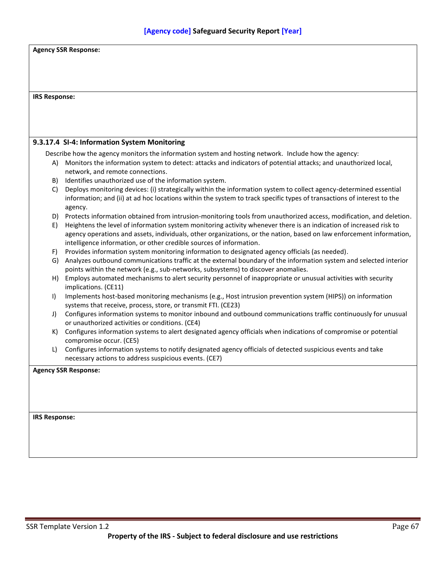| <b>IRS Response:</b> |                                                                                                                                                                                                                                            |  |  |  |
|----------------------|--------------------------------------------------------------------------------------------------------------------------------------------------------------------------------------------------------------------------------------------|--|--|--|
|                      |                                                                                                                                                                                                                                            |  |  |  |
|                      | 9.3.17.4 SI-4: Information System Monitoring                                                                                                                                                                                               |  |  |  |
|                      | Describe how the agency monitors the information system and hosting network. Include how the agency:                                                                                                                                       |  |  |  |
| A)                   | Monitors the information system to detect: attacks and indicators of potential attacks; and unauthorized local,                                                                                                                            |  |  |  |
|                      | network, and remote connections.                                                                                                                                                                                                           |  |  |  |
| B)                   | Identifies unauthorized use of the information system.                                                                                                                                                                                     |  |  |  |
| C)                   | Deploys monitoring devices: (i) strategically within the information system to collect agency-determined essential                                                                                                                         |  |  |  |
|                      | information; and (ii) at ad hoc locations within the system to track specific types of transactions of interest to the                                                                                                                     |  |  |  |
|                      | agency.                                                                                                                                                                                                                                    |  |  |  |
|                      | D) Protects information obtained from intrusion-monitoring tools from unauthorized access, modification, and deletion.                                                                                                                     |  |  |  |
| E)                   | Heightens the level of information system monitoring activity whenever there is an indication of increased risk to<br>agency operations and assets, individuals, other organizations, or the nation, based on law enforcement information, |  |  |  |
|                      | intelligence information, or other credible sources of information.                                                                                                                                                                        |  |  |  |
| F)                   | Provides information system monitoring information to designated agency officials (as needed).                                                                                                                                             |  |  |  |
|                      | G) Analyzes outbound communications traffic at the external boundary of the information system and selected interior                                                                                                                       |  |  |  |
|                      | points within the network (e.g., sub-networks, subsystems) to discover anomalies.                                                                                                                                                          |  |  |  |
| H)                   | Employs automated mechanisms to alert security personnel of inappropriate or unusual activities with security                                                                                                                              |  |  |  |
|                      | implications. (CE11)                                                                                                                                                                                                                       |  |  |  |
| $\vert$              | Implements host-based monitoring mechanisms (e.g., Host intrusion prevention system (HIPS)) on information                                                                                                                                 |  |  |  |
|                      | systems that receive, process, store, or transmit FTI. (CE23)                                                                                                                                                                              |  |  |  |
| J)                   | Configures information systems to monitor inbound and outbound communications traffic continuously for unusual<br>or unauthorized activities or conditions. (CE4)                                                                          |  |  |  |
| K)                   | Configures information systems to alert designated agency officials when indications of compromise or potential                                                                                                                            |  |  |  |
|                      | compromise occur. (CE5)                                                                                                                                                                                                                    |  |  |  |
| L)                   | Configures information systems to notify designated agency officials of detected suspicious events and take                                                                                                                                |  |  |  |
|                      | necessary actions to address suspicious events. (CE7)                                                                                                                                                                                      |  |  |  |
|                      | <b>Agency SSR Response:</b>                                                                                                                                                                                                                |  |  |  |
|                      |                                                                                                                                                                                                                                            |  |  |  |
|                      |                                                                                                                                                                                                                                            |  |  |  |
|                      |                                                                                                                                                                                                                                            |  |  |  |
|                      |                                                                                                                                                                                                                                            |  |  |  |
| <b>IRS Response:</b> |                                                                                                                                                                                                                                            |  |  |  |
|                      |                                                                                                                                                                                                                                            |  |  |  |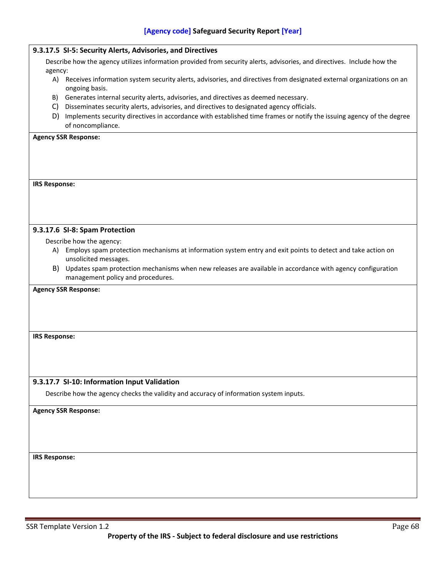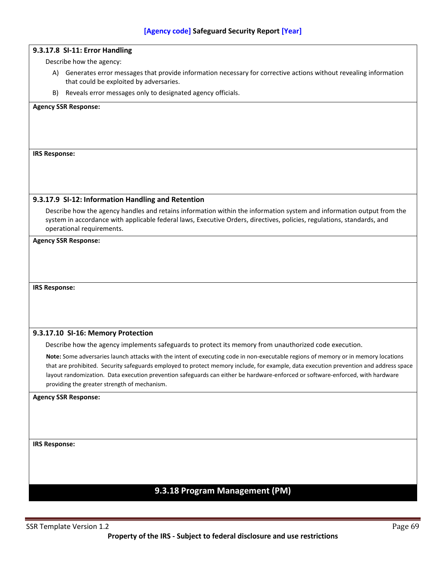## **9.3.17.8 SI-11: Error Handling**

Describe how the agency:

- A) Generates error messages that provide information necessary for corrective actions without revealing information that could be exploited by adversaries.
- B) Reveals error messages only to designated agency officials.

#### **Agency SSR Response:**

### **IRS Response:**

### **9.3.17.9 SI-12: Information Handling and Retention**

Describe how the agency handles and retains information within the information system and information output from the system in accordance with applicable federal laws, Executive Orders, directives, policies, regulations, standards, and operational requirements.

#### **Agency SSR Response:**

**IRS Response:**

## **9.3.17.10 SI-16: Memory Protection**

Describe how the agency implements safeguards to protect its memory from unauthorized code execution.

**Note:** Some adversaries launch attacks with the intent of executing code in non-executable regions of memory or in memory locations that are prohibited. Security safeguards employed to protect memory include, for example, data execution prevention and address space layout randomization. Data execution prevention safeguards can either be hardware-enforced or software-enforced, with hardware providing the greater strength of mechanism.

#### **Agency SSR Response:**

**IRS Response:**

# **9.3.18 Program Management (PM)**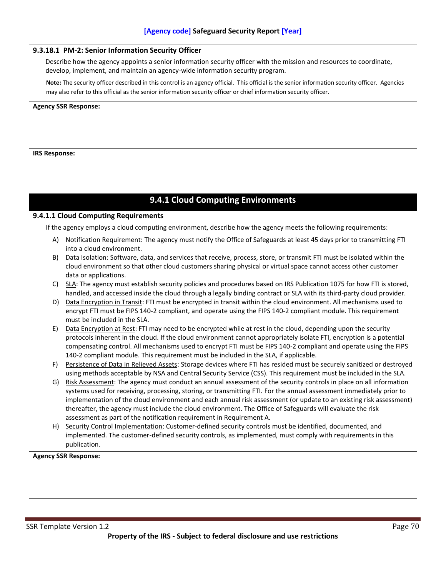## **9.3.18.1 PM-2: Senior Information Security Officer**

Describe how the agency appoints a senior information security officer with the mission and resources to coordinate, develop, implement, and maintain an agency-wide information security program.

**Note:** The security officer described in this control is an agency official. This official is the senior information security officer. Agencies may also refer to this official as the senior information security officer or chief information security officer.

**Agency SSR Response:**

### **IRS Response:**

## **9.4.1 Cloud Computing Environments**

## **9.4.1.1 Cloud Computing Requirements**

If the agency employs a cloud computing environment, describe how the agency meets the following requirements:

- A) Notification Requirement: The agency must notify the Office of Safeguards at least 45 days prior to transmitting FTI into a cloud environment.
- B) Data Isolation: Software, data, and services that receive, process, store, or transmit FTI must be isolated within the cloud environment so that other cloud customers sharing physical or virtual space cannot access other customer data or applications.
- C) SLA: The agency must establish security policies and procedures based on IRS Publication 1075 for how FTI is stored, handled, and accessed inside the cloud through a legally binding contract or SLA with its third-party cloud provider.
- D) Data Encryption in Transit: FTI must be encrypted in transit within the cloud environment. All mechanisms used to encrypt FTI must be FIPS 140-2 compliant, and operate using the FIPS 140-2 compliant module. This requirement must be included in the SLA.
- E) Data Encryption at Rest: FTI may need to be encrypted while at rest in the cloud, depending upon the security protocols inherent in the cloud. If the cloud environment cannot appropriately isolate FTI, encryption is a potential compensating control. All mechanisms used to encrypt FTI must be FIPS 140-2 compliant and operate using the FIPS 140-2 compliant module. This requirement must be included in the SLA, if applicable.
- F) Persistence of Data in Relieved Assets: Storage devices where FTI has resided must be securely sanitized or destroyed using methods acceptable by NSA and Central Security Service (CSS). This requirement must be included in the SLA.
- G) Risk Assessment: The agency must conduct an annual assessment of the security controls in place on all information systems used for receiving, processing, storing, or transmitting FTI. For the annual assessment immediately prior to implementation of the cloud environment and each annual risk assessment (or update to an existing risk assessment) thereafter, the agency must include the cloud environment. The Office of Safeguards will evaluate the risk assessment as part of the notification requirement in Requirement A.
- H) Security Control Implementation: Customer-defined security controls must be identified, documented, and implemented. The customer-defined security controls, as implemented, must comply with requirements in this publication.

**Agency SSR Response:**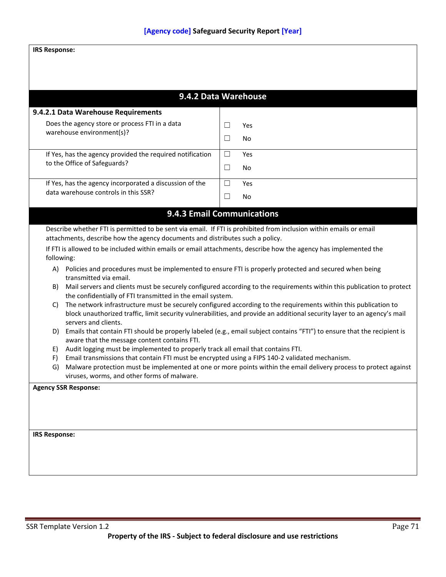## **IRS Response:**

| 9.4.2 Data Warehouse                                                                                                                                                       |                                                                                                                                                                                     |                                                                                                                                                                                                                                             |  |
|----------------------------------------------------------------------------------------------------------------------------------------------------------------------------|-------------------------------------------------------------------------------------------------------------------------------------------------------------------------------------|---------------------------------------------------------------------------------------------------------------------------------------------------------------------------------------------------------------------------------------------|--|
| 9.4.2.1 Data Warehouse Requirements                                                                                                                                        |                                                                                                                                                                                     |                                                                                                                                                                                                                                             |  |
| Does the agency store or process FTI in a data<br>warehouse environment(s)?                                                                                                |                                                                                                                                                                                     | Yes                                                                                                                                                                                                                                         |  |
|                                                                                                                                                                            |                                                                                                                                                                                     | No                                                                                                                                                                                                                                          |  |
| If Yes, has the agency provided the required notification                                                                                                                  |                                                                                                                                                                                     | Yes                                                                                                                                                                                                                                         |  |
| to the Office of Safeguards?                                                                                                                                               | $\Box$                                                                                                                                                                              | No                                                                                                                                                                                                                                          |  |
| If Yes, has the agency incorporated a discussion of the                                                                                                                    | $\Box$                                                                                                                                                                              | Yes                                                                                                                                                                                                                                         |  |
| data warehouse controls in this SSR?                                                                                                                                       | П                                                                                                                                                                                   | No                                                                                                                                                                                                                                          |  |
| 9.4.3 Email Communications                                                                                                                                                 |                                                                                                                                                                                     |                                                                                                                                                                                                                                             |  |
| Describe whether FTI is permitted to be sent via email. If FTI is prohibited from inclusion within emails or email                                                         |                                                                                                                                                                                     |                                                                                                                                                                                                                                             |  |
| attachments, describe how the agency documents and distributes such a policy.                                                                                              |                                                                                                                                                                                     |                                                                                                                                                                                                                                             |  |
| If FTI is allowed to be included within emails or email attachments, describe how the agency has implemented the<br>following:                                             |                                                                                                                                                                                     |                                                                                                                                                                                                                                             |  |
| A) Policies and procedures must be implemented to ensure FTI is properly protected and secured when being<br>transmitted via email.                                        |                                                                                                                                                                                     |                                                                                                                                                                                                                                             |  |
| B)                                                                                                                                                                         | Mail servers and clients must be securely configured according to the requirements within this publication to protect<br>the confidentially of FTI transmitted in the email system. |                                                                                                                                                                                                                                             |  |
| C)<br>servers and clients.                                                                                                                                                 |                                                                                                                                                                                     | The network infrastructure must be securely configured according to the requirements within this publication to<br>block unauthorized traffic, limit security vulnerabilities, and provide an additional security layer to an agency's mail |  |
| D) Emails that contain FTI should be properly labeled (e.g., email subject contains "FTI") to ensure that the recipient is<br>aware that the message content contains FTI. |                                                                                                                                                                                     |                                                                                                                                                                                                                                             |  |
| Audit logging must be implemented to properly track all email that contains FTI.<br>E)                                                                                     |                                                                                                                                                                                     |                                                                                                                                                                                                                                             |  |
| Email transmissions that contain FTI must be encrypted using a FIPS 140-2 validated mechanism.<br>F)                                                                       |                                                                                                                                                                                     |                                                                                                                                                                                                                                             |  |
| G)<br>viruses, worms, and other forms of malware.                                                                                                                          |                                                                                                                                                                                     | Malware protection must be implemented at one or more points within the email delivery process to protect against                                                                                                                           |  |
| <b>Agency SSR Response:</b>                                                                                                                                                |                                                                                                                                                                                     |                                                                                                                                                                                                                                             |  |
|                                                                                                                                                                            |                                                                                                                                                                                     |                                                                                                                                                                                                                                             |  |
|                                                                                                                                                                            |                                                                                                                                                                                     |                                                                                                                                                                                                                                             |  |
|                                                                                                                                                                            |                                                                                                                                                                                     |                                                                                                                                                                                                                                             |  |
| <b>IRS Response:</b>                                                                                                                                                       |                                                                                                                                                                                     |                                                                                                                                                                                                                                             |  |
|                                                                                                                                                                            |                                                                                                                                                                                     |                                                                                                                                                                                                                                             |  |
|                                                                                                                                                                            |                                                                                                                                                                                     |                                                                                                                                                                                                                                             |  |
|                                                                                                                                                                            |                                                                                                                                                                                     |                                                                                                                                                                                                                                             |  |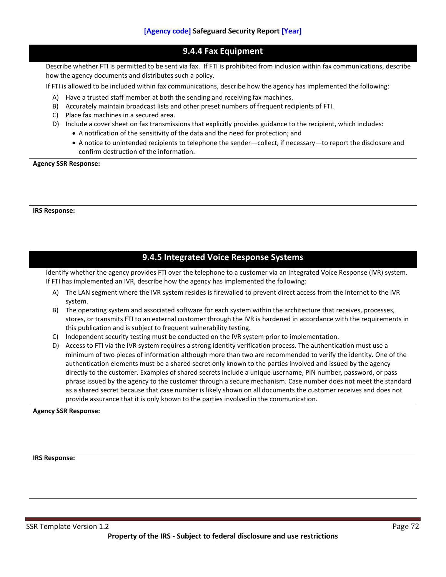Describe whether FTI is permitted to be sent via fax. If FTI is prohibited from inclusion within fax communications, describe how the agency documents and distributes such a policy.

If FTI is allowed to be included within fax communications, describe how the agency has implemented the following:

- A) Have a trusted staff member at both the sending and receiving fax machines.
- B) Accurately maintain broadcast lists and other preset numbers of frequent recipients of FTI.
- C) Place fax machines in a secured area.
- D) Include a cover sheet on fax transmissions that explicitly provides guidance to the recipient, which includes:
	- A notification of the sensitivity of the data and the need for protection; and
	- A notice to unintended recipients to telephone the sender—collect, if necessary—to report the disclosure and confirm destruction of the information.

**Agency SSR Response:**

**IRS Response:**

## **9.4.5 Integrated Voice Response Systems**

Identify whether the agency provides FTI over the telephone to a customer via an Integrated Voice Response (IVR) system. If FTI has implemented an IVR, describe how the agency has implemented the following:

- A) The LAN segment where the IVR system resides is firewalled to prevent direct access from the Internet to the IVR system.
- B) The operating system and associated software for each system within the architecture that receives, processes, stores, or transmits FTI to an external customer through the IVR is hardened in accordance with the requirements in this publication and is subject to frequent vulnerability testing.
- C) Independent security testing must be conducted on the IVR system prior to implementation.
- D) Access to FTI via the IVR system requires a strong identity verification process. The authentication must use a minimum of two pieces of information although more than two are recommended to verify the identity. One of the authentication elements must be a shared secret only known to the parties involved and issued by the agency directly to the customer. Examples of shared secrets include a unique username, PIN number, password, or pass phrase issued by the agency to the customer through a secure mechanism. Case number does not meet the standard as a shared secret because that case number is likely shown on all documents the customer receives and does not provide assurance that it is only known to the parties involved in the communication.

**Agency SSR Response:**

**IRS Response:**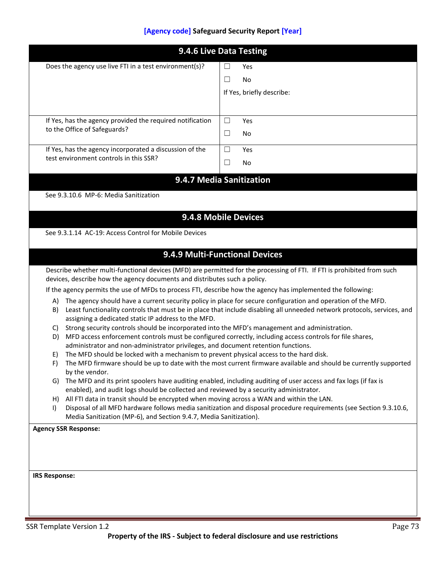|              | Does the agency use live FTI in a test environment(s)?                                                                                                                             | Yes                                                                                                                                                                                                                                    |
|--------------|------------------------------------------------------------------------------------------------------------------------------------------------------------------------------------|----------------------------------------------------------------------------------------------------------------------------------------------------------------------------------------------------------------------------------------|
|              |                                                                                                                                                                                    | $\Box$<br>No                                                                                                                                                                                                                           |
|              |                                                                                                                                                                                    | If Yes, briefly describe:                                                                                                                                                                                                              |
|              | If Yes, has the agency provided the required notification                                                                                                                          | $\Box$<br>Yes                                                                                                                                                                                                                          |
|              | to the Office of Safeguards?                                                                                                                                                       | $\Box$<br>No                                                                                                                                                                                                                           |
|              | If Yes, has the agency incorporated a discussion of the<br>test environment controls in this SSR?                                                                                  | $\Box$<br>Yes                                                                                                                                                                                                                          |
|              |                                                                                                                                                                                    | $\Box$<br>No                                                                                                                                                                                                                           |
|              |                                                                                                                                                                                    | 9.4.7 Media Sanitization                                                                                                                                                                                                               |
|              | See 9.3.10.6 MP-6: Media Sanitization                                                                                                                                              |                                                                                                                                                                                                                                        |
|              |                                                                                                                                                                                    | 9.4.8 Mobile Devices                                                                                                                                                                                                                   |
|              | See 9.3.1.14 AC-19: Access Control for Mobile Devices                                                                                                                              |                                                                                                                                                                                                                                        |
|              |                                                                                                                                                                                    |                                                                                                                                                                                                                                        |
|              |                                                                                                                                                                                    |                                                                                                                                                                                                                                        |
|              |                                                                                                                                                                                    | 9.4.9 Multi-Functional Devices                                                                                                                                                                                                         |
|              |                                                                                                                                                                                    |                                                                                                                                                                                                                                        |
|              | devices, describe how the agency documents and distributes such a policy.                                                                                                          | Describe whether multi-functional devices (MFD) are permitted for the processing of FTI. If FTI is prohibited from such                                                                                                                |
|              |                                                                                                                                                                                    | If the agency permits the use of MFDs to process FTI, describe how the agency has implemented the following:                                                                                                                           |
| A)<br>B)     |                                                                                                                                                                                    | The agency should have a current security policy in place for secure configuration and operation of the MFD.                                                                                                                           |
| C)           | assigning a dedicated static IP address to the MFD.                                                                                                                                | Least functionality controls that must be in place that include disabling all unneeded network protocols, services, and                                                                                                                |
| D)           | Strong security controls should be incorporated into the MFD's management and administration.                                                                                      | MFD access enforcement controls must be configured correctly, including access controls for file shares,                                                                                                                               |
|              | administrator and non-administrator privileges, and document retention functions.                                                                                                  |                                                                                                                                                                                                                                        |
| E)<br>F)     | The MFD should be locked with a mechanism to prevent physical access to the hard disk.                                                                                             |                                                                                                                                                                                                                                        |
|              | by the vendor.                                                                                                                                                                     |                                                                                                                                                                                                                                        |
| G)           |                                                                                                                                                                                    | The MFD and its print spoolers have auditing enabled, including auditing of user access and fax logs (if fax is                                                                                                                        |
| H)           | enabled), and audit logs should be collected and reviewed by a security administrator.<br>All FTI data in transit should be encrypted when moving across a WAN and within the LAN. |                                                                                                                                                                                                                                        |
| $\mathbf{I}$ | Media Sanitization (MP-6), and Section 9.4.7, Media Sanitization).                                                                                                                 | The MFD firmware should be up to date with the most current firmware available and should be currently supported<br>Disposal of all MFD hardware follows media sanitization and disposal procedure requirements (see Section 9.3.10.6, |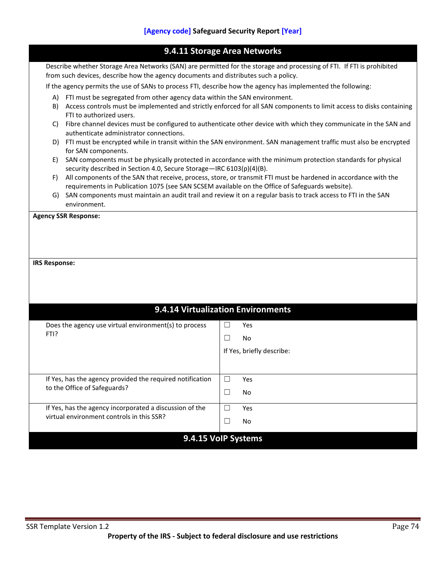| 9.4.11 Storage Area Networks                                                                                                                                                                                  |                                                                                                                                                                |        |                                                                                                                   |  |
|---------------------------------------------------------------------------------------------------------------------------------------------------------------------------------------------------------------|----------------------------------------------------------------------------------------------------------------------------------------------------------------|--------|-------------------------------------------------------------------------------------------------------------------|--|
| Describe whether Storage Area Networks (SAN) are permitted for the storage and processing of FTI. If FTI is prohibited<br>from such devices, describe how the agency documents and distributes such a policy. |                                                                                                                                                                |        |                                                                                                                   |  |
|                                                                                                                                                                                                               |                                                                                                                                                                |        |                                                                                                                   |  |
|                                                                                                                                                                                                               | If the agency permits the use of SANs to process FTI, describe how the agency has implemented the following:                                                   |        |                                                                                                                   |  |
| A)                                                                                                                                                                                                            | FTI must be segregated from other agency data within the SAN environment.                                                                                      |        |                                                                                                                   |  |
|                                                                                                                                                                                                               | B) Access controls must be implemented and strictly enforced for all SAN components to limit access to disks containing<br>FTI to authorized users.            |        |                                                                                                                   |  |
| C)                                                                                                                                                                                                            | Fibre channel devices must be configured to authenticate other device with which they communicate in the SAN and                                               |        |                                                                                                                   |  |
|                                                                                                                                                                                                               | authenticate administrator connections.<br>D) FTI must be encrypted while in transit within the SAN environment. SAN management traffic must also be encrypted |        |                                                                                                                   |  |
|                                                                                                                                                                                                               | for SAN components.                                                                                                                                            |        |                                                                                                                   |  |
| E)                                                                                                                                                                                                            | security described in Section 4.0, Secure Storage-IRC 6103(p)(4)(B).                                                                                           |        | SAN components must be physically protected in accordance with the minimum protection standards for physical      |  |
| F)                                                                                                                                                                                                            |                                                                                                                                                                |        | All components of the SAN that receive, process, store, or transmit FTI must be hardened in accordance with the   |  |
|                                                                                                                                                                                                               | requirements in Publication 1075 (see SAN SCSEM available on the Office of Safeguards website).                                                                |        | G) SAN components must maintain an audit trail and review it on a regular basis to track access to FTI in the SAN |  |
|                                                                                                                                                                                                               | environment.                                                                                                                                                   |        |                                                                                                                   |  |
| <b>Agency SSR Response:</b>                                                                                                                                                                                   |                                                                                                                                                                |        |                                                                                                                   |  |
|                                                                                                                                                                                                               |                                                                                                                                                                |        |                                                                                                                   |  |
|                                                                                                                                                                                                               |                                                                                                                                                                |        |                                                                                                                   |  |
|                                                                                                                                                                                                               |                                                                                                                                                                |        |                                                                                                                   |  |
|                                                                                                                                                                                                               |                                                                                                                                                                |        |                                                                                                                   |  |
| <b>IRS Response:</b>                                                                                                                                                                                          |                                                                                                                                                                |        |                                                                                                                   |  |
|                                                                                                                                                                                                               |                                                                                                                                                                |        |                                                                                                                   |  |
|                                                                                                                                                                                                               |                                                                                                                                                                |        |                                                                                                                   |  |
|                                                                                                                                                                                                               |                                                                                                                                                                |        |                                                                                                                   |  |
| 9.4.14 Virtualization Environments                                                                                                                                                                            |                                                                                                                                                                |        |                                                                                                                   |  |
|                                                                                                                                                                                                               | Does the agency use virtual environment(s) to process                                                                                                          | $\Box$ | Yes                                                                                                               |  |
| FTI?                                                                                                                                                                                                          |                                                                                                                                                                | $\Box$ | No                                                                                                                |  |
|                                                                                                                                                                                                               |                                                                                                                                                                |        | If Yes, briefly describe:                                                                                         |  |
|                                                                                                                                                                                                               |                                                                                                                                                                |        |                                                                                                                   |  |
|                                                                                                                                                                                                               | If Yes, has the agency provided the required notification                                                                                                      | ப      | Yes                                                                                                               |  |
|                                                                                                                                                                                                               | to the Office of Safeguards?                                                                                                                                   | $\Box$ | No                                                                                                                |  |
|                                                                                                                                                                                                               | If Yes, has the agency incorporated a discussion of the                                                                                                        | $\Box$ | Yes                                                                                                               |  |
|                                                                                                                                                                                                               | virtual environment controls in this SSR?                                                                                                                      | $\Box$ | No                                                                                                                |  |
|                                                                                                                                                                                                               | 9.4.15 VoIP Systems                                                                                                                                            |        |                                                                                                                   |  |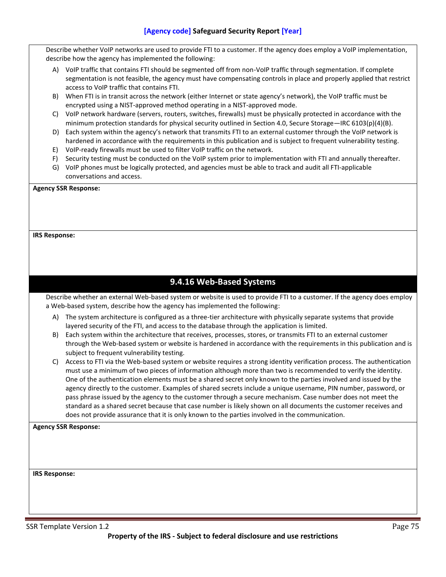Describe whether VoIP networks are used to provide FTI to a customer. If the agency does employ a VoIP implementation, describe how the agency has implemented the following:

- A) VoIP traffic that contains FTI should be segmented off from non-VoIP traffic through segmentation. If complete segmentation is not feasible, the agency must have compensating controls in place and properly applied that restrict access to VoIP traffic that contains FTI.
- B) When FTI is in transit across the network (either Internet or state agency's network), the VoIP traffic must be encrypted using a NIST-approved method operating in a NIST-approved mode.
- C) VoIP network hardware (servers, routers, switches, firewalls) must be physically protected in accordance with the minimum protection standards for physical security outlined in Section 4.0, Secure Storage—IRC 6103(p)(4)(B).
- D) Each system within the agency's network that transmits FTI to an external customer through the VoIP network is hardened in accordance with the requirements in this publication and is subject to frequent vulnerability testing.
- E) VoIP-ready firewalls must be used to filter VoIP traffic on the network.
- F) Security testing must be conducted on the VoIP system prior to implementation with FTI and annually thereafter.
- G) VoIP phones must be logically protected, and agencies must be able to track and audit all FTI-applicable conversations and access.

#### **Agency SSR Response:**

### **IRS Response:**

# **9.4.16 Web-Based Systems**

Describe whether an external Web-based system or website is used to provide FTI to a customer. If the agency does employ a Web-based system, describe how the agency has implemented the following:

- A) The system architecture is configured as a three-tier architecture with physically separate systems that provide layered security of the FTI, and access to the database through the application is limited.
- B) Each system within the architecture that receives, processes, stores, or transmits FTI to an external customer through the Web-based system or website is hardened in accordance with the requirements in this publication and is subject to frequent vulnerability testing.
- C) Access to FTI via the Web-based system or website requires a strong identity verification process. The authentication must use a minimum of two pieces of information although more than two is recommended to verify the identity. One of the authentication elements must be a shared secret only known to the parties involved and issued by the agency directly to the customer. Examples of shared secrets include a unique username, PIN number, password, or pass phrase issued by the agency to the customer through a secure mechanism. Case number does not meet the standard as a shared secret because that case number is likely shown on all documents the customer receives and does not provide assurance that it is only known to the parties involved in the communication.

**Agency SSR Response:**

**IRS Response:**

SSR Template Version 1.2 Page 75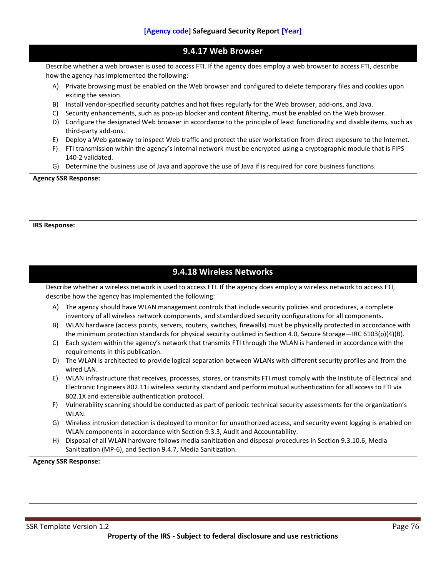|                      | 9.4.17 Web Browser                                                                                                                                                                                                                 |
|----------------------|------------------------------------------------------------------------------------------------------------------------------------------------------------------------------------------------------------------------------------|
|                      |                                                                                                                                                                                                                                    |
|                      | Describe whether a web browser is used to access FTI. If the agency does employ a web browser to access FTI, describe<br>how the agency has implemented the following:                                                             |
| A)                   | Private browsing must be enabled on the Web browser and configured to delete temporary files and cookies upon<br>exiting the session.                                                                                              |
| B)                   | Install vendor-specified security patches and hot fixes regularly for the Web browser, add-ons, and Java.                                                                                                                          |
| C)<br>D)             | Security enhancements, such as pop-up blocker and content filtering, must be enabled on the Web browser.<br>Configure the designated Web browser in accordance to the principle of least functionality and disable items, such as  |
|                      | third-party add-ons.                                                                                                                                                                                                               |
| E)                   | Deploy a Web gateway to inspect Web traffic and protect the user workstation from direct exposure to the Internet.                                                                                                                 |
| F)                   | FTI transmission within the agency's internal network must be encrypted using a cryptographic module that is FIPS<br>140-2 validated.                                                                                              |
| G)                   | Determine the business use of Java and approve the use of Java if is required for core business functions.                                                                                                                         |
|                      |                                                                                                                                                                                                                                    |
| <b>IRS Response:</b> |                                                                                                                                                                                                                                    |
|                      |                                                                                                                                                                                                                                    |
|                      |                                                                                                                                                                                                                                    |
|                      |                                                                                                                                                                                                                                    |
|                      | 9.4.18 Wireless Networks                                                                                                                                                                                                           |
|                      | Describe whether a wireless network is used to access FTI. If the agency does employ a wireless network to access FTI,                                                                                                             |
|                      | describe how the agency has implemented the following:                                                                                                                                                                             |
| A)                   | The agency should have WLAN management controls that include security policies and procedures, a complete                                                                                                                          |
|                      | inventory of all wireless network components, and standardized security configurations for all components.<br>WLAN hardware (access points, servers, routers, switches, firewalls) must be physically protected in accordance with |
| B)                   | the minimum protection standards for physical security outlined in Section 4.0, Secure Storage-IRC 6103(p)(4)(B).                                                                                                                  |
| C)                   | Each system within the agency's network that transmits FTI through the WLAN is hardened in accordance with the                                                                                                                     |
|                      | requirements in this publication.                                                                                                                                                                                                  |
|                      | D) The WLAN is architected to provide logical separation between WLANs with different security profiles and from the                                                                                                               |
| E)                   | wired LAN.<br>WLAN infrastructure that receives, processes, stores, or transmits FTI must comply with the Institute of Electrical and                                                                                              |
|                      | Electronic Engineers 802.11i wireless security standard and perform mutual authentication for all access to FTI via                                                                                                                |
|                      | 802.1X and extensible authentication protocol.                                                                                                                                                                                     |
| F)                   | Vulnerability scanning should be conducted as part of periodic technical security assessments for the organization's                                                                                                               |
|                      | WLAN.                                                                                                                                                                                                                              |
| G)                   | Wireless intrusion detection is deployed to monitor for unauthorized access, and security event logging is enabled on<br>WLAN components in accordance with Section 9.3.3, Audit and Accountability.                               |
| H)                   | Disposal of all WLAN hardware follows media sanitization and disposal procedures in Section 9.3.10.6, Media                                                                                                                        |
|                      | Sanitization (MP-6), and Section 9.4.7, Media Sanitization.                                                                                                                                                                        |
|                      | <b>Agency SSR Response:</b>                                                                                                                                                                                                        |
|                      |                                                                                                                                                                                                                                    |
|                      |                                                                                                                                                                                                                                    |
|                      |                                                                                                                                                                                                                                    |
|                      |                                                                                                                                                                                                                                    |
|                      |                                                                                                                                                                                                                                    |